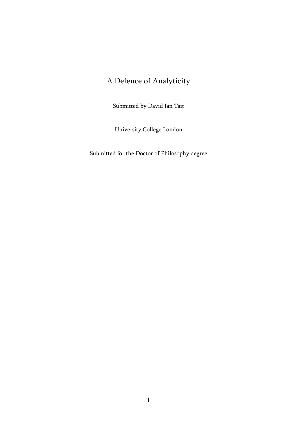# A Defence of Analyticity

Submitted by David Ian Tait

University College London

Submitted for the Doctor of Philosophy degree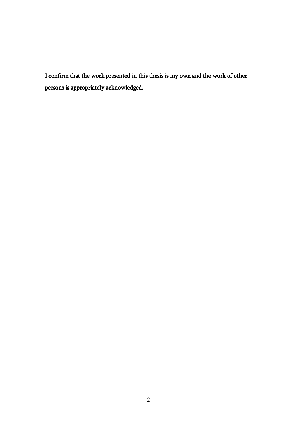I confirm that the work presented in this thesis is my own and the work of other persons is appropriately acknowledged.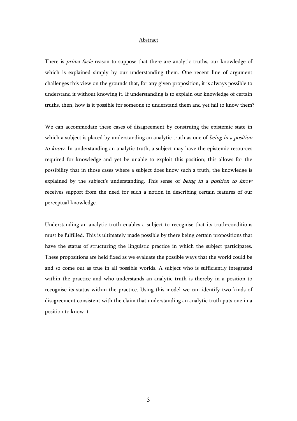## **Abstract**

There is *prima facie* reason to suppose that there are analytic truths, our knowledge of which is explained simply by our understanding them. One recent line of argument challenges this view on the grounds that, for any given proposition, it is always possible to understand it without knowing it. If understanding is to explain our knowledge of certain truths, then, how is it possible for someone to understand them and yet fail to know them?

We can accommodate these cases of disagreement by construing the epistemic state in which a subject is placed by understanding an analytic truth as one of being in a position to know. In understanding an analytic truth, a subject may have the epistemic resources required for knowledge and yet be unable to exploit this position; this allows for the possibility that in those cases where a subject does know such a truth, the knowledge is explained by the subject's understanding. This sense of being in a position to know receives support from the need for such a notion in describing certain features of our perceptual knowledge.

Understanding an analytic truth enables a subject to recognise that its truth-conditions must be fulfilled. This is ultimately made possible by there being certain propositions that have the status of structuring the linguistic practice in which the subject participates. These propositions are held fixed as we evaluate the possible ways that the world could be and so come out as true in all possible worlds. A subject who is sufficiently integrated within the practice and who understands an analytic truth is thereby in a position to recognise its status within the practice. Using this model we can identify two kinds of disagreement consistent with the claim that understanding an analytic truth puts one in a position to know it.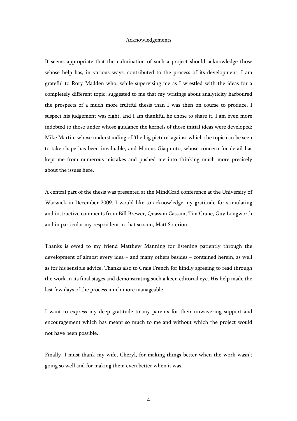## Acknowledgements

It seems appropriate that the culmination of such a project should acknowledge those whose help has, in various ways, contributed to the process of its development. I am grateful to Rory Madden who, while supervising me as I wrestled with the ideas for a completely different topic, suggested to me that my writings about analyticity harboured the prospects of a much more fruitful thesis than I was then on course to produce. I suspect his judgement was right, and I am thankful he chose to share it. I am even more indebted to those under whose guidance the kernels of those initial ideas were developed: Mike Martin, whose understanding of 'the big picture' against which the topic can be seen to take shape has been invaluable, and Marcus Giaquinto, whose concern for detail has kept me from numerous mistakes and pushed me into thinking much more precisely about the issues here.

A central part of the thesis was presented at the MindGrad conference at the University of Warwick in December 2009. I would like to acknowledge my gratitude for stimulating and instructive comments from Bill Brewer, Quassim Cassam, Tim Crane, Guy Longworth, and in particular my respondent in that session, Matt Soteriou.

Thanks is owed to my friend Matthew Manning for listening patiently through the development of almost every idea – and many others besides – contained herein, as well as for his sensible advice. Thanks also to Craig French for kindly agreeing to read through the work in its final stages and demonstrating such a keen editorial eye. His help made the last few days of the process much more manageable.

I want to express my deep gratitude to my parents for their unwavering support and encouragement which has meant so much to me and without which the project would not have been possible.

Finally, I must thank my wife, Cheryl, for making things better when the work wasn't going so well and for making them even better when it was.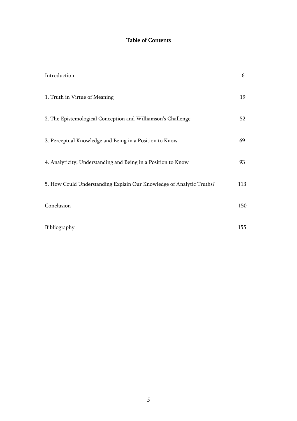# Table of Contents

| Introduction                                                         | 6   |
|----------------------------------------------------------------------|-----|
| 1. Truth in Virtue of Meaning                                        | 19  |
| 2. The Epistemological Conception and Williamson's Challenge         | 52  |
| 3. Perceptual Knowledge and Being in a Position to Know              | 69  |
| 4. Analyticity, Understanding and Being in a Position to Know        | 93  |
| 5. How Could Understanding Explain Our Knowledge of Analytic Truths? | 113 |
| Conclusion                                                           | 150 |
| Bibliography                                                         | 155 |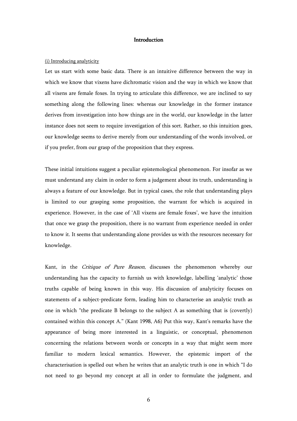# Introduction

#### (i) Introducing analyticity

Let us start with some basic data. There is an intuitive difference between the way in which we know that vixens have dichromatic vision and the way in which we know that all vixens are female foxes. In trying to articulate this difference, we are inclined to say something along the following lines: whereas our knowledge in the former instance derives from investigation into how things are in the world, our knowledge in the latter instance does not seem to require investigation of this sort. Rather, so this intuition goes, our knowledge seems to derive merely from our understanding of the words involved, or if you prefer, from our grasp of the proposition that they express.

These initial intuitions suggest a peculiar epistemological phenomenon. For insofar as we must understand any claim in order to form a judgement about its truth, understanding is always a feature of our knowledge. But in typical cases, the role that understanding plays is limited to our grasping some proposition, the warrant for which is acquired in experience. However, in the case of 'All vixens are female foxes', we have the intuition that once we grasp the proposition, there is no warrant from experience needed in order to know it. It seems that understanding alone provides us with the resources necessary for knowledge.

Kant, in the Critique of Pure Reason, discusses the phenomenon whereby our understanding has the capacity to furnish us with knowledge, labelling 'analytic' those truths capable of being known in this way. His discussion of analyticity focuses on statements of a subject-predicate form, leading him to characterise an analytic truth as one in which "the predicate B belongs to the subject A as something that is (covertly) contained within this concept A." (Kant 1998, A6) Put this way, Kant's remarks have the appearance of being more interested in a linguistic, or conceptual, phenomenon concerning the relations between words or concepts in a way that might seem more familiar to modern lexical semantics. However, the epistemic import of the characterisation is spelled out when he writes that an analytic truth is one in which "I do not need to go beyond my concept at all in order to formulate the judgment, and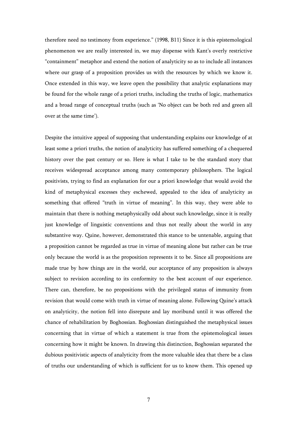therefore need no testimony from experience." (1998, B11) Since it is this epistemological phenomenon we are really interested in, we may dispense with Kant's overly restrictive "containment" metaphor and extend the notion of analyticity so as to include all instances where our grasp of a proposition provides us with the resources by which we know it. Once extended in this way, we leave open the possibility that analytic explanations may be found for the whole range of a priori truths, including the truths of logic, mathematics and a broad range of conceptual truths (such as 'No object can be both red and green all over at the same time').

Despite the intuitive appeal of supposing that understanding explains our knowledge of at least some a priori truths, the notion of analyticity has suffered something of a chequered history over the past century or so. Here is what I take to be the standard story that receives widespread acceptance among many contemporary philosophers. The logical positivists, trying to find an explanation for our a priori knowledge that would avoid the kind of metaphysical excesses they eschewed, appealed to the idea of analyticity as something that offered "truth in virtue of meaning". In this way, they were able to maintain that there is nothing metaphysically odd about such knowledge, since it is really just knowledge of linguistic conventions and thus not really about the world in any substantive way. Quine, however, demonstrated this stance to be untenable, arguing that a proposition cannot be regarded as true in virtue of meaning alone but rather can be true only because the world is as the proposition represents it to be. Since all propositions are made true by how things are in the world, our acceptance of any proposition is always subject to revision according to its conformity to the best account of our experience. There can, therefore, be no propositions with the privileged status of immunity from revision that would come with truth in virtue of meaning alone. Following Quine's attack on analyticity, the notion fell into disrepute and lay moribund until it was offered the chance of rehabilitation by Boghossian. Boghossian distinguished the metaphysical issues concerning that in virtue of which a statement is true from the epistemological issues concerning how it might be known. In drawing this distinction, Boghossian separated the dubious positivistic aspects of analyticity from the more valuable idea that there be a class of truths our understanding of which is sufficient for us to know them. This opened up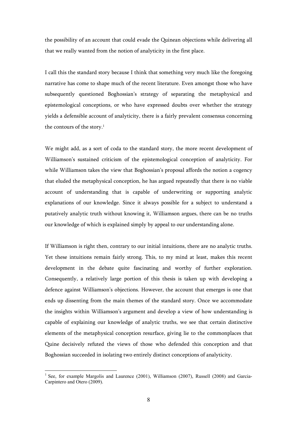the possibility of an account that could evade the Quinean objections while delivering all that we really wanted from the notion of analyticity in the first place.

I call this the standard story because I think that something very much like the foregoing narrative has come to shape much of the recent literature. Even amongst those who have subsequently questioned Boghossian's strategy of separating the metaphysical and epistemological conceptions, or who have expressed doubts over whether the strategy yields a defensible account of analyticity, there is a fairly prevalent consensus concerning the contours of the story. $^1$ 

We might add, as a sort of coda to the standard story, the more recent development of Williamson's sustained criticism of the epistemological conception of analyticity. For while Williamson takes the view that Boghossian's proposal affords the notion a cogency that eluded the metaphysical conception, he has argued repeatedly that there is no viable account of understanding that is capable of underwriting or supporting analytic explanations of our knowledge. Since it always possible for a subject to understand a putatively analytic truth without knowing it, Williamson argues, there can be no truths our knowledge of which is explained simply by appeal to our understanding alone.

If Williamson is right then, contrary to our initial intuitions, there are no analytic truths. Yet these intuitions remain fairly strong. This, to my mind at least, makes this recent development in the debate quite fascinating and worthy of further exploration. Consequently, a relatively large portion of this thesis is taken up with developing a defence against Williamson's objections. However, the account that emerges is one that ends up dissenting from the main themes of the standard story. Once we accommodate the insights within Williamson's argument and develop a view of how understanding is capable of explaining our knowledge of analytic truths, we see that certain distinctive elements of the metaphysical conception resurface, giving lie to the commonplaces that Quine decisively refuted the views of those who defended this conception and that Boghossian succeeded in isolating two entirely distinct conceptions of analyticity.

<sup>&</sup>lt;sup>1</sup> See, for example Margolis and Laurence (2001), Williamson (2007), Russell (2008) and Garcia-Carpintero and Otero (2009).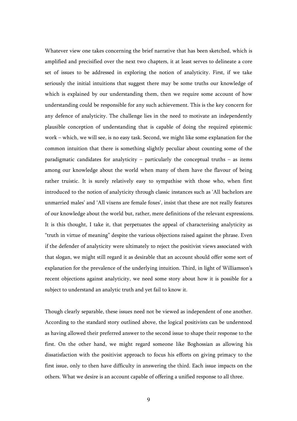Whatever view one takes concerning the brief narrative that has been sketched, which is amplified and precisified over the next two chapters, it at least serves to delineate a core set of issues to be addressed in exploring the notion of analyticity. First, if we take seriously the initial intuitions that suggest there may be some truths our knowledge of which is explained by our understanding them, then we require some account of how understanding could be responsible for any such achievement. This is the key concern for any defence of analyticity. The challenge lies in the need to motivate an independently plausible conception of understanding that is capable of doing the required epistemic work – which, we will see, is no easy task. Second, we might like some explanation for the common intuition that there is something slightly peculiar about counting some of the paradigmatic candidates for analyticity – particularly the conceptual truths – as items among our knowledge about the world when many of them have the flavour of being rather truistic. It is surely relatively easy to sympathise with those who, when first introduced to the notion of analyticity through classic instances such as 'All bachelors are unmarried males' and 'All vixens are female foxes', insist that these are not really features of our knowledge about the world but, rather, mere definitions of the relevant expressions. It is this thought, I take it, that perpetuates the appeal of characterising analyticity as "truth in virtue of meaning" despite the various objections raised against the phrase. Even if the defender of analyticity were ultimately to reject the positivist views associated with that slogan, we might still regard it as desirable that an account should offer some sort of explanation for the prevalence of the underlying intuition. Third, in light of Williamson's recent objections against analyticity, we need some story about how it is possible for a subject to understand an analytic truth and yet fail to know it.

Though clearly separable, these issues need not be viewed as independent of one another. According to the standard story outlined above, the logical positivists can be understood as having allowed their preferred answer to the second issue to shape their response to the first. On the other hand, we might regard someone like Boghossian as allowing his dissatisfaction with the positivist approach to focus his efforts on giving primacy to the first issue, only to then have difficulty in answering the third. Each issue impacts on the others. What we desire is an account capable of offering a unified response to all three.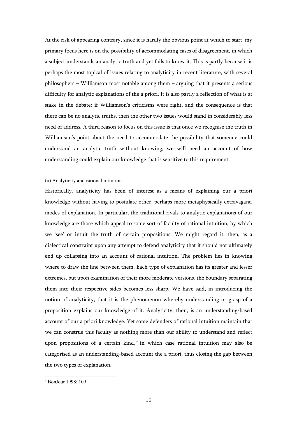At the risk of appearing contrary, since it is hardly the obvious point at which to start, my primary focus here is on the possibility of accommodating cases of disagreement, in which a subject understands an analytic truth and yet fails to know it. This is partly because it is perhaps the most topical of issues relating to analyticity in recent literature, with several philosophers – Williamson most notable among them – arguing that it presents a serious difficulty for analytic explanations of the a priori. It is also partly a reflection of what is at stake in the debate; if Williamson's criticisms were right, and the consequence is that there can be no analytic truths, then the other two issues would stand in considerably less need of address. A third reason to focus on this issue is that once we recognise the truth in Williamson's point about the need to accommodate the possibility that someone could understand an analytic truth without knowing, we will need an account of how understanding could explain our knowledge that is sensitive to this requirement.

#### (ii) Analyticity and rational intuition

Historically, analyticity has been of interest as a means of explaining our a priori knowledge without having to postulate other, perhaps more metaphysically extravagant, modes of explanation. In particular, the traditional rivals to analytic explanations of our knowledge are those which appeal to some sort of faculty of rational intuition, by which we 'see' or intuit the truth of certain propositions. We might regard it, then, as a dialectical constraint upon any attempt to defend analyticity that it should not ultimately end up collapsing into an account of rational intuition. The problem lies in knowing where to draw the line between them. Each type of explanation has its greater and lesser extremes, but upon examination of their more moderate versions, the boundary separating them into their respective sides becomes less sharp. We have said, in introducing the notion of analyticity, that it is the phenomenon whereby understanding or grasp of a proposition explains our knowledge of it. Analyticity, then, is an understanding-based account of our a priori knowledge. Yet some defenders of rational intuition maintain that we can construe this faculty as nothing more than our ability to understand and reflect upon propositions of a certain  $\text{kind},^2$  in which case rational intuition may also be categorised as an understanding-based account the a priori, thus closing the gap between the two types of explanation.

 2 BonJour 1998: 109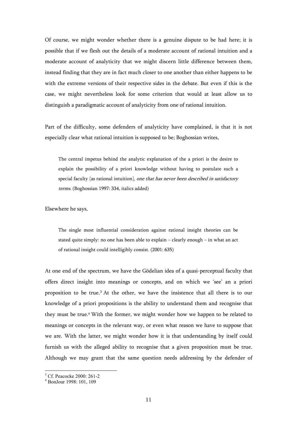Of course, we might wonder whether there is a genuine dispute to be had here; it is possible that if we flesh out the details of a moderate account of rational intuition and a moderate account of analyticity that we might discern little difference between them, instead finding that they are in fact much closer to one another than either happens to be with the extreme versions of their respective sides in the debate. But even if this is the case, we might nevertheless look for some criterion that would at least allow us to distinguish a paradigmatic account of analyticity from one of rational intuition.

Part of the difficulty, some defenders of analyticity have complained, is that it is not especially clear what rational intuition is supposed to be; Boghossian writes,

The central impetus behind the analytic explanation of the a priori is the desire to explain the possibility of a priori knowledge without having to postulate such a special faculty [as rational intuition], one that has never been described in satisfactory terms. (Boghossian 1997: 334, italics added)

Elsewhere he says,

The single most influential consideration against rational insight theories can be stated quite simply: no one has been able to explain – clearly enough – in what an act of rational insight could intelligibly consist. (2001: 635)

At one end of the spectrum, we have the Gödelian idea of a quasi-perceptual faculty that offers direct insight into meanings or concepts, and on which we 'see' an a priori proposition to be true.<sup>3</sup> At the other, we have the insistence that all there is to our knowledge of a priori propositions is the ability to understand them and recognise that they must be true.<sup>4</sup> With the former, we might wonder how we happen to be related to meanings or concepts in the relevant way, or even what reason we have to suppose that we are. With the latter, we might wonder how it is that understanding by itself could furnish us with the alleged ability to recognise that a given proposition must be true. Although we may grant that the same question needs addressing by the defender of

<sup>3</sup> Cf. Peacocke 2000: 261-2

<sup>4</sup> BonJour 1998: 101, 109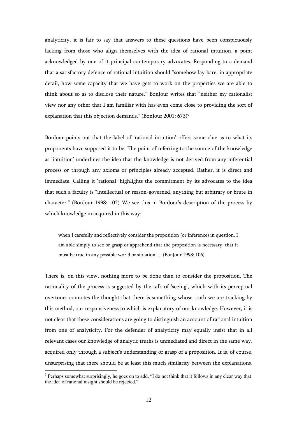analyticity, it is fair to say that answers to these questions have been conspicuously lacking from those who align themselves with the idea of rational intuition, a point acknowledged by one of it principal contemporary advocates. Responding to a demand that a satisfactory defence of rational intuition should "somehow lay bare, in appropriate detail, how some capacity that we have gets to work on the properties we are able to think about so as to disclose their nature," BonJour writes that "neither my rationalist view nor any other that I am familiar with has even come close to providing the sort of explanation that this objection demands." (BonJour 2001: 673)<sup>5</sup>

BonJour points out that the label of 'rational intuition' offers some clue as to what its proponents have supposed it to be. The point of referring to the source of the knowledge as 'intuition' underlines the idea that the knowledge is not derived from any inferential process or through any axioms or principles already accepted. Rather, it is direct and immediate. Calling it 'rational' highlights the commitment by its advocates to the idea that such a faculty is "intellectual or reason-governed, anything but arbitrary or brute in character." (BonJour 1998: 102) We see this in BonJour's description of the process by which knowledge in acquired in this way:

when I carefully and reflectively consider the proposition (or inference) in question, I am able simply to see or grasp or apprehend that the proposition is necessary, that it must be true in any possible world or situation…. (BonJour 1998: 106)

There is, on this view, nothing more to be done than to consider the proposition. The rationality of the process is suggested by the talk of 'seeing', which with its perceptual overtones connotes the thought that there is something whose truth we are tracking by this method, our responsiveness to which is explanatory of our knowledge. However, it is not clear that these considerations are going to distinguish an account of rational intuition from one of analyticity. For the defender of analyticity may equally insist that in all relevant cases our knowledge of analytic truths is unmediated and direct in the same way, acquired only through a subject's understanding or grasp of a proposition. It is, of course, unsurprising that there should be at least this much similarity between the explanations,

<sup>&</sup>lt;sup>5</sup> Perhaps somewhat surprisingly, he goes on to add, "I do not think that it follows in any clear way that the idea of rational insight should be rejected."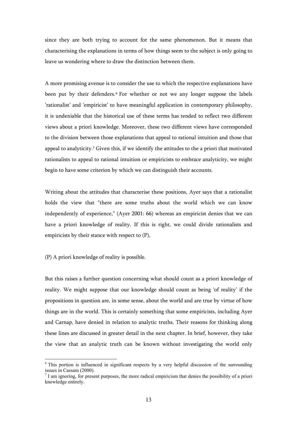since they are both trying to account for the same phenomenon. But it means that characterising the explanations in terms of how things seem to the subject is only going to leave us wondering where to draw the distinction between them.

A more promising avenue is to consider the use to which the respective explanations have been put by their defenders.<sup>6</sup> For whether or not we any longer suppose the labels 'rationalist' and 'empiricist' to have meaningful application in contemporary philosophy, it is undeniable that the historical use of these terms has tended to reflect two different views about a priori knowledge. Moreover, these two different views have corresponded to the division between those explanations that appeal to rational intuition and those that appeal to analyticity.<sup>7</sup> Given this, if we identify the attitudes to the a priori that motivated rationalists to appeal to rational intuition or empiricists to embrace analyticity, we might begin to have some criterion by which we can distinguish their accounts.

Writing about the attitudes that characterise these positions, Ayer says that a rationalist holds the view that "there are some truths about the world which we can know independently of experience," (Ayer 2001: 66) whereas an empiricist denies that we can have a priori knowledge of reality. If this is right, we could divide rationalists and empiricists by their stance with respect to (P),

(P) A priori knowledge of reality is possible.

 $\overline{a}$ 

But this raises a further question concerning what should count as a priori knowledge of reality. We might suppose that our knowledge should count as being 'of reality' if the propositions in question are, in some sense, about the world and are true by virtue of how things are in the world. This is certainly something that some empiricists, including Ayer and Carnap, have denied in relation to analytic truths. Their reasons for thinking along these lines are discussed in greater detail in the next chapter. In brief, however, they take the view that an analytic truth can be known without investigating the world only

<sup>&</sup>lt;sup>6</sup> This portion is influenced in significant respects by a very helpful discussion of the surrounding issues in Cassam (2000).

 $<sup>7</sup>$  I am ignoring, for present purposes, the more radical empiricism that denies the possibility of a priori</sup> knowledge entirely.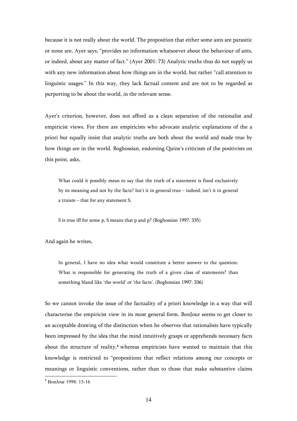because it is not really about the world. The proposition that either some ants are parasitic or none are, Ayer says, "provides no information whatsoever about the behaviour of ants, or indeed, about any matter of fact." (Ayer 2001: 73) Analytic truths thus do not supply us with any new information about how things are in the world, but rather "call attention to linguistic usages." In this way, they lack factual content and are not to be regarded as purporting to be about the world, in the relevant sense.

Ayer's criterion, however, does not afford us a clean separation of the rationalist and empiricist views. For there are empiricists who advocate analytic explanations of the a priori but equally insist that analytic truths are both about the world and made true by how things are in the world. Boghossian, endorsing Quine's criticism of the positivists on this point, asks,

What could it possibly mean to say that the truth of a statement is fixed exclusively by its meaning and not by the facts? Isn't it in general true – indeed, isn't it in general a truism – that for any statement S,

S is true iff for some p, S means that p and p? (Boghossian 1997: 335)

And again he writes,

In general, I have no idea what would constitute a better answer to the question: What is responsible for generating the truth of a given class of statements? than something bland like 'the world' or 'the facts'. (Boghossian 1997: 336)

So we cannot invoke the issue of the factuality of a priori knowledge in a way that will characterise the empiricist view in its most general form. BonJour seems to get closer to an acceptable drawing of the distinction when he observes that rationalists have typically been impressed by the idea that the mind intuitively grasps or apprehends necessary facts about the structure of reality,<sup>8</sup> whereas empiricists have wanted to maintain that this knowledge is restricted to "propositions that reflect relations among our concepts or meanings or linguistic conventions, rather than to those that make substantive claims

 8 BonJour 1998: 15-16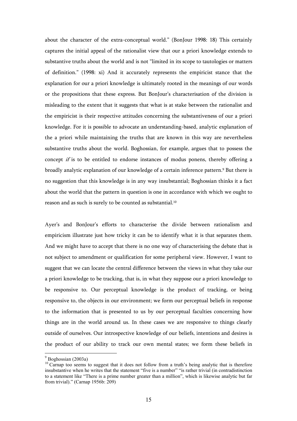about the character of the extra-conceptual world." (BonJour 1998: 18) This certainly captures the initial appeal of the rationalist view that our a priori knowledge extends to substantive truths about the world and is not "limited in its scope to tautologies or matters of definition." (1998: xi) And it accurately represents the empiricist stance that the explanation for our a priori knowledge is ultimately rooted in the meanings of our words or the propositions that these express. But BonJour's characterisation of the division is misleading to the extent that it suggests that what is at stake between the rationalist and the empiricist is their respective attitudes concerning the substantiveness of our a priori knowledge. For it is possible to advocate an understanding-based, analytic explanation of the a priori while maintaining the truths that are known in this way are nevertheless substantive truths about the world. Boghossian, for example, argues that to possess the concept if is to be entitled to endorse instances of modus ponens, thereby offering a broadly analytic explanation of our knowledge of a certain inference pattern.<sup>9</sup> But there is no suggestion that this knowledge is in any way insubstantial; Boghossian thinks it a fact about the world that the pattern in question is one in accordance with which we ought to reason and as such is surely to be counted as substantial. $^{\rm 10}$ 

Ayer's and BonJour's efforts to characterise the divide between rationalism and empiricism illustrate just how tricky it can be to identify what it is that separates them. And we might have to accept that there is no one way of characterising the debate that is not subject to amendment or qualification for some peripheral view. However, I want to suggest that we can locate the central difference between the views in what they take our a priori knowledge to be tracking, that is, in what they suppose our a priori knowledge to be responsive to. Our perceptual knowledge is the product of tracking, or being responsive to, the objects in our environment; we form our perceptual beliefs in response to the information that is presented to us by our perceptual faculties concerning how things are in the world around us. In these cases we are responsive to things clearly outside of ourselves. Our introspective knowledge of our beliefs, intentions and desires is the product of our ability to track our own mental states; we form these beliefs in

<sup>&</sup>lt;sup>9</sup> Boghossian (2003a)

<sup>&</sup>lt;sup>10</sup> Carnap too seems to suggest that it does not follow from a truth's being analytic that is therefore insubstantive when he writes that the statement "five is a number" "is rather trivial (in contradistinction to a statement like "There is a prime number greater than a million", which is likewise analytic but far from trivial)." (Carnap 1956b: 209)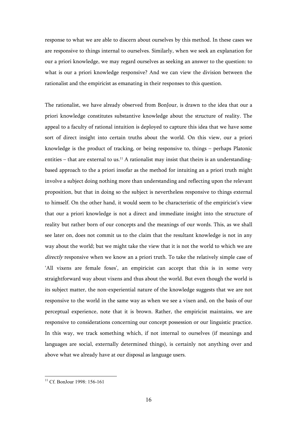response to what we are able to discern about ourselves by this method. In these cases we are responsive to things internal to ourselves. Similarly, when we seek an explanation for our a priori knowledge, we may regard ourselves as seeking an answer to the question: to what is our a priori knowledge responsive? And we can view the division between the rationalist and the empiricist as emanating in their responses to this question.

The rationalist, we have already observed from BonJour, is drawn to the idea that our a priori knowledge constitutes substantive knowledge about the structure of reality. The appeal to a faculty of rational intuition is deployed to capture this idea that we have some sort of direct insight into certain truths about the world. On this view, our a priori knowledge is the product of tracking, or being responsive to, things – perhaps Platonic entities – that are external to us.<sup>11</sup> A rationalist may insist that theirs is an understandingbased approach to the a priori insofar as the method for intuiting an a priori truth might involve a subject doing nothing more than understanding and reflecting upon the relevant proposition, but that in doing so the subject is nevertheless responsive to things external to himself. On the other hand, it would seem to be characteristic of the empiricist's view that our a priori knowledge is not a direct and immediate insight into the structure of reality but rather born of our concepts and the meanings of our words. This, as we shall see later on, does not commit us to the claim that the resultant knowledge is not in any way about the world; but we might take the view that it is not the world to which we are directly responsive when we know an a priori truth. To take the relatively simple case of 'All vixens are female foxes', an empiricist can accept that this is in some very straightforward way about vixens and thus about the world. But even though the world is its subject matter, the non-experiential nature of the knowledge suggests that we are not responsive to the world in the same way as when we see a vixen and, on the basis of our perceptual experience, note that it is brown. Rather, the empiricist maintains, we are responsive to considerations concerning our concept possession or our linguistic practice. In this way, we track something which, if not internal to ourselves (if meanings and languages are social, externally determined things), is certainly not anything over and above what we already have at our disposal as language users.

<sup>&</sup>lt;sup>11</sup> Cf. BonJour 1998: 156-161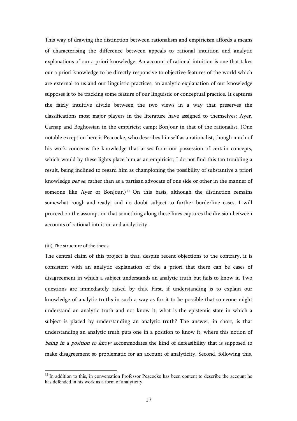This way of drawing the distinction between rationalism and empiricism affords a means of characterising the difference between appeals to rational intuition and analytic explanations of our a priori knowledge. An account of rational intuition is one that takes our a priori knowledge to be directly responsive to objective features of the world which are external to us and our linguistic practices; an analytic explanation of our knowledge supposes it to be tracking some feature of our linguistic or conceptual practice. It captures the fairly intuitive divide between the two views in a way that preserves the classifications most major players in the literature have assigned to themselves: Ayer, Carnap and Boghossian in the empiricist camp; BonJour in that of the rationalist. (One notable exception here is Peacocke, who describes himself as a rationalist, though much of his work concerns the knowledge that arises from our possession of certain concepts, which would by these lights place him as an empiricist; I do not find this too troubling a result, being inclined to regard him as championing the possibility of substantive a priori knowledge per se, rather than as a partisan advocate of one side or other in the manner of someone like Ayer or BonJour.)<sup>12</sup> On this basis, although the distinction remains somewhat rough-and-ready, and no doubt subject to further borderline cases, I will proceed on the assumption that something along these lines captures the division between accounts of rational intuition and analyticity.

#### (iii) The structure of the thesis

 $\overline{a}$ 

The central claim of this project is that, despite recent objections to the contrary, it is consistent with an analytic explanation of the a priori that there can be cases of disagreement in which a subject understands an analytic truth but fails to know it. Two questions are immediately raised by this. First, if understanding is to explain our knowledge of analytic truths in such a way as for it to be possible that someone might understand an analytic truth and not know it, what is the epistemic state in which a subject is placed by understanding an analytic truth? The answer, in short, is that understanding an analytic truth puts one in a position to know it, where this notion of being in a position to know accommodates the kind of defeasibility that is supposed to make disagreement so problematic for an account of analyticity. Second, following this,

 $12$  In addition to this, in conversation Professor Peacocke has been content to describe the account he has defended in his work as a form of analyticity.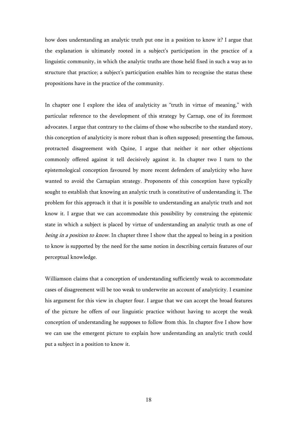how does understanding an analytic truth put one in a position to know it? I argue that the explanation is ultimately rooted in a subject's participation in the practice of a linguistic community, in which the analytic truths are those held fixed in such a way as to structure that practice; a subject's participation enables him to recognise the status these propositions have in the practice of the community.

In chapter one I explore the idea of analyticity as "truth in virtue of meaning," with particular reference to the development of this strategy by Carnap, one of its foremost advocates. I argue that contrary to the claims of those who subscribe to the standard story, this conception of analyticity is more robust than is often supposed; presenting the famous, protracted disagreement with Quine, I argue that neither it nor other objections commonly offered against it tell decisively against it. In chapter two I turn to the epistemological conception favoured by more recent defenders of analyticity who have wanted to avoid the Carnapian strategy. Proponents of this conception have typically sought to establish that knowing an analytic truth is constitutive of understanding it. The problem for this approach it that it is possible to understanding an analytic truth and not know it. I argue that we can accommodate this possibility by construing the epistemic state in which a subject is placed by virtue of understanding an analytic truth as one of being in a position to know. In chapter three I show that the appeal to being in a position to know is supported by the need for the same notion in describing certain features of our perceptual knowledge.

Williamson claims that a conception of understanding sufficiently weak to accommodate cases of disagreement will be too weak to underwrite an account of analyticity. I examine his argument for this view in chapter four. I argue that we can accept the broad features of the picture he offers of our linguistic practice without having to accept the weak conception of understanding he supposes to follow from this. In chapter five I show how we can use the emergent picture to explain how understanding an analytic truth could put a subject in a position to know it.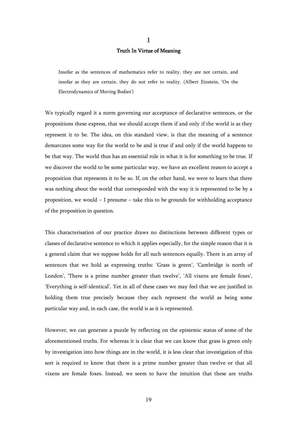#### Truth In Virtue of Meaning

Insofar as the sentences of mathematics refer to reality, they are not certain, and insofar as they are certain, they do not refer to reality. (Albert Einstein, 'On the Electrodynamics of Moving Bodies')

We typically regard it a norm governing our acceptance of declarative sentences, or the propositions these express, that we should accept them if and only if the world is as they represent it to be. The idea, on this standard view, is that the meaning of a sentence demarcates some way for the world to be and is true if and only if the world happens to be that way. The world thus has an essential role in what it is for something to be true. If we discover the world to be some particular way, we have an excellent reason to accept a proposition that represents it to be so. If, on the other hand, we were to learn that there was nothing about the world that corresponded with the way it is represented to be by a proposition, we would – I presume – take this to be grounds for withholding acceptance of the proposition in question.

This characterisation of our practice draws no distinctions between different types or classes of declarative sentence to which it applies especially, for the simple reason that it is a general claim that we suppose holds for all such sentences equally. There is an array of sentences that we hold as expressing truths: 'Grass is green', 'Cambridge is north of London', 'There is a prime number greater than twelve', 'All vixens are female foxes', 'Everything is self-identical'. Yet in all of these cases we may feel that we are justified in holding them true precisely because they each represent the world as being some particular way and, in each case, the world is as it is represented.

However, we can generate a puzzle by reflecting on the epistemic status of some of the aforementioned truths. For whereas it is clear that we can know that grass is green only by investigation into how things are in the world, it is less clear that investigation of this sort is required to know that there is a prime number greater than twelve or that all vixens are female foxes. Instead, we seem to have the intuition that these are truths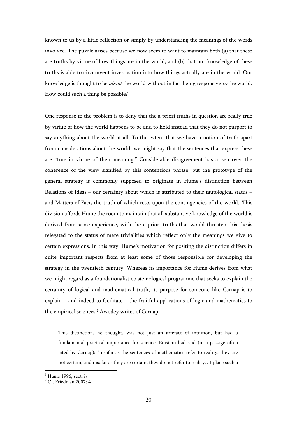known to us by a little reflection or simply by understanding the meanings of the words involved. The puzzle arises because we now seem to want to maintain both (a) that these are truths by virtue of how things are in the world, and (b) that our knowledge of these truths is able to circumvent investigation into how things actually are in the world. Our knowledge is thought to be *about* the world without in fact being responsive to the world. How could such a thing be possible?

One response to the problem is to deny that the a priori truths in question are really true by virtue of how the world happens to be and to hold instead that they do not purport to say anything about the world at all. To the extent that we have a notion of truth apart from considerations about the world, we might say that the sentences that express these are "true in virtue of their meaning." Considerable disagreement has arisen over the coherence of the view signified by this contentious phrase, but the prototype of the general strategy is commonly supposed to originate in Hume's distinction between Relations of Ideas – our certainty about which is attributed to their tautological status – and Matters of Fact, the truth of which rests upon the contingencies of the world.<sup>1</sup> This division affords Hume the room to maintain that all substantive knowledge of the world is derived from sense experience, with the a priori truths that would threaten this thesis relegated to the status of mere trivialities which reflect only the meanings we give to certain expressions. In this way, Hume's motivation for positing the distinction differs in quite important respects from at least some of those responsible for developing the strategy in the twentieth century. Whereas its importance for Hume derives from what we might regard as a foundationalist epistemological programme that seeks to explain the certainty of logical and mathematical truth, its purpose for someone like Carnap is to explain – and indeed to facilitate – the fruitful applications of logic and mathematics to the empirical sciences.<sup>2</sup> Awodey writes of Carnap:

This distinction, he thought, was not just an artefact of intuition, but had a fundamental practical importance for science. Einstein had said (in a passage often cited by Carnap): "Insofar as the sentences of mathematics refer to reality, they are not certain, and insofar as they are certain, they do not refer to reality…I place such a

 $1$  Hume 1996, sect. iv

 $2^2$  Cf. Friedman 2007: 4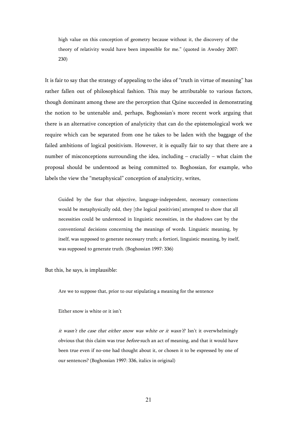high value on this conception of geometry because without it, the discovery of the theory of relativity would have been impossible for me." (quoted in Awodey 2007: 230)

It is fair to say that the strategy of appealing to the idea of "truth in virtue of meaning" has rather fallen out of philosophical fashion. This may be attributable to various factors, though dominant among these are the perception that Quine succeeded in demonstrating the notion to be untenable and, perhaps, Boghossian's more recent work arguing that there is an alternative conception of analyticity that can do the epistemological work we require which can be separated from one he takes to be laden with the baggage of the failed ambitions of logical positivism. However, it is equally fair to say that there are a number of misconceptions surrounding the idea, including – crucially – what claim the proposal should be understood as being committed to. Boghossian, for example, who labels the view the "metaphysical" conception of analyticity, writes,

Guided by the fear that objective, language-independent, necessary connections would be metaphysically odd, they [the logical positivists] attempted to show that all necessities could be understood in linguistic necessities, in the shadows cast by the conventional decisions concerning the meanings of words. Linguistic meaning, by itself, was supposed to generate necessary truth; a fortiori, linguistic meaning, by itself, was supposed to generate truth. (Boghossian 1997: 336)

But this, he says, is implausible:

Are we to suppose that, prior to our stipulating a meaning for the sentence

Either snow is white or it isn't

it wasn't the case that either snow was white or it wasn't? Isn't it overwhelmingly obvious that this claim was true *before* such an act of meaning, and that it would have been true even if no-one had thought about it, or chosen it to be expressed by one of our sentences? (Boghossian 1997: 336, italics in original)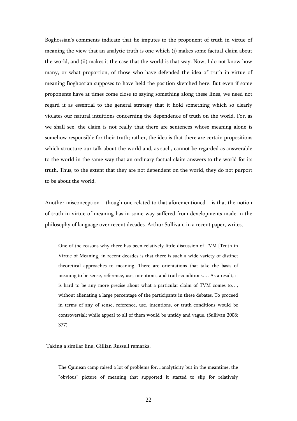Boghossian's comments indicate that he imputes to the proponent of truth in virtue of meaning the view that an analytic truth is one which (i) makes some factual claim about the world, and (ii) makes it the case that the world is that way. Now, I do not know how many, or what proportion, of those who have defended the idea of truth in virtue of meaning Boghossian supposes to have held the position sketched here. But even if some proponents have at times come close to saying something along these lines, we need not regard it as essential to the general strategy that it hold something which so clearly violates our natural intuitions concerning the dependence of truth on the world. For, as we shall see, the claim is not really that there are sentences whose meaning alone is somehow responsible for their truth; rather, the idea is that there are certain propositions which structure our talk about the world and, as such, cannot be regarded as answerable to the world in the same way that an ordinary factual claim answers to the world for its truth. Thus, to the extent that they are not dependent on the world, they do not purport to be about the world.

Another misconception – though one related to that aforementioned – is that the notion of truth in virtue of meaning has in some way suffered from developments made in the philosophy of language over recent decades. Arthur Sullivan, in a recent paper, writes,

One of the reasons why there has been relatively little discussion of TVM [Truth in Virtue of Meaning] in recent decades is that there is such a wide variety of distinct theoretical approaches to meaning. There are orientations that take the basis of meaning to be sense, reference, use, intentions, and truth-conditions…. As a result, it is hard to be any more precise about what a particular claim of TVM comes to…, without alienating a large percentage of the participants in these debates. To proceed in terms of any of sense, reference, use, intentions, or truth-conditions would be controversial; while appeal to all of them would be untidy and vague. (Sullivan 2008: 377)

Taking a similar line, Gillian Russell remarks,

The Quinean camp raised a lot of problems for…analyticity but in the meantime, the "obvious" picture of meaning that supported it started to slip for relatively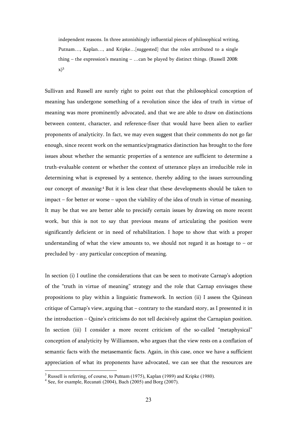independent reasons. In three astonishingly influential pieces of philosophical writing, Putnam…, Kaplan…, and Kripke…[suggested] that the roles attributed to a single thing – the expression's meaning – …can be played by distinct things. (Russell 2008:  $(x)^3$ 

Sullivan and Russell are surely right to point out that the philosophical conception of meaning has undergone something of a revolution since the idea of truth in virtue of meaning was more prominently advocated, and that we are able to draw on distinctions between content, character, and reference-fixer that would have been alien to earlier proponents of analyticity. In fact, we may even suggest that their comments do not go far enough, since recent work on the semantics/pragmatics distinction has brought to the fore issues about whether the semantic properties of a sentence are sufficient to determine a truth-evaluable content or whether the context of utterance plays an irreducible role in determining what is expressed by a sentence, thereby adding to the issues surrounding our concept of *meaning*.<sup>4</sup> But it is less clear that these developments should be taken to impact – for better or worse – upon the viability of the idea of truth in virtue of meaning. It may be that we are better able to precisify certain issues by drawing on more recent work, but this is not to say that previous means of articulating the position were significantly deficient or in need of rehabilitation. I hope to show that with a proper understanding of what the view amounts to, we should not regard it as hostage to  $-$  or precluded by - any particular conception of meaning.

In section (i) I outline the considerations that can be seen to motivate Carnap's adoption of the "truth in virtue of meaning" strategy and the role that Carnap envisages these propositions to play within a linguistic framework. In section (ii) I assess the Quinean critique of Carnap's view, arguing that – contrary to the standard story, as I presented it in the introduction – Quine's criticisms do not tell decisively against the Carnapian position. In section (iii) I consider a more recent criticism of the so-called "metaphysical" conception of analyticity by Williamson, who argues that the view rests on a conflation of semantic facts with the metasemantic facts. Again, in this case, once we have a sufficient appreciation of what its proponents have advocated, we can see that the resources are

 $3$  Russell is referring, of course, to Putnam (1975), Kaplan (1989) and Kripke (1980).

<sup>4</sup> See, for example, Recanati (2004), Bach (2005) and Borg (2007).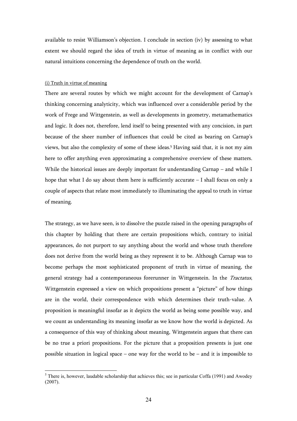available to resist Williamson's objection. I conclude in section (iv) by assessing to what extent we should regard the idea of truth in virtue of meaning as in conflict with our natural intuitions concerning the dependence of truth on the world.

#### (i) Truth in virtue of meaning

 $\overline{a}$ 

There are several routes by which we might account for the development of Carnap's thinking concerning analyticity, which was influenced over a considerable period by the work of Frege and Wittgenstein, as well as developments in geometry, metamathematics and logic. It does not, therefore, lend itself to being presented with any concision, in part because of the sheer number of influences that could be cited as bearing on Carnap's views, but also the complexity of some of these ideas.<sup>5</sup> Having said that, it is not my aim here to offer anything even approximating a comprehensive overview of these matters. While the historical issues are deeply important for understanding Carnap – and while I hope that what I do say about them here is sufficiently accurate  $-$  I shall focus on only a couple of aspects that relate most immediately to illuminating the appeal to truth in virtue of meaning.

The strategy, as we have seen, is to dissolve the puzzle raised in the opening paragraphs of this chapter by holding that there are certain propositions which, contrary to initial appearances, do not purport to say anything about the world and whose truth therefore does not derive from the world being as they represent it to be. Although Carnap was to become perhaps the most sophisticated proponent of truth in virtue of meaning, the general strategy had a contemporaneous forerunner in Wittgenstein. In the Tractatus, Wittgenstein expressed a view on which propositions present a "picture" of how things are in the world, their correspondence with which determines their truth-value. A proposition is meaningful insofar as it depicts the world as being some possible way, and we count as understanding its meaning insofar as we know how the world is depicted. As a consequence of this way of thinking about meaning, Wittgenstein argues that there can be no true a priori propositions. For the picture that a proposition presents is just one possible situation in logical space – one way for the world to be – and it is impossible to

 $<sup>5</sup>$  There is, however, laudable scholarship that achieves this; see in particular Coffa (1991) and Awodey</sup>  $(2007)$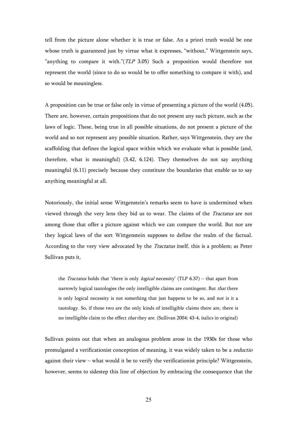tell from the picture alone whether it is true or false. An a priori truth would be one whose truth is guaranteed just by virtue what it expresses, "without," Wittgenstein says, "anything to compare it with."  $(TLP 3.05)$  Such a proposition would therefore not represent the world (since to do so would be to offer something to compare it with), and so would be meaningless.

A proposition can be true or false only in virtue of presenting a picture of the world (4.05). There are, however, certain propositions that do not present any such picture, such as the laws of logic. These, being true in all possible situations, do not present a picture of the world and so not represent any possible situation. Rather, says Wittgenstein, they are the scaffolding that defines the logical space within which we evaluate what is possible (and, therefore, what is meaningful) (3.42, 6.124). They themselves do not say anything meaningful (6.11) precisely because they constitute the boundaries that enable us to say anything meaningful at all.

Notoriously, the initial sense Wittgenstein's remarks seem to have is undermined when viewed through the very lens they bid us to wear. The claims of the Tractatus are not among those that offer a picture against which we can compare the world. But nor are they logical laws of the sort Wittgenstein supposes to define the realm of the factual. According to the very view advocated by the *Tractatus* itself, this is a problem; as Peter Sullivan puts it,

the *Tractatus* holds that 'there is only *logical* necessity' (TLP  $6.37$ ) – that apart from narrowly logical tautologies the only intelligible claims are contingent. But *that* there is only logical necessity is not something that just happens to be so, and nor is it a tautology. So, if those two are the only kinds of intelligible claims there are, there is no intelligible claim to the effect that they are. (Sullivan 2004: 43-4, italics in original)

Sullivan points out that when an analogous problem arose in the 1930s for those who promulgated a verificationist conception of meaning, it was widely taken to be a reductio against their view – what would it be to verify the verificationist principle? Wittgenstein, however, seems to sidestep this line of objection by embracing the consequence that the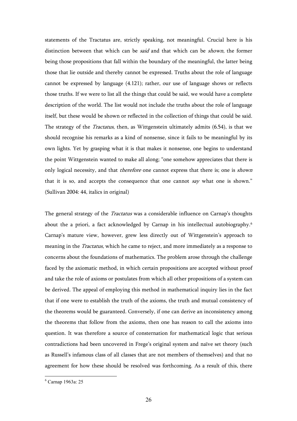statements of the Tractatus are, strictly speaking, not meaningful. Crucial here is his distinction between that which can be *said* and that which can be *shown*, the former being those propositions that fall within the boundary of the meaningful, the latter being those that lie outside and thereby cannot be expressed. Truths about the role of language cannot be expressed by language (4.121); rather, our use of language shows or reflects those truths. If we were to list all the things that could be said, we would have a complete description of the world. The list would not include the truths about the role of language itself, but these would be shown or reflected in the collection of things that could be said. The strategy of the *Tractatus*, then, as Wittgenstein ultimately admits (6.54), is that we should recognise his remarks as a kind of nonsense, since it fails to be meaningful by its own lights. Yet by grasping what it is that makes it nonsense, one begins to understand the point Wittgenstein wanted to make all along; "one somehow appreciates that there is only logical necessity, and that *therefore* one cannot express that there is; one is *shown* that it is so, and accepts the consequence that one cannot say what one is shown." (Sullivan 2004: 44, italics in original)

The general strategy of the *Tractatus* was a considerable influence on Carnap's thoughts about the a priori, a fact acknowledged by Carnap in his intellectual autobiography.<sup>6</sup> Carnap's mature view, however, grew less directly out of Wittgenstein's approach to meaning in the *Tractatus*, which he came to reject, and more immediately as a response to concerns about the foundations of mathematics. The problem arose through the challenge faced by the axiomatic method, in which certain propositions are accepted without proof and take the role of axioms or postulates from which all other propositions of a system can be derived. The appeal of employing this method in mathematical inquiry lies in the fact that if one were to establish the truth of the axioms, the truth and mutual consistency of the theorems would be guaranteed. Conversely, if one can derive an inconsistency among the theorems that follow from the axioms, then one has reason to call the axioms into question. It was therefore a source of consternation for mathematical logic that serious contradictions had been uncovered in Frege's original system and naïve set theory (such as Russell's infamous class of all classes that are not members of themselves) and that no agreement for how these should be resolved was forthcoming. As a result of this, there

 6 Carnap 1963a: 25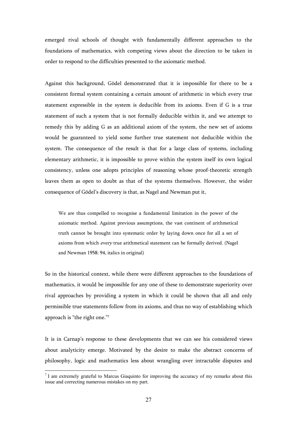emerged rival schools of thought with fundamentally different approaches to the foundations of mathematics, with competing views about the direction to be taken in order to respond to the difficulties presented to the axiomatic method.

Against this background, Gödel demonstrated that it is impossible for there to be a consistent formal system containing a certain amount of arithmetic in which every true statement expressible in the system is deducible from its axioms. Even if G is a true statement of such a system that is not formally deducible within it, and we attempt to remedy this by adding G as an additional axiom of the system, the new set of axioms would be guaranteed to yield some further true statement not deducible within the system. The consequence of the result is that for a large class of systems, including elementary arithmetic, it is impossible to prove within the system itself its own logical consistency, unless one adopts principles of reasoning whose proof-theoretic strength leaves them as open to doubt as that of the systems themselves. However, the wider consequence of Gödel's discovery is that, as Nagel and Newman put it,

We are thus compelled to recognise a fundamental limitation in the power of the axiomatic method. Against previous assumptions, the vast continent of arithmetical truth cannot be brought into systematic order by laying down once for all a set of axioms from which every true arithmetical statement can be formally derived. (Nagel and Newman 1958: 94, italics in original)

So in the historical context, while there were different approaches to the foundations of mathematics, it would be impossible for any one of these to demonstrate superiority over rival approaches by providing a system in which it could be shown that all and only permissible true statements follow from its axioms, and thus no way of establishing which approach is "the right one."<sup>7</sup>

It is in Carnap's response to these developments that we can see his considered views about analyticity emerge. Motivated by the desire to make the abstract concerns of philosophy, logic and mathematics less about wrangling over intractable disputes and

 $7$  I am extremely grateful to Marcus Giaquinto for improving the accuracy of my remarks about this issue and correcting numerous mistakes on my part.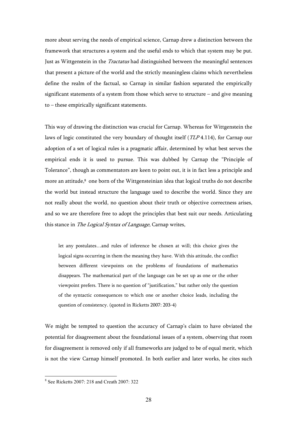more about serving the needs of empirical science, Carnap drew a distinction between the framework that structures a system and the useful ends to which that system may be put. Just as Wittgenstein in the *Tractatus* had distinguished between the meaningful sentences that present a picture of the world and the strictly meaningless claims which nevertheless define the realm of the factual, so Carnap in similar fashion separated the empirically significant statements of a system from those which serve to structure  $-$  and give meaning to – these empirically significant statements.

This way of drawing the distinction was crucial for Carnap. Whereas for Wittgenstein the laws of logic constituted the very boundary of thought itself (TLP 4.114), for Carnap our adoption of a set of logical rules is a pragmatic affair, determined by what best serves the empirical ends it is used to pursue. This was dubbed by Carnap the "Principle of Tolerance", though as commentators are keen to point out, it is in fact less a principle and more an attitude,<sup>8</sup> one born of the Wittgensteinian idea that logical truths do not describe the world but instead structure the language used to describe the world. Since they are not really about the world, no question about their truth or objective correctness arises, and so we are therefore free to adopt the principles that best suit our needs. Articulating this stance in *The Logical Syntax of Language*, Carnap writes,

let any postulates…and rules of inference be chosen at will; this choice gives the logical signs occurring in them the meaning they have. With this attitude, the conflict between different viewpoints on the problems of foundations of mathematics disappears. The mathematical part of the language can be set up as one or the other viewpoint prefers. There is no question of "justification," but rather only the question of the syntactic consequences to which one or another choice leads, including the question of consistency. (quoted in Ricketts 2007: 203-4)

We might be tempted to question the accuracy of Carnap's claim to have obviated the potential for disagreement about the foundational issues of a system, observing that room for disagreement is removed only if all frameworks are judged to be of equal merit, which is not the view Carnap himself promoted. In both earlier and later works, he cites such

 8 See Ricketts 2007: 218 and Creath 2007: 322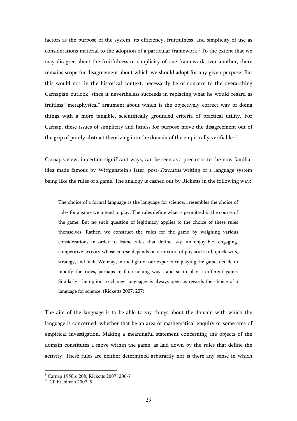factors as the purpose of the system, its efficiency, fruitfulness, and simplicity of use as considerations material to the adoption of a particular framework.<sup>9</sup> To the extent that we may disagree about the fruitfulness or simplicity of one framework over another, there remains scope for disagreement about which we should adopt for any given purpose. But this would not, in the historical context, necessarily be of concern to the overarching Carnapian outlook, since it nevertheless succeeds in replacing what he would regard as fruitless "metaphysical" argument about which is the objectively correct way of doing things with a more tangible, scientifically grounded criteria of practical utility. For Carnap, these issues of simplicity and fitness for purpose move the disagreement out of the grip of purely abstract theorizing into the domain of the empirically verifiable.<sup>10</sup>

Carnap's view, in certain significant ways, can be seen as a precursor to the now familiar idea made famous by Wittgenstein's later, post-Tractatus writing of a language system being like the rules of a game. The analogy is cashed out by Ricketts in the following way:

The choice of a formal language as the language for science…resembles the choice of rules for a game we intend to play. The rules define what is permitted in the course of the game. But no such question of legitimacy applies to the choice of these rules themselves. Rather, we construct the rules for the game by weighing various considerations in order to frame rules that define, say, an enjoyable, engaging, competitive activity whose course depends on a mixture of physical skill, quick wits, strategy, and luck. We may, in the light of our experience playing the game, decide to modify the rules, perhaps in far-reaching ways, and so to play a different game. Similarly, the option to change languages is always open as regards the choice of a language for science. (Ricketts 2007: 207)

The aim of the language is to be able to say things about the domain with which the language is concerned, whether that be an area of mathematical enquiry or some area of empirical investigation. Making a meaningful statement concerning the objects of the domain constitutes a move within the game, as laid down by the rules that define the activity. These rules are neither determined arbitrarily nor is there any sense in which

<sup>9</sup> Carnap 1956b: 208; Ricketts 2007: 206-7

 $10 \text{ C}$ f. Friedman 2007: 9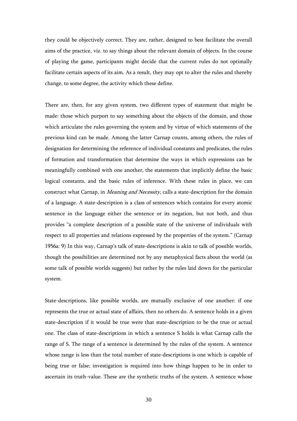they could be objectively correct. They are, rather, designed to best facilitate the overall aims of the practice, viz. to say things about the relevant domain of objects. In the course of playing the game, participants might decide that the current rules do not optimally facilitate certain aspects of its aim. As a result, they may opt to alter the rules and thereby change, to some degree, the activity which these define.

There are, then, for any given system, two different types of statement that might be made: those which purport to say something about the objects of the domain, and those which articulate the rules governing the system and by virtue of which statements of the previous kind can be made. Among the latter Carnap counts, among others, the rules of designation for determining the reference of individual constants and predicates, the rules of formation and transformation that determine the ways in which expressions can be meaningfully combined with one another, the statements that implicitly define the basic logical constants, and the basic rules of inference. With these rules in place, we can construct what Carnap, in *Meaning and Necessity*, calls a state-description for the domain of a language. A state-description is a class of sentences which contains for every atomic sentence in the language either the sentence or its negation, but not both, and thus provides "a complete description of a possible state of the universe of individuals with respect to all properties and relations expressed by the properties of the system." (Carnap 1956a: 9) In this way, Carnap's talk of state-descriptions is akin to talk of possible worlds, though the possibilities are determined not by any metaphysical facts about the world (as some talk of possible worlds suggests) but rather by the rules laid down for the particular system.

State-descriptions, like possible worlds, are mutually exclusive of one another: if one represents the true or actual state of affairs, then no others do. A sentence holds in a given state-description if it would be true were that state-description to be the true or actual one. The class of state-descriptions in which a sentence S holds is what Carnap calls the range of S. The range of a sentence is determined by the rules of the system. A sentence whose range is less than the total number of state-descriptions is one which is capable of being true or false; investigation is required into how things happen to be in order to ascertain its truth-value. These are the synthetic truths of the system. A sentence whose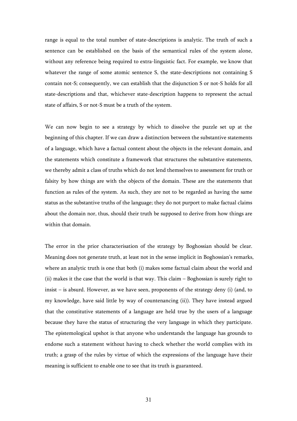range is equal to the total number of state-descriptions is analytic. The truth of such a sentence can be established on the basis of the semantical rules of the system alone, without any reference being required to extra-linguistic fact. For example, we know that whatever the range of some atomic sentence S, the state-descriptions not containing S contain not-S; consequently, we can establish that the disjunction S or not-S holds for all state-descriptions and that, whichever state-description happens to represent the actual state of affairs, S or not-S must be a truth of the system.

We can now begin to see a strategy by which to dissolve the puzzle set up at the beginning of this chapter. If we can draw a distinction between the substantive statements of a language, which have a factual content about the objects in the relevant domain, and the statements which constitute a framework that structures the substantive statements, we thereby admit a class of truths which do not lend themselves to assessment for truth or falsity by how things are with the objects of the domain. These are the statements that function as rules of the system. As such, they are not to be regarded as having the same status as the substantive truths of the language; they do not purport to make factual claims about the domain nor, thus, should their truth be supposed to derive from how things are within that domain.

The error in the prior characterisation of the strategy by Boghossian should be clear. Meaning does not generate truth, at least not in the sense implicit in Boghossian's remarks, where an analytic truth is one that both (i) makes some factual claim about the world and (ii) makes it the case that the world is that way. This claim – Boghossian is surely right to insist – is absurd. However, as we have seen, proponents of the strategy deny (i) (and, to my knowledge, have said little by way of countenancing (ii)). They have instead argued that the constitutive statements of a language are held true by the users of a language because they have the status of structuring the very language in which they participate. The epistemological upshot is that anyone who understands the language has grounds to endorse such a statement without having to check whether the world complies with its truth; a grasp of the rules by virtue of which the expressions of the language have their meaning is sufficient to enable one to see that its truth is guaranteed.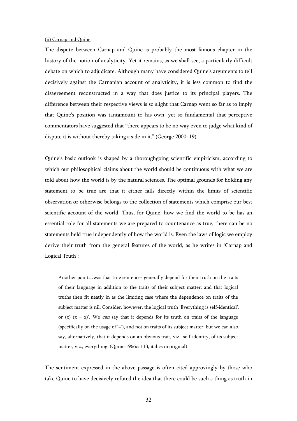#### (ii) Carnap and Quine

The dispute between Carnap and Quine is probably the most famous chapter in the history of the notion of analyticity. Yet it remains, as we shall see, a particularly difficult debate on which to adjudicate. Although many have considered Quine's arguments to tell decisively against the Carnapian account of analyticity, it is less common to find the disagreement reconstructed in a way that does justice to its principal players. The difference between their respective views is so slight that Carnap went so far as to imply that Quine's position was tantamount to his own, yet so fundamental that perceptive commentators have suggested that "there appears to be no way even to judge what kind of dispute it is without thereby taking a side in it." (George 2000: 19)

Quine's basic outlook is shaped by a thoroughgoing scientific empiricism, according to which our philosophical claims about the world should be continuous with what we are told about how the world is by the natural sciences. The optimal grounds for holding any statement to be true are that it either falls directly within the limits of scientific observation or otherwise belongs to the collection of statements which comprise our best scientific account of the world. Thus, for Quine, how we find the world to be has an essential role for all statements we are prepared to countenance as true; there can be no statements held true independently of how the world is. Even the laws of logic we employ derive their truth from the general features of the world, as he writes in 'Carnap and Logical Truth':

Another point…was that true sentences generally depend for their truth on the traits of their language in addition to the traits of their subject matter; and that logical truths then fit neatly in as the limiting case where the dependence on traits of the subject matter is nil. Consider, however, the logical truth 'Everything is self-identical', or (x)  $(x = x)$ . We *can* say that it depends for its truth on traits of the language (specifically on the usage of  $\dot{=}$ ), and not on traits of its subject matter; but we can also say, alternatively, that it depends on an obvious trait, viz., self-identity, of its subject matter, viz., everything. (Quine 1966c: 113, italics in original)

The sentiment expressed in the above passage is often cited approvingly by those who take Quine to have decisively refuted the idea that there could be such a thing as truth in

32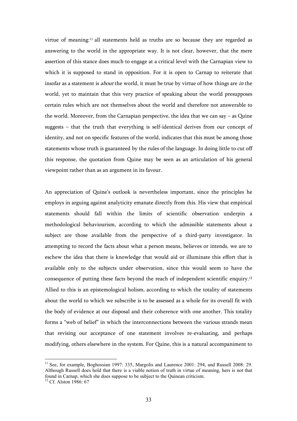virtue of meaning:11 all statements held as truths are so because they are regarded as answering to the world in the appropriate way. It is not clear, however, that the mere assertion of this stance does much to engage at a critical level with the Carnapian view to which it is supposed to stand in opposition. For it is open to Carnap to reiterate that insofar as a statement is *about* the world, it must be true by virtue of how things are *in* the world, yet to maintain that this very practice of speaking about the world presupposes certain rules which are not themselves about the world and therefore not answerable to the world. Moreover, from the Carnapian perspective, the idea that we can say – as Quine suggests – that the truth that everything is self-identical derives from our concept of identity, and not on specific features of the world, indicates that this must be among those statements whose truth is guaranteed by the rules of the language. In doing little to cut off this response, the quotation from Quine may be seen as an articulation of his general viewpoint rather than as an argument in its favour.

An appreciation of Quine's outlook is nevertheless important, since the principles he employs in arguing against analyticity emanate directly from this. His view that empirical statements should fall within the limits of scientific observation underpin a methodological behaviourism, according to which the admissible statements about a subject are those available from the perspective of a third-party investigator. In attempting to record the facts about what a person means, believes or intends, we are to eschew the idea that there is knowledge that would aid or illuminate this effort that is available only to the subjects under observation, since this would seem to have the consequence of putting these facts beyond the reach of independent scientific enquiry.<sup>12</sup> Allied to this is an epistemological holism, according to which the totality of statements about the world to which we subscribe is to be assessed as a whole for its overall fit with the body of evidence at our disposal and their coherence with one another. This totality forms a "web of belief" in which the interconnections between the various strands mean that revising our acceptance of one statement involves re-evaluating, and perhaps modifying, others elsewhere in the system. For Quine, this is a natural accompaniment to

<sup>&</sup>lt;sup>11</sup> See, for example, Boghossian 1997: 335, Margolis and Laurence 2001: 294, and Russell 2008: 29. Although Russell does hold that there is a viable notion of truth in virtue of meaning, hers is not that found in Carnap, which she does suppose to be subject to the Quinean criticism.

 $12$  Cf. Alston 1986: 67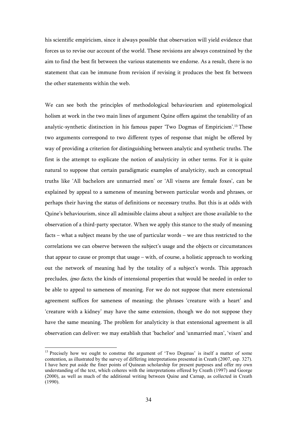his scientific empiricism, since it always possible that observation will yield evidence that forces us to revise our account of the world. These revisions are always constrained by the aim to find the best fit between the various statements we endorse. As a result, there is no statement that can be immune from revision if revising it produces the best fit between the other statements within the web.

We can see both the principles of methodological behaviourism and epistemological holism at work in the two main lines of argument Quine offers against the tenability of an analytic-synthetic distinction in his famous paper 'Two Dogmas of Empiricism'.13 These two arguments correspond to two different types of response that might be offered by way of providing a criterion for distinguishing between analytic and synthetic truths. The first is the attempt to explicate the notion of analyticity in other terms. For it is quite natural to suppose that certain paradigmatic examples of analyticity, such as conceptual truths like 'All bachelors are unmarried men' or 'All vixens are female foxes', can be explained by appeal to a sameness of meaning between particular words and phrases, or perhaps their having the status of definitions or necessary truths. But this is at odds with Quine's behaviourism, since all admissible claims about a subject are those available to the observation of a third-party spectator. When we apply this stance to the study of meaning facts – what a subject means by the use of particular words – we are thus restricted to the correlations we can observe between the subject's usage and the objects or circumstances that appear to cause or prompt that usage – with, of course, a holistic approach to working out the network of meaning had by the totality of a subject's words. This approach precludes, *ipso facto*, the kinds of intensional properties that would be needed in order to be able to appeal to sameness of meaning. For we do not suppose that mere extensional agreement suffices for sameness of meaning; the phrases 'creature with a heart' and 'creature with a kidney' may have the same extension, though we do not suppose they have the same meaning. The problem for analyticity is that extensional agreement is all observation can deliver: we may establish that 'bachelor' and 'unmarried man', 'vixen' and

<sup>&</sup>lt;sup>13</sup> Precisely how we ought to construe the argument of 'Two Dogmas' is itself a matter of some contention, as illustrated by the survey of differing interpretations presented in Creath (2007, esp. 327). I have here put aside the finer points of Quinean scholarship for present purposes and offer my own understanding of the text, which coheres with the interpretations offered by Creath (1997) and George (2000), as well as much of the additional writing between Quine and Carnap, as collected in Creath (1990).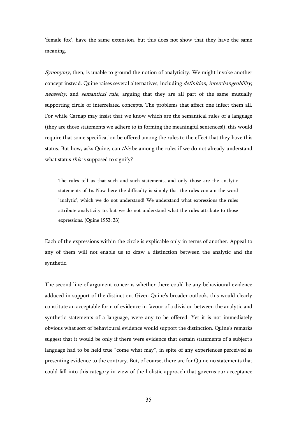'female fox', have the same extension, but this does not show that they have the same meaning.

 $Synonymy$ , then, is unable to ground the notion of analyticity. We might invoke another concept instead. Quine raises several alternatives, including definition, interchangeability, necessity, and semantical rule, arguing that they are all part of the same mutually supporting circle of interrelated concepts. The problems that affect one infect them all. For while Carnap may insist that we know which are the semantical rules of a language (they are those statements we adhere to in forming the meaningful sentences!), this would require that some specification be offered among the rules to the effect that they have this status. But how, asks Quine, can *this* be among the rules if we do not already understand what status *this* is supposed to signify?

The rules tell us that such and such statements, and only those are the analytic statements of L0. Now here the difficulty is simply that the rules contain the word 'analytic', which we do not understand! We understand what expressions the rules attribute analyticity to, but we do not understand what the rules attribute to those expressions. (Quine 1953: 33)

Each of the expressions within the circle is explicable only in terms of another. Appeal to any of them will not enable us to draw a distinction between the analytic and the synthetic.

The second line of argument concerns whether there could be any behavioural evidence adduced in support of the distinction. Given Quine's broader outlook, this would clearly constitute an acceptable form of evidence in favour of a division between the analytic and synthetic statements of a language, were any to be offered. Yet it is not immediately obvious what sort of behavioural evidence would support the distinction. Quine's remarks suggest that it would be only if there were evidence that certain statements of a subject's language had to be held true "come what may", in spite of any experiences perceived as presenting evidence to the contrary. But, of course, there are for Quine no statements that could fall into this category in view of the holistic approach that governs our acceptance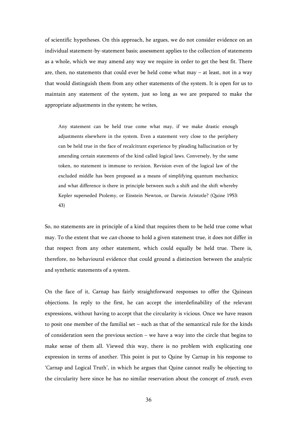of scientific hypotheses. On this approach, he argues, we do not consider evidence on an individual statement-by-statement basis; assessment applies to the collection of statements as a whole, which we may amend any way we require in order to get the best fit. There are, then, no statements that could ever be held come what may – at least, not in a way that would distinguish them from any other statements of the system. It is open for us to maintain any statement of the system, just so long as we are prepared to make the appropriate adjustments in the system; he writes,

Any statement can be held true come what may, if we make drastic enough adjustments elsewhere in the system. Even a statement very close to the periphery can be held true in the face of recalcitrant experience by pleading hallucination or by amending certain statements of the kind called logical laws. Conversely, by the same token, no statement is immune to revision. Revision even of the logical law of the excluded middle has been proposed as a means of simplifying quantum mechanics; and what difference is there in principle between such a shift and the shift whereby Kepler superseded Ptolemy, or Einstein Newton, or Darwin Aristotle? (Quine 1953: 43)

So, no statements are in principle of a kind that requires them to be held true come what may. To the extent that we *can* choose to hold a given statement true, it does not differ in that respect from any other statement, which could equally be held true. There is, therefore, no behavioural evidence that could ground a distinction between the analytic and synthetic statements of a system.

On the face of it, Carnap has fairly straightforward responses to offer the Quinean objections. In reply to the first, he can accept the interdefinability of the relevant expressions, without having to accept that the circularity is vicious. Once we have reason to posit one member of the familial set – such as that of the semantical rule for the kinds of consideration seen the previous section – we have a way into the circle that begins to make sense of them all. Viewed this way, there is no problem with explicating one expression in terms of another. This point is put to Quine by Carnap in his response to 'Carnap and Logical Truth', in which he argues that Quine cannot really be objecting to the circularity here since he has no similar reservation about the concept of *truth*, even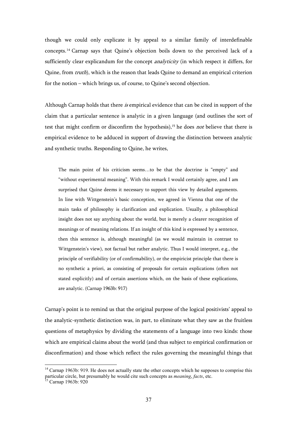though we could only explicate it by appeal to a similar family of interdefinable concepts.14 Carnap says that Quine's objection boils down to the perceived lack of a sufficiently clear explicandum for the concept *analyticity* (in which respect it differs, for Quine, from *truth*), which is the reason that leads Quine to demand an empirical criterion for the notion – which brings us, of course, to Quine's second objection.

Although Carnap holds that there is empirical evidence that can be cited in support of the claim that a particular sentence is analytic in a given language (and outlines the sort of test that might confirm or disconfirm the hypothesis),<sup>15</sup> he does *not* believe that there is empirical evidence to be adduced in support of drawing the distinction between analytic and synthetic truths. Responding to Quine, he writes,

The main point of his criticism seems…to be that the doctrine is "empty" and "without experimental meaning". With this remark I would certainly agree, and I am surprised that Quine deems it necessary to support this view by detailed arguments. In line with Wittgenstein's basic conception, we agreed in Vienna that one of the main tasks of philosophy is clarification and explication. Usually, a philosophical insight does not say anything about the world, but is merely a clearer recognition of meanings or of meaning relations. If an insight of this kind is expressed by a sentence, then this sentence is, although meaningful (as we would maintain in contrast to Wittgenstein's view), not factual but rather analytic. Thus I would interpret, e.g., the principle of verifiability (or of confirmability), or the empiricist principle that there is no synthetic a priori, as consisting of proposals for certain explications (often not stated explicitly) and of certain assertions which, on the basis of these explications, are analytic. (Carnap 1963b: 917)

Carnap's point is to remind us that the original purpose of the logical positivists' appeal to the analytic-synthetic distinction was, in part, to eliminate what they saw as the fruitless questions of metaphysics by dividing the statements of a language into two kinds: those which are empirical claims about the world (and thus subject to empirical confirmation or disconfirmation) and those which reflect the rules governing the meaningful things that

<sup>&</sup>lt;sup>14</sup> Carnap 1963b: 919. He does not actually state the other concepts which he supposes to comprise this particular circle, but presumably he would cite such concepts as *meaning*, *facts*, etc.

<sup>&</sup>lt;sup>15</sup> Carnap 1963b: 920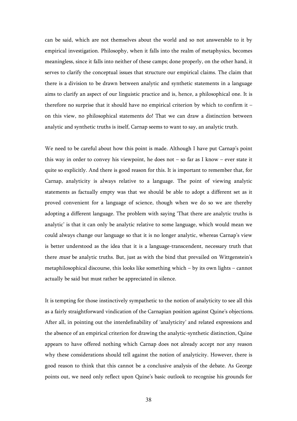can be said, which are not themselves about the world and so not answerable to it by empirical investigation. Philosophy, when it falls into the realm of metaphysics, becomes meaningless, since it falls into neither of these camps; done properly, on the other hand, it serves to clarify the conceptual issues that structure our empirical claims. The claim that there is a division to be drawn between analytic and synthetic statements in a language aims to clarify an aspect of our linguistic practice and is, hence, a philosophical one. It is therefore no surprise that it should have no empirical criterion by which to confirm it – on this view, no philosophical statements do! That we can draw a distinction between analytic and synthetic truths is itself, Carnap seems to want to say, an analytic truth.

We need to be careful about how this point is made. Although I have put Carnap's point this way in order to convey his viewpoint, he does not  $-$  so far as I know  $-$  ever state it quite so explicitly. And there is good reason for this. It is important to remember that, for Carnap, analyticity is always relative to a language. The point of viewing analytic statements as factually empty was that we should be able to adopt a different set as it proved convenient for a language of science, though when we do so we are thereby adopting a different language. The problem with saying 'That there are analytic truths is analytic' is that it can only be analytic relative to some language, which would mean we could always change our language so that it is no longer analytic, whereas Carnap's view is better understood as the idea that it is a language-transcendent, necessary truth that there *must* be analytic truths. But, just as with the bind that prevailed on Wittgenstein's metaphilosophical discourse, this looks like something which – by its own lights – cannot actually be said but must rather be appreciated in silence.

It is tempting for those instinctively sympathetic to the notion of analyticity to see all this as a fairly straightforward vindication of the Carnapian position against Quine's objections. After all, in pointing out the interdefinability of 'analyticity' and related expressions and the absence of an empirical criterion for drawing the analytic-synthetic distinction, Quine appears to have offered nothing which Carnap does not already accept nor any reason why these considerations should tell against the notion of analyticity. However, there is good reason to think that this cannot be a conclusive analysis of the debate. As George points out, we need only reflect upon Quine's basic outlook to recognise his grounds for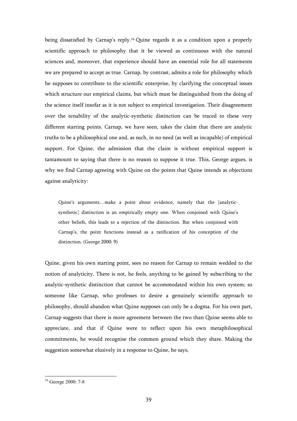being dissatisfied by Carnap's reply.16 Quine regards it as a condition upon a properly scientific approach to philosophy that it be viewed as continuous with the natural sciences and, moreover, that experience should have an essential role for all statements we are prepared to accept as true. Carnap, by contrast, admits a role for philosophy which he supposes to contribute to the scientific enterprise, by clarifying the conceptual issues which structure our empirical claims, but which must be distinguished from the doing of the science itself insofar as it is not subject to empirical investigation. Their disagreement over the tenability of the analytic-synthetic distinction can be traced to these very different starting points. Carnap, we have seen, takes the claim that there are analytic truths to be a philosophical one and, as such, in no need (as well as incapable) of empirical support. For Quine, the admission that the claim is without empirical support is tantamount to saying that there is no reason to suppose it true. This, George argues, is why we find Carnap agreeing with Quine on the points that Quine intends as objections against analyticity:

Quine's arguments…make a point about evidence, namely that the [analyticsynthetic] distinction is an empirically empty one. When conjoined with Quine's other beliefs, this leads to a rejection of the distinction. But when conjoined with Carnap's, the point functions instead as a ratification of his conception of the distinction. (George 2000: 9)

Quine, given his own starting point, sees no reason for Carnap to remain wedded to the notion of analyticity. There is not, he feels, anything to be gained by subscribing to the analytic-synthetic distinction that cannot be accommodated within his own system; so someone like Carnap, who professes to desire a genuinely scientific approach to philosophy, should abandon what Quine supposes can only be a dogma. For his own part, Carnap suggests that there is more agreement between the two than Quine seems able to appreciate, and that if Quine were to reflect upon his own metaphilosophical commitments, he would recognise the common ground which they share. Making the suggestion somewhat elusively in a response to Quine, he says,

<sup>16</sup> George 2000: 7-8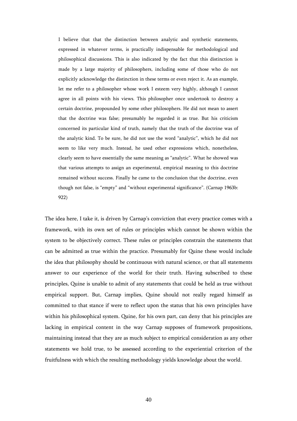I believe that that the distinction between analytic and synthetic statements, expressed in whatever terms, is practically indispensable for methodological and philosophical discussions. This is also indicated by the fact that this distinction is made by a large majority of philosophers, including some of those who do not explicitly acknowledge the distinction in these terms or even reject it. As an example, let me refer to a philosopher whose work I esteem very highly, although I cannot agree in all points with his views. This philosopher once undertook to destroy a certain doctrine, propounded by some other philosophers. He did not mean to assert that the doctrine was false; presumably he regarded it as true. But his criticism concerned its particular kind of truth, namely that the truth of the doctrine was of the analytic kind. To be sure, he did not use the word "analytic", which he did not seem to like very much. Instead, he used other expressions which, nonetheless, clearly seem to have essentially the same meaning as "analytic". What he showed was that various attempts to assign an experimental, empirical meaning to this doctrine remained without success. Finally he came to the conclusion that the doctrine, even though not false, is "empty" and "without experimental significance". (Carnap 1963b: 922)

The idea here, I take it, is driven by Carnap's conviction that every practice comes with a framework, with its own set of rules or principles which cannot be shown within the system to be objectively correct. These rules or principles constrain the statements that can be admitted as true within the practice. Presumably for Quine these would include the idea that philosophy should be continuous with natural science, or that all statements answer to our experience of the world for their truth. Having subscribed to these principles, Quine is unable to admit of any statements that could be held as true without empirical support. But, Carnap implies, Quine should not really regard himself as committed to that stance if were to reflect upon the status that his own principles have within his philosophical system. Quine, for his own part, can deny that his principles are lacking in empirical content in the way Carnap supposes of framework propositions, maintaining instead that they are as much subject to empirical consideration as any other statements we hold true, to be assessed according to the experiential criterion of the fruitfulness with which the resulting methodology yields knowledge about the world.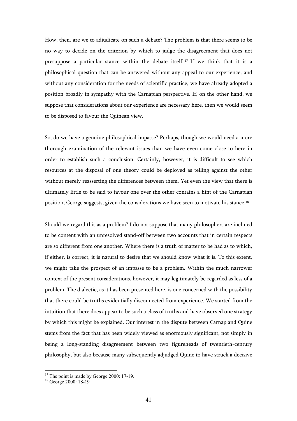How, then, are we to adjudicate on such a debate? The problem is that there seems to be no way to decide on the criterion by which to judge the disagreement that does not presuppose a particular stance within the debate itself. <sup>17</sup> If we think that it is a philosophical question that can be answered without any appeal to our experience, and without any consideration for the needs of scientific practice, we have already adopted a position broadly in sympathy with the Carnapian perspective. If, on the other hand, we suppose that considerations about our experience are necessary here, then we would seem to be disposed to favour the Quinean view.

So, do we have a genuine philosophical impasse? Perhaps, though we would need a more thorough examination of the relevant issues than we have even come close to here in order to establish such a conclusion. Certainly, however, it is difficult to see which resources at the disposal of one theory could be deployed as telling against the other without merely reasserting the differences between them. Yet even the view that there is ultimately little to be said to favour one over the other contains a hint of the Carnapian position, George suggests, given the considerations we have seen to motivate his stance.<sup>18</sup>

Should we regard this as a problem? I do not suppose that many philosophers are inclined to be content with an unresolved stand-off between two accounts that in certain respects are so different from one another. Where there is a truth of matter to be had as to which, if either, is correct, it is natural to desire that we should know what it is. To this extent, we might take the prospect of an impasse to be a problem. Within the much narrower context of the present considerations, however, it may legitimately be regarded as less of a problem. The dialectic, as it has been presented here, is one concerned with the possibility that there could be truths evidentially disconnected from experience. We started from the intuition that there does appear to be such a class of truths and have observed one strategy by which this might be explained. Our interest in the dispute between Carnap and Quine stems from the fact that has been widely viewed as enormously significant, not simply in being a long-standing disagreement between two figureheads of twentieth-century philosophy, but also because many subsequently adjudged Quine to have struck a decisive

 $17$  The point is made by George 2000: 17-19.

<sup>&</sup>lt;sup>18</sup> George 2000: 18-19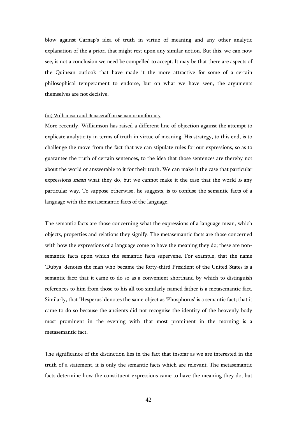blow against Carnap's idea of truth in virtue of meaning and any other analytic explanation of the a priori that might rest upon any similar notion. But this, we can now see, is not a conclusion we need be compelled to accept. It may be that there are aspects of the Quinean outlook that have made it the more attractive for some of a certain philosophical temperament to endorse, but on what we have seen, the arguments themselves are not decisive.

### (iii) Williamson and Benaceraff on semantic uniformity

More recently, Williamson has raised a different line of objection against the attempt to explicate analyticity in terms of truth in virtue of meaning. His strategy, to this end, is to challenge the move from the fact that we can stipulate rules for our expressions, so as to guarantee the truth of certain sentences, to the idea that those sentences are thereby not about the world or answerable to it for their truth. We can make it the case that particular expressions *mean* what they do, but we cannot make it the case that the world is any particular way. To suppose otherwise, he suggests, is to confuse the semantic facts of a language with the metasemantic facts of the language.

The semantic facts are those concerning what the expressions of a language mean, which objects, properties and relations they signify. The metasemantic facts are those concerned with how the expressions of a language come to have the meaning they do; these are nonsemantic facts upon which the semantic facts supervene. For example, that the name 'Dubya' denotes the man who became the forty-third President of the United States is a semantic fact; that it came to do so as a convenient shorthand by which to distinguish references to him from those to his all too similarly named father is a metasemantic fact. Similarly, that 'Hesperus' denotes the same object as 'Phosphorus' is a semantic fact; that it came to do so because the ancients did not recognise the identity of the heavenly body most prominent in the evening with that most prominent in the morning is a metasemantic fact.

The significance of the distinction lies in the fact that insofar as we are interested in the truth of a statement, it is only the semantic facts which are relevant. The metasemantic facts determine how the constituent expressions came to have the meaning they do, but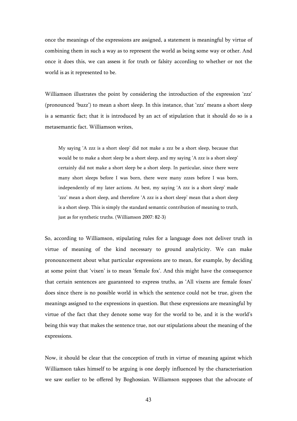once the meanings of the expressions are assigned, a statement is meaningful by virtue of combining them in such a way as to represent the world as being some way or other. And once it does this, we can assess it for truth or falsity according to whether or not the world is as it represented to be.

Williamson illustrates the point by considering the introduction of the expression 'zzz' (pronounced 'buzz') to mean a short sleep. In this instance, that 'zzz' means a short sleep is a semantic fact; that it is introduced by an act of stipulation that it should do so is a metasemantic fact. Williamson writes,

My saying 'A zzz is a short sleep' did not make a zzz be a short sleep, because that would be to make a short sleep be a short sleep, and my saying 'A zzz is a short sleep' certainly did not make a short sleep be a short sleep. In particular, since there were many short sleeps before I was born, there were many zzzes before I was born, independently of my later actions. At best, my saying 'A zzz is a short sleep' made 'zzz' mean a short sleep, and therefore 'A zzz is a short sleep' mean that a short sleep is a short sleep. This is simply the standard semantic contribution of meaning to truth, just as for synthetic truths. (Williamson 2007: 82-3)

So, according to Williamson, stipulating rules for a language does not deliver truth in virtue of meaning of the kind necessary to ground analyticity. We can make pronouncement about what particular expressions are to mean, for example, by deciding at some point that 'vixen' is to mean 'female fox'. And this might have the consequence that certain sentences are guaranteed to express truths, as 'All vixens are female foxes' does since there is no possible world in which the sentence could not be true, given the meanings assigned to the expressions in question. But these expressions are meaningful by virtue of the fact that they denote some way for the world to be, and it is the world's being this way that makes the sentence true, not our stipulations about the meaning of the expressions.

Now, it should be clear that the conception of truth in virtue of meaning against which Williamson takes himself to be arguing is one deeply influenced by the characterisation we saw earlier to be offered by Boghossian. Williamson supposes that the advocate of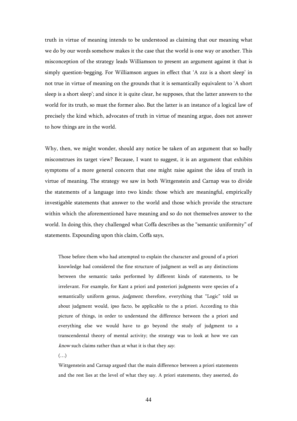truth in virtue of meaning intends to be understood as claiming that our meaning what we do by our words somehow makes it the case that the world is one way or another. This misconception of the strategy leads Williamson to present an argument against it that is simply question-begging. For Williamson argues in effect that 'A zzz is a short sleep' in not true in virtue of meaning on the grounds that it is semantically equivalent to 'A short sleep is a short sleep'; and since it is quite clear, he supposes, that the latter answers to the world for its truth, so must the former also. But the latter is an instance of a logical law of precisely the kind which, advocates of truth in virtue of meaning argue, does not answer to how things are in the world.

Why, then, we might wonder, should any notice be taken of an argument that so badly misconstrues its target view? Because, I want to suggest, it is an argument that exhibits symptoms of a more general concern that one might raise against the idea of truth in virtue of meaning. The strategy we saw in both Wittgenstein and Carnap was to divide the statements of a language into two kinds: those which are meaningful, empirically investigable statements that answer to the world and those which provide the structure within which the aforementioned have meaning and so do not themselves answer to the world. In doing this, they challenged what Coffa describes as the "semantic uniformity" of statements. Expounding upon this claim, Coffa says,

Those before them who had attempted to explain the character and ground of a priori knowledge had considered the fine structure of judgment as well as any distinctions between the semantic tasks performed by different kinds of statements, to be irrelevant. For example, for Kant a priori and posteriori judgments were species of a semantically uniform genus, *judgment*; therefore, everything that "Logic" told us about judgment would, ipso facto, be applicable to the a priori. According to this picture of things, in order to understand the difference between the a priori and everything else we would have to go beyond the study of judgment to a transcendental theory of mental activity; the strategy was to look at how we can know such claims rather than at what it is that they say.

 $(\ldots)$ 

Wittgenstein and Carnap argued that the main difference between a priori statements and the rest lies at the level of what they say. A priori statements, they asserted, do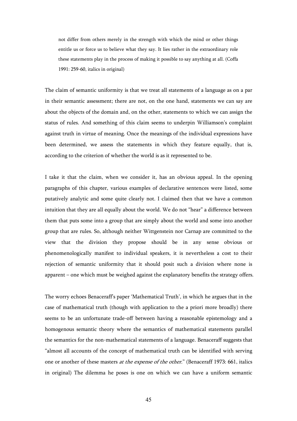not differ from others merely in the strength with which the mind or other things entitle us or force us to believe what they say. It lies rather in the extraordinary role these statements play in the process of making it possible to say anything at all. (Coffa 1991: 259-60, italics in original)

The claim of semantic uniformity is that we treat all statements of a language as on a par in their semantic assessment; there are not, on the one hand, statements we can say are about the objects of the domain and, on the other, statements to which we can assign the status of rules. And something of this claim seems to underpin Williamson's complaint against truth in virtue of meaning. Once the meanings of the individual expressions have been determined, we assess the statements in which they feature equally, that is, according to the criterion of whether the world is as it represented to be.

I take it that the claim, when we consider it, has an obvious appeal. In the opening paragraphs of this chapter, various examples of declarative sentences were listed, some putatively analytic and some quite clearly not. I claimed then that we have a common intuition that they are all equally about the world. We do not "hear" a difference between them that puts some into a group that are simply about the world and some into another group that are rules. So, although neither Wittgenstein nor Carnap are committed to the view that the division they propose should be in any sense obvious or phenomenologically manifest to individual speakers, it is nevertheless a cost to their rejection of semantic uniformity that it should posit such a division where none is apparent – one which must be weighed against the explanatory benefits the strategy offers.

The worry echoes Benaceraff's paper 'Mathematical Truth', in which he argues that in the case of mathematical truth (though with application to the a priori more broadly) there seems to be an unfortunate trade-off between having a reasonable epistemology and a homogenous semantic theory where the semantics of mathematical statements parallel the semantics for the non-mathematical statements of a language. Benaceraff suggests that "almost all accounts of the concept of mathematical truth can be identified with serving one or another of these masters *at the expense of the other.*" (Benaceraff 1973: 661, italics in original) The dilemma he poses is one on which we can have a uniform semantic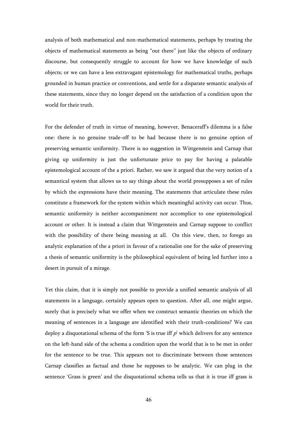analysis of both mathematical and non-mathematical statements, perhaps by treating the objects of mathematical statements as being "out there" just like the objects of ordinary discourse, but consequently struggle to account for how we have knowledge of such objects; or we can have a less extravagant epistemology for mathematical truths, perhaps grounded in human practice or conventions, and settle for a disparate semantic analysis of these statements, since they no longer depend on the satisfaction of a condition upon the world for their truth.

For the defender of truth in virtue of meaning, however, Benaceraff's dilemma is a false one: there is no genuine trade-off to be had because there is no genuine option of preserving semantic uniformity. There is no suggestion in Wittgenstein and Carnap that giving up uniformity is just the unfortunate price to pay for having a palatable epistemological account of the a priori. Rather, we saw it argued that the very notion of a semantical system that allows us to say things about the world presupposes a set of rules by which the expressions have their meaning. The statements that articulate these rules constitute a framework for the system within which meaningful activity can occur. Thus, semantic uniformity is neither accompaniment nor accomplice to one epistemological account or other. It is instead a claim that Wittgenstein and Carnap suppose to conflict with the possibility of there being meaning at all. On this view, then, to forego an analytic explanation of the a priori in favour of a rationalist one for the sake of preserving a thesis of semantic uniformity is the philosophical equivalent of being led further into a desert in pursuit of a mirage.

Yet this claim, that it is simply not possible to provide a unified semantic analysis of all statements in a language, certainly appears open to question. After all, one might argue, surely that is precisely what we offer when we construct semantic theories on which the meaning of sentences in a language are identified with their truth-conditions? We can deploy a disquotational schema of the form 'S is true iff  $p'$  which delivers for any sentence on the left-hand side of the schema a condition upon the world that is to be met in order for the sentence to be true. This appears not to discriminate between those sentences Carnap classifies as factual and those he supposes to be analytic. We can plug in the sentence 'Grass is green' and the disquotational schema tells us that it is true iff grass is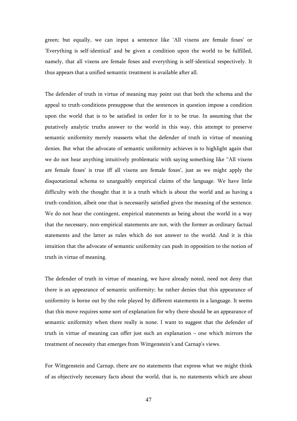green; but equally, we can input a sentence like 'All vixens are female foxes' or 'Everything is self-identical' and be given a condition upon the world to be fulfilled, namely, that all vixens are female foxes and everything is self-identical respectively. It thus appears that a unified semantic treatment is available after all.

The defender of truth in virtue of meaning may point out that both the schema and the appeal to truth-conditions presuppose that the sentences in question impose a condition upon the world that is to be satisfied in order for it to be true. In assuming that the putatively analytic truths answer to the world in this way, this attempt to preserve semantic uniformity merely reasserts what the defender of truth in virtue of meaning denies. But what the advocate of semantic uniformity achieves is to highlight again that we do not hear anything intuitively problematic with saying something like ''All vixens are female foxes' is true iff all vixens are female foxes', just as we might apply the disquotational schema to unarguably empirical claims of the language. We have little difficulty with the thought that it is a truth which is about the world and as having a truth-condition, albeit one that is necessarily satisfied given the meaning of the sentence. We do not hear the contingent, empirical statements as being about the world in a way that the necessary, non-empirical statements are not, with the former as ordinary factual statements and the latter as rules which do not answer to the world. And it is this intuition that the advocate of semantic uniformity can push in opposition to the notion of truth in virtue of meaning.

The defender of truth in virtue of meaning, we have already noted, need not deny that there is an appearance of semantic uniformity; he rather denies that this appearance of uniformity is borne out by the role played by different statements in a language. It seems that this move requires some sort of explanation for why there should be an appearance of semantic uniformity when there really is none. I want to suggest that the defender of truth in virtue of meaning can offer just such an explanation – one which mirrors the treatment of necessity that emerges from Wittgenstein's and Carnap's views.

For Wittgenstein and Carnap, there are no statements that express what we might think of as objectively necessary facts about the world, that is, no statements which are about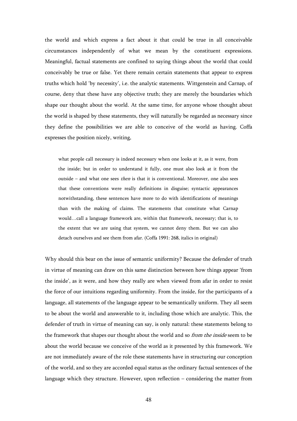the world and which express a fact about it that could be true in all conceivable circumstances independently of what we mean by the constituent expressions. Meaningful, factual statements are confined to saying things about the world that could conceivably be true or false. Yet there remain certain statements that appear to express truths which hold 'by necessity', i.e. the analytic statements. Wittgenstein and Carnap, of course, deny that these have any objective truth; they are merely the boundaries which shape our thought about the world. At the same time, for anyone whose thought about the world is shaped by these statements, they will naturally be regarded as necessary since they define the possibilities we are able to conceive of the world as having. Coffa expresses the position nicely, writing,

what people call necessary is indeed necessary when one looks at it, as it were, from the inside; but in order to understand it fully, one must also look at it from the outside – and what one sees then is that it is conventional. Moreover, one also sees that these conventions were really definitions in disguise; syntactic appearances notwithstanding, these sentences have more to do with identifications of meanings than with the making of claims. The statements that constitute what Carnap would…call a language framework are, within that framework, necessary; that is, to the extent that we are using that system, we cannot deny them. But we can also detach ourselves and see them from afar. (Coffa 1991: 268, italics in original)

Why should this bear on the issue of semantic uniformity? Because the defender of truth in virtue of meaning can draw on this same distinction between how things appear 'from the inside', as it were, and how they really are when viewed from afar in order to resist the force of our intuitions regarding uniformity. From the inside, for the participants of a language, all statements of the language appear to be semantically uniform. They all seem to be about the world and answerable to it, including those which are analytic. This, the defender of truth in virtue of meaning can say, is only natural: these statements belong to the framework that shapes our thought about the world and so *from the inside* seem to be about the world because we conceive of the world as it presented by this framework. We are not immediately aware of the role these statements have in structuring our conception of the world, and so they are accorded equal status as the ordinary factual sentences of the language which they structure. However, upon reflection – considering the matter from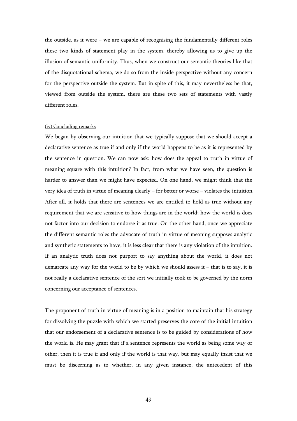the outside, as it were – we are capable of recognising the fundamentally different roles these two kinds of statement play in the system, thereby allowing us to give up the illusion of semantic uniformity. Thus, when we construct our semantic theories like that of the disquotational schema, we do so from the inside perspective without any concern for the perspective outside the system. But in spite of this, it may nevertheless be that, viewed from outside the system, there are these two sets of statements with vastly different roles.

## (iv) Concluding remarks

We began by observing our intuition that we typically suppose that we should accept a declarative sentence as true if and only if the world happens to be as it is represented by the sentence in question. We can now ask: how does the appeal to truth in virtue of meaning square with this intuition? In fact, from what we have seen, the question is harder to answer than we might have expected. On one hand, we might think that the very idea of truth in virtue of meaning clearly – for better or worse – violates the intuition. After all, it holds that there are sentences we are entitled to hold as true without any requirement that we are sensitive to how things are in the world; how the world is does not factor into our decision to endorse it as true. On the other hand, once we appreciate the different semantic roles the advocate of truth in virtue of meaning supposes analytic and synthetic statements to have, it is less clear that there is any violation of the intuition. If an analytic truth does not purport to say anything about the world, it does not demarcate any way for the world to be by which we should assess it – that is to say, it is not really a declarative sentence of the sort we initially took to be governed by the norm concerning our acceptance of sentences.

The proponent of truth in virtue of meaning is in a position to maintain that his strategy for dissolving the puzzle with which we started preserves the core of the initial intuition that our endorsement of a declarative sentence is to be guided by considerations of how the world is. He may grant that if a sentence represents the world as being some way or other, then it is true if and only if the world is that way, but may equally insist that we must be discerning as to whether, in any given instance, the antecedent of this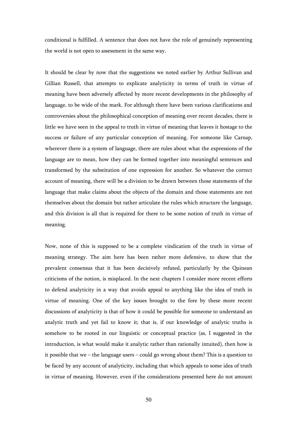conditional is fulfilled. A sentence that does not have the role of genuinely representing the world is not open to assessment in the same way.

It should be clear by now that the suggestions we noted earlier by Arthur Sullivan and Gillian Russell, that attempts to explicate analyticity in terms of truth in virtue of meaning have been adversely affected by more recent developments in the philosophy of language, to be wide of the mark. For although there have been various clarifications and controversies about the philosophical conception of meaning over recent decades, there is little we have seen in the appeal to truth in virtue of meaning that leaves it hostage to the success or failure of any particular conception of meaning. For someone like Carnap, wherever there is a system of language, there are rules about what the expressions of the language are to mean, how they can be formed together into meaningful sentences and transformed by the substitution of one expression for another. So whatever the correct account of meaning, there will be a division to be drawn between those statements of the language that make claims about the objects of the domain and those statements are not themselves about the domain but rather articulate the rules which structure the language, and this division is all that is required for there to be some notion of truth in virtue of meaning.

Now, none of this is supposed to be a complete vindication of the truth in virtue of meaning strategy. The aim here has been rather more defensive, to show that the prevalent consensus that it has been decisively refuted, particularly by the Quinean criticisms of the notion, is misplaced. In the next chapters I consider more recent efforts to defend analyticity in a way that avoids appeal to anything like the idea of truth in virtue of meaning. One of the key issues brought to the fore by these more recent discussions of analyticity is that of how it could be possible for someone to understand an analytic truth and yet fail to know it; that is, if our knowledge of analytic truths is somehow to be rooted in our linguistic or conceptual practice (as, I suggested in the introduction, is what would make it analytic rather than rationally intuited), then how is it possible that we – the language users – could go wrong about them? This is a question to be faced by any account of analyticity, including that which appeals to some idea of truth in virtue of meaning. However, even if the considerations presented here do not amount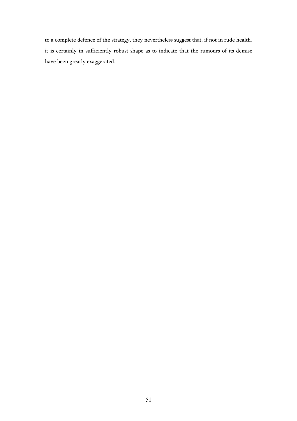to a complete defence of the strategy, they nevertheless suggest that, if not in rude health, it is certainly in sufficiently robust shape as to indicate that the rumours of its demise have been greatly exaggerated.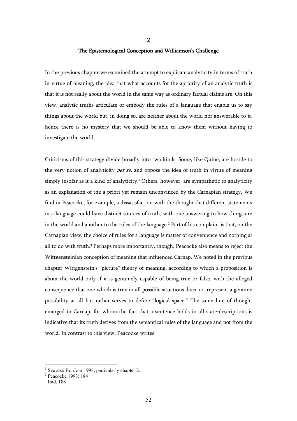# The Epistemological Conception and Williamson's Challenge

2

In the previous chapter we examined the attempt to explicate analyticity in terms of truth in virtue of meaning, the idea that what accounts for the apriority of an analytic truth is that it is not really about the world in the same way as ordinary factual claims are. On this view, analytic truths articulate or embody the rules of a language that enable us to say things about the world but, in doing so, are neither about the world nor answerable to it, hence there is no mystery that we should be able to know them without having to investigate the world.

Criticisms of this strategy divide broadly into two kinds. Some, like Quine, are hostile to the very notion of analyticity *per se*, and oppose the idea of truth in virtue of meaning simply insofar as it a kind of analyticity.<sup>1</sup> Others, however, are sympathetic to analyticity as an explanation of the a priori yet remain unconvinced by the Carnapian strategy. We find in Peacocke, for example, a dissatisfaction with the thought that different statements in a language could have distinct sources of truth, with one answering to how things are in the world and another to the rules of the language.<sup>2</sup> Part of his complaint is that, on the Carnapian view, the choice of rules for a language is matter of convenience and nothing at all to do with truth.<sup>3</sup> Perhaps more importantly, though, Peacocke also means to reject the Wittgensteinian conception of meaning that influenced Carnap. We noted in the previous chapter Wittgenstein's "picture" theory of meaning, according to which a proposition is about the world only if it is genuinely capable of being true or false, with the alleged consequence that one which is true in all possible situations does not represent a genuine possibility at all but rather serves to define "logical space." The same line of thought emerged in Carnap, for whom the fact that a sentence holds in all state-descriptions is indicative that its truth derives from the semantical rules of the language and not from the world. In contrast to this view, Peacocke writes

<sup>1</sup> See also BonJour 1998, particularly chapter 2.

<sup>2</sup> Peacocke 1993: 184

<sup>3</sup> Ibid. 188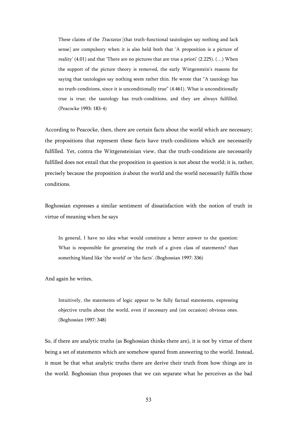These claims of the *Tractatus* [that truth-functional tautologies say nothing and lack sense] are compulsory when it is also held both that 'A proposition is a picture of reality' (4.01) and that 'There are no pictures that are true a priori' (2.225). (…) When the support of the picture theory is removed, the early Wittgenstein's reasons for saying that tautologies say nothing seem rather thin. He wrote that "A tautology has no truth-conditions, since it is unconditionally true" (4.461). What is unconditionally true is true; the tautology has truth-conditions, and they are always fulfilled. (Peacocke 1993: 183-4)

According to Peacocke, then, there are certain facts about the world which are necessary; the propositions that represent these facts have truth-conditions which are necessarily fulfilled. Yet, contra the Wittgensteinian view, that the truth-conditions are necessarily fulfilled does not entail that the proposition in question is not about the world; it is, rather, precisely because the proposition is about the world and the world necessarily fulfils those conditions.

Boghossian expresses a similar sentiment of dissatisfaction with the notion of truth in virtue of meaning when he says

In general, I have no idea what would constitute a better answer to the question: What is responsible for generating the truth of a given class of statements? than something bland like 'the world' or 'the facts'. (Boghossian 1997: 336)

And again he writes,

Intuitively, the statements of logic appear to be fully factual statements, expressing objective truths about the world, even if necessary and (on occasion) obvious ones. (Boghossian 1997: 348)

So, if there are analytic truths (as Boghossian thinks there are), it is not by virtue of there being a set of statements which are somehow spared from answering to the world. Instead, it must be that what analytic truths there are derive their truth from how things are in the world. Boghossian thus proposes that we can separate what he perceives as the bad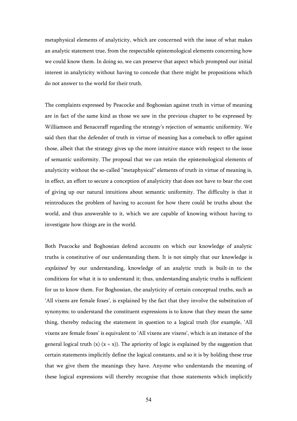metaphysical elements of analyticity, which are concerned with the issue of what makes an analytic statement true, from the respectable epistemological elements concerning how we could know them. In doing so, we can preserve that aspect which prompted our initial interest in analyticity without having to concede that there might be propositions which do not answer to the world for their truth.

The complaints expressed by Peacocke and Boghossian against truth in virtue of meaning are in fact of the same kind as those we saw in the previous chapter to be expressed by Williamson and Benaceraff regarding the strategy's rejection of semantic uniformity. We said then that the defender of truth in virtue of meaning has a comeback to offer against those, albeit that the strategy gives up the more intuitive stance with respect to the issue of semantic uniformity. The proposal that we can retain the epistemological elements of analyticity without the so-called "metaphysical" elements of truth in virtue of meaning is, in effect, an effort to secure a conception of analyticity that does not have to bear the cost of giving up our natural intuitions about semantic uniformity. The difficulty is that it reintroduces the problem of having to account for how there could be truths about the world, and thus answerable to it, which we are capable of knowing without having to investigate how things are in the world.

Both Peacocke and Boghossian defend accounts on which our knowledge of analytic truths is constitutive of our understanding them. It is not simply that our knowledge is explained by our understanding, knowledge of an analytic truth is built-in to the conditions for what it is to understand it; thus, understanding analytic truths is sufficient for us to know them. For Boghossian, the analyticity of certain conceptual truths, such as 'All vixens are female foxes', is explained by the fact that they involve the substitution of synonyms; to understand the constituent expressions is to know that they mean the same thing, thereby reducing the statement in question to a logical truth (for example, 'All vixens are female foxes' is equivalent to 'All vixens are vixens', which is an instance of the general logical truth  $(x)$   $(x = x)$ ). The apriority of logic is explained by the suggestion that certain statements implicitly define the logical constants, and so it is by holding these true that we give them the meanings they have. Anyone who understands the meaning of these logical expressions will thereby recognise that those statements which implicitly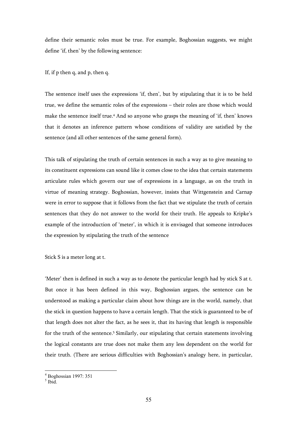define their semantic roles must be true. For example, Boghossian suggests, we might define 'if, then' by the following sentence:

If, if p then q, and p, then q.

The sentence itself uses the expressions 'if, then', but by stipulating that it is to be held true, we define the semantic roles of the expressions – their roles are those which would make the sentence itself true.<sup>4</sup> And so anyone who grasps the meaning of 'if, then' knows that it denotes an inference pattern whose conditions of validity are satisfied by the sentence (and all other sentences of the same general form).

This talk of stipulating the truth of certain sentences in such a way as to give meaning to its constituent expressions can sound like it comes close to the idea that certain statements articulate rules which govern our use of expressions in a language, as on the truth in virtue of meaning strategy. Boghossian, however, insists that Wittgenstein and Carnap were in error to suppose that it follows from the fact that we stipulate the truth of certain sentences that they do not answer to the world for their truth. He appeals to Kripke's example of the introduction of 'meter', in which it is envisaged that someone introduces the expression by stipulating the truth of the sentence

Stick S is a meter long at t.

'Meter' then is defined in such a way as to denote the particular length had by stick S at t. But once it has been defined in this way, Boghossian argues, the sentence can be understood as making a particular claim about how things are in the world, namely, that the stick in question happens to have a certain length. That the stick is guaranteed to be of that length does not alter the fact, as he sees it, that its having that length is responsible for the truth of the sentence.<sup>5</sup> Similarly, our stipulating that certain statements involving the logical constants are true does not make them any less dependent on the world for their truth. (There are serious difficulties with Boghossian's analogy here, in particular,

<sup>4</sup> Boghossian 1997: 351

 $<sup>5</sup>$  Ibid.</sup>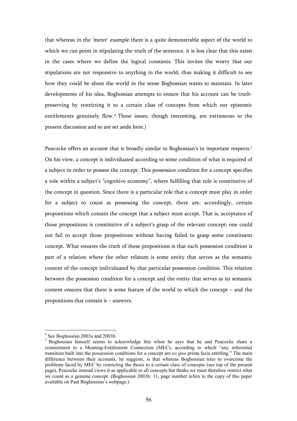that whereas in the 'meter' example there is a quite demonstrable aspect of the world to which we can point in stipulating the truth of the sentence, it is less clear that this exists in the cases where we define the logical constants. This invites the worry that our stipulations are not responsive to anything in the world, thus making it difficult to see how they could be about the world in the sense Boghossian wants to maintain. In later developments of his idea, Boghossian attempts to ensure that his account can be truthpreserving by restricting it to a certain class of concepts from which our epistemic entitlements genuinely flow.<sup>6</sup> These issues, though interesting, are extraneous to the present discussion and so are set aside here.)

Peacocke offers an account that is broadly similar to Boghossian's in important respects.<sup>7</sup> On his view, a concept is individuated according to some condition of what is required of a subject in order to possess the concept. This possession condition for a concept specifies a role within a subject's "cognitive economy", where fulfilling that role is constitutive of the concept in question. Since there is a particular role that a concept must play in order for a subject to count as possessing the concept, there are, accordingly, certain propositions which contain the concept that a subject must accept. That is, acceptance of those propositions is constitutive of a subject's grasp of the relevant concept; one could not fail to accept those propositions without having failed to grasp some constituent concept. What ensures the truth of these propositions is that each possession condition is part of a relation where the other relatum is some entity that serves as the semantic content of the concept individuated by that particular possession condition. This relation between the possession condition for a concept and the entity that serves as its semantic content ensures that there is some feature of the world to which the concept – and the propositions that contain it – answers.

<sup>6</sup> See Boghossian 2003a and 2003b.

<sup>&</sup>lt;sup>7</sup> Boghossian himself seems to acknowledge this when he says that he and Peacocke share a commitment to a Meaning-Entitlement Connection (MEC), according to which "any inferential transition built into the possession conditions for a concept are *eo ipso* prima facie entitling." The main difference between their accounts, he suggests, is that whereas Boghossian tries to overcome the problems faced by MEC by restricting the thesis to a certain class of concepts (see top of the present page), Peacocke instead views it as applicable to all concepts but thinks we must therefore restrict what we count as a genuine concept. (Boghossian 2003b: 11, page number refers to the copy of this paper available on Paul Boghossian's webpage.)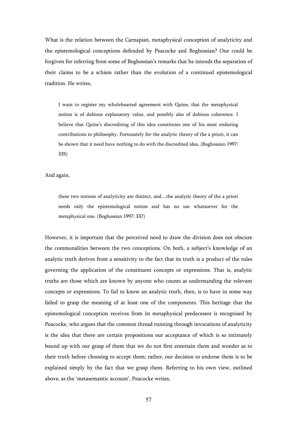What is the relation between the Carnapian, metaphysical conception of analyticity and the epistemological conceptions defended by Peacocke and Boghossian? One could be forgiven for inferring from some of Boghossian's remarks that he intends the separation of their claims to be a schism rather than the evolution of a continued epistemological tradition. He writes,

I want to register my wholehearted agreement with Quine, that the metaphysical notion is of dubious explanatory value, and possibly also of dubious coherence. I believe that Quine's discrediting of this idea constitutes one of his most enduring contributions to philosophy. Fortunately for the analytic theory of the a priori, it can be shown that it need have nothing to do with the discredited idea. (Boghossian 1997: 335)

And again,

these two notions of analyticity are distinct, and…the analytic theory of the a priori needs only the epistemological notion and has no use whatsoever for the metaphysical one. (Boghossian 1997: 337)

However, it is important that the perceived need to draw the division does not obscure the commonalities between the two conceptions. On both, a subject's knowledge of an analytic truth derives from a sensitivity to the fact that its truth is a product of the rules governing the application of the constituent concepts or expressions. That is, analytic truths are those which are known by anyone who counts as understanding the relevant concepts or expressions. To fail to know an analytic truth, then, is to have in some way failed to grasp the meaning of at least one of the components. This heritage that the epistemological conception receives from its metaphysical predecessor is recognised by Peacocke, who argues that the common thread running through invocations of analyticity is the idea that there are certain propositions our acceptance of which is so intimately bound up with our grasp of them that we do not first entertain them and wonder as to their truth before choosing to accept them; rather, our decision to endorse them is to be explained simply by the fact that we grasp them. Referring to his own view, outlined above, as the 'metasemantic account', Peacocke writes,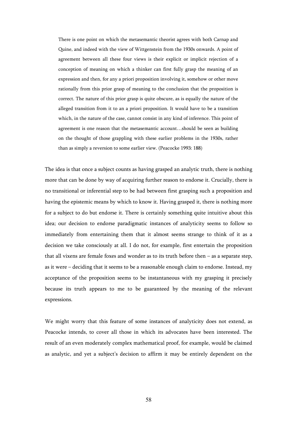There is one point on which the metasemantic theorist agrees with both Carnap and Quine, and indeed with the view of Wittgenstein from the 1930s onwards. A point of agreement between all these four views is their explicit or implicit rejection of a conception of meaning on which a thinker can first fully grasp the meaning of an expression and then, for any a priori proposition involving it, somehow or other move rationally from this prior grasp of meaning to the conclusion that the proposition is correct. The nature of this prior grasp is quite obscure, as is equally the nature of the alleged transition from it to an a priori proposition. It would have to be a transition which, in the nature of the case, cannot consist in any kind of inference. This point of agreement is one reason that the metasemantic account…should be seen as building on the thought of those grappling with these earlier problems in the 1930s, rather than as simply a reversion to some earlier view. (Peacocke 1993: 188)

The idea is that once a subject counts as having grasped an analytic truth, there is nothing more that can be done by way of acquiring further reason to endorse it. Crucially, there is no transitional or inferential step to be had between first grasping such a proposition and having the epistemic means by which to know it. Having grasped it, there is nothing more for a subject to do but endorse it. There is certainly something quite intuitive about this idea; our decision to endorse paradigmatic instances of analyticity seems to follow so immediately from entertaining them that it almost seems strange to think of it as a decision we take consciously at all. I do not, for example, first entertain the proposition that all vixens are female foxes and wonder as to its truth before then  $-$  as a separate step, as it were – deciding that it seems to be a reasonable enough claim to endorse. Instead, my acceptance of the proposition seems to be instantaneous with my grasping it precisely because its truth appears to me to be guaranteed by the meaning of the relevant expressions.

We might worry that this feature of some instances of analyticity does not extend, as Peacocke intends, to cover all those in which its advocates have been interested. The result of an even moderately complex mathematical proof, for example, would be claimed as analytic, and yet a subject's decision to affirm it may be entirely dependent on the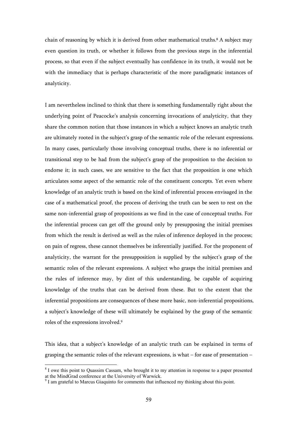chain of reasoning by which it is derived from other mathematical truths.<sup>8</sup> A subject may even question its truth, or whether it follows from the previous steps in the inferential process, so that even if the subject eventually has confidence in its truth, it would not be with the immediacy that is perhaps characteristic of the more paradigmatic instances of analyticity.

I am nevertheless inclined to think that there is something fundamentally right about the underlying point of Peacocke's analysis concerning invocations of analyticity, that they share the common notion that those instances in which a subject knows an analytic truth are ultimately rooted in the subject's grasp of the semantic role of the relevant expressions. In many cases, particularly those involving conceptual truths, there is no inferential or transitional step to be had from the subject's grasp of the proposition to the decision to endorse it; in such cases, we are sensitive to the fact that the proposition is one which articulates some aspect of the semantic role of the constituent concepts. Yet even where knowledge of an analytic truth is based on the kind of inferential process envisaged in the case of a mathematical proof, the process of deriving the truth can be seen to rest on the same non-inferential grasp of propositions as we find in the case of conceptual truths. For the inferential process can get off the ground only by presupposing the initial premises from which the result is derived as well as the rules of inference deployed in the process; on pain of regress, these cannot themselves be inferentially justified. For the proponent of analyticity, the warrant for the presupposition is supplied by the subject's grasp of the semantic roles of the relevant expressions. A subject who grasps the initial premises and the rules of inference may, by dint of this understanding, be capable of acquiring knowledge of the truths that can be derived from these. But to the extent that the inferential propositions are consequences of these more basic, non-inferential propositions, a subject's knowledge of these will ultimately be explained by the grasp of the semantic roles of the expressions involved.<sup>9</sup>

This idea, that a subject's knowledge of an analytic truth can be explained in terms of grasping the semantic roles of the relevant expressions, is what – for ease of presentation –

<sup>&</sup>lt;sup>8</sup> I owe this point to Quassim Cassam, who brought it to my attention in response to a paper presented at the MindGrad conference at the University of Warwick. 9 I am grateful to Marcus Giaquinto for comments that influenced my thinking about this point.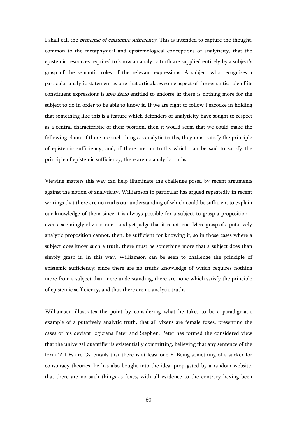I shall call the *principle of epistemic sufficiency*. This is intended to capture the thought, common to the metaphysical and epistemological conceptions of analyticity, that the epistemic resources required to know an analytic truth are supplied entirely by a subject's grasp of the semantic roles of the relevant expressions. A subject who recognises a particular analytic statement as one that articulates some aspect of the semantic role of its constituent expressions is ipso facto entitled to endorse it; there is nothing more for the subject to do in order to be able to know it. If we are right to follow Peacocke in holding that something like this is a feature which defenders of analyticity have sought to respect as a central characteristic of their position, then it would seem that we could make the following claim: if there are such things as analytic truths, they must satisfy the principle of epistemic sufficiency; and, if there are no truths which can be said to satisfy the principle of epistemic sufficiency, there are no analytic truths.

Viewing matters this way can help illuminate the challenge posed by recent arguments against the notion of analyticity. Williamson in particular has argued repeatedly in recent writings that there are no truths our understanding of which could be sufficient to explain our knowledge of them since it is always possible for a subject to grasp a proposition – even a seemingly obvious one – and yet judge that it is not true. Mere grasp of a putatively analytic proposition cannot, then, be sufficient for knowing it, so in those cases where a subject does know such a truth, there must be something more that a subject does than simply grasp it. In this way, Williamson can be seen to challenge the principle of epistemic sufficiency: since there are no truths knowledge of which requires nothing more from a subject than mere understanding, there are none which satisfy the principle of epistemic sufficiency, and thus there are no analytic truths.

Williamson illustrates the point by considering what he takes to be a paradigmatic example of a putatively analytic truth, that all vixens are female foxes, presenting the cases of his deviant logicians Peter and Stephen. Peter has formed the considered view that the universal quantifier is existentially committing, believing that any sentence of the form 'All Fs are Gs' entails that there is at least one F. Being something of a sucker for conspiracy theories, he has also bought into the idea, propagated by a random website, that there are no such things as foxes, with all evidence to the contrary having been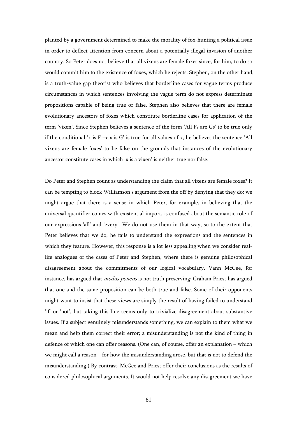planted by a government determined to make the morality of fox-hunting a political issue in order to deflect attention from concern about a potentially illegal invasion of another country. So Peter does not believe that all vixens are female foxes since, for him, to do so would commit him to the existence of foxes, which he rejects. Stephen, on the other hand, is a truth-value gap theorist who believes that borderline cases for vague terms produce circumstances in which sentences involving the vague term do not express determinate propositions capable of being true or false. Stephen also believes that there are female evolutionary ancestors of foxes which constitute borderline cases for application of the term 'vixen'. Since Stephen believes a sentence of the form 'All Fs are Gs' to be true only if the conditional 'x is  $F \rightarrow x$  is G' is true for all values of x, he believes the sentence 'All vixens are female foxes' to be false on the grounds that instances of the evolutionary ancestor constitute cases in which 'x is a vixen' is neither true nor false.

Do Peter and Stephen count as understanding the claim that all vixens are female foxes? It can be tempting to block Williamson's argument from the off by denying that they do; we might argue that there is a sense in which Peter, for example, in believing that the universal quantifier comes with existential import, is confused about the semantic role of our expressions 'all' and 'every'. We do not use them in that way, so to the extent that Peter believes that we do, he fails to understand the expressions and the sentences in which they feature. However, this response is a lot less appealing when we consider reallife analogues of the cases of Peter and Stephen, where there is genuine philosophical disagreement about the commitments of our logical vocabulary. Vann McGee, for instance, has argued that *modus ponens* is not truth preserving; Graham Priest has argued that one and the same proposition can be both true and false. Some of their opponents might want to insist that these views are simply the result of having failed to understand 'if' or 'not', but taking this line seems only to trivialize disagreement about substantive issues. If a subject genuinely misunderstands something, we can explain to them what we mean and help them correct their error; a misunderstanding is not the kind of thing in defence of which one can offer reasons. (One can, of course, offer an explanation – which we might call a reason – for how the misunderstanding arose, but that is not to defend the misunderstanding.) By contrast, McGee and Priest offer their conclusions as the results of considered philosophical arguments. It would not help resolve any disagreement we have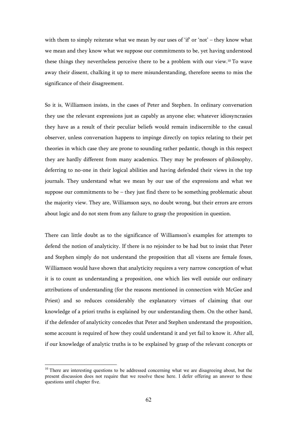with them to simply reiterate what we mean by our uses of 'if' or 'not' – they know what we mean and they know what we suppose our commitments to be, yet having understood these things they nevertheless perceive there to be a problem with our view.10 To wave away their dissent, chalking it up to mere misunderstanding, therefore seems to miss the significance of their disagreement.

So it is, Williamson insists, in the cases of Peter and Stephen. In ordinary conversation they use the relevant expressions just as capably as anyone else; whatever idiosyncrasies they have as a result of their peculiar beliefs would remain indiscernible to the casual observer, unless conversation happens to impinge directly on topics relating to their pet theories in which case they are prone to sounding rather pedantic, though in this respect they are hardly different from many academics. They may be professors of philosophy, deferring to no-one in their logical abilities and having defended their views in the top journals. They understand what we mean by our use of the expressions and what we suppose our commitments to be – they just find there to be something problematic about the majority view. They are, Williamson says, no doubt wrong, but their errors are errors about logic and do not stem from any failure to grasp the proposition in question.

There can little doubt as to the significance of Williamson's examples for attempts to defend the notion of analyticity. If there is no rejoinder to be had but to insist that Peter and Stephen simply do not understand the proposition that all vixens are female foxes, Williamson would have shown that analyticity requires a very narrow conception of what it is to count as understanding a proposition, one which lies well outside our ordinary attributions of understanding (for the reasons mentioned in connection with McGee and Priest) and so reduces considerably the explanatory virtues of claiming that our knowledge of a priori truths is explained by our understanding them. On the other hand, if the defender of analyticity concedes that Peter and Stephen understand the proposition, some account is required of how they could understand it and yet fail to know it. After all, if our knowledge of analytic truths is to be explained by grasp of the relevant concepts or

<sup>&</sup>lt;sup>10</sup> There are interesting questions to be addressed concerning what we are disagreeing about, but the present discussion does not require that we resolve these here. I defer offering an answer to these questions until chapter five.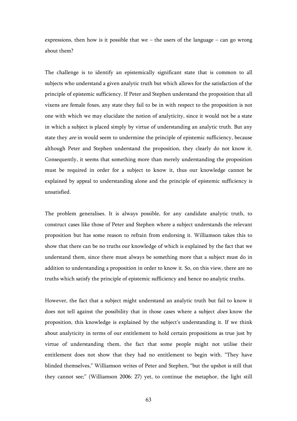expressions, then how is it possible that we – the users of the language – can go wrong about them?

The challenge is to identify an epistemically significant state that is common to all subjects who understand a given analytic truth but which allows for the satisfaction of the principle of epistemic sufficiency. If Peter and Stephen understand the proposition that all vixens are female foxes, any state they fail to be in with respect to the proposition is not one with which we may elucidate the notion of analyticity, since it would not be a state in which a subject is placed simply by virtue of understanding an analytic truth. But any state they *are* in would seem to undermine the principle of epistemic sufficiency, because although Peter and Stephen understand the proposition, they clearly do not know it. Consequently, it seems that something more than merely understanding the proposition must be required in order for a subject to know it, thus our knowledge cannot be explained by appeal to understanding alone and the principle of epistemic sufficiency is unsatisfied.

The problem generalises. It is always possible, for any candidate analytic truth, to construct cases like those of Peter and Stephen where a subject understands the relevant proposition but has some reason to refrain from endorsing it. Williamson takes this to show that there can be no truths our knowledge of which is explained by the fact that we understand them, since there must always be something more that a subject must do in addition to understanding a proposition in order to know it. So, on this view, there are no truths which satisfy the principle of epistemic sufficiency and hence no analytic truths.

However, the fact that a subject might understand an analytic truth but fail to know it does not tell against the possibility that in those cases where a subject *does* know the proposition, this knowledge is explained by the subject's understanding it. If we think about analyticity in terms of our entitlement to hold certain propositions as true just by virtue of understanding them, the fact that some people might not utilise their entitlement does not show that they had no entitlement to begin with. "They have blinded themselves," Williamson writes of Peter and Stephen, "but the upshot is still that they cannot see;" (Williamson 2006: 27) yet, to continue the metaphor, the light still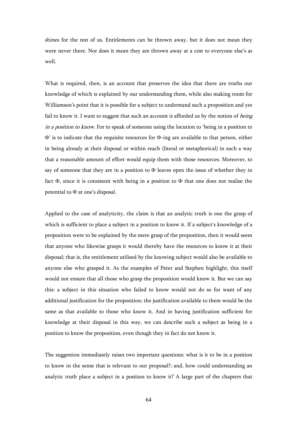shines for the rest of us. Entitlements can be thrown away, but it does not mean they were never there. Nor does it mean they are thrown away at a cost to everyone else's as well.

What is required, then, is an account that preserves the idea that there are truths our knowledge of which is explained by our understanding them, while also making room for Williamson's point that it is possible for a subject to understand such a proposition and yet fail to know it. I want to suggest that such an account is afforded us by the notion of *being* in a position to know. For to speak of someone using the locution to 'being in a position to Φ' is to indicate that the requisite resources for Φ-ing are available to that person, either in being already at their disposal or within reach (literal or metaphorical) in such a way that a reasonable amount of effort would equip them with those resources. Moreover, to say of someone that they are in a position to  $\Phi$  leaves open the issue of whether they in fact Φ, since it is consistent with being in a position to Φ that one does not realise the potential to Φ at one's disposal.

Applied to the case of analyticity, the claim is that an analytic truth is one the grasp of which is sufficient to place a subject in a position to know it. If a subject's knowledge of a proposition were to be explained by the mere grasp of the proposition, then it would seem that anyone who likewise grasps it would thereby have the resources to know it at their disposal; that is, the entitlement utilised by the knowing subject would also be available to anyone else who grasped it. As the examples of Peter and Stephen highlight, this itself would not ensure that all those who grasp the proposition would know it. But we can say this: a subject in this situation who failed to know would not do so for want of any additional justification for the proposition; the justification available to them would be the same as that available to those who know it. And in having justification sufficient for knowledge at their disposal in this way, we can describe such a subject as being in a position to know the proposition, even though they in fact do not know it.

The suggestion immediately raises two important questions: what is it to be in a position to know in the sense that is relevant to our proposal?; and, how could understanding an analytic truth place a subject in a position to know it? A large part of the chapters that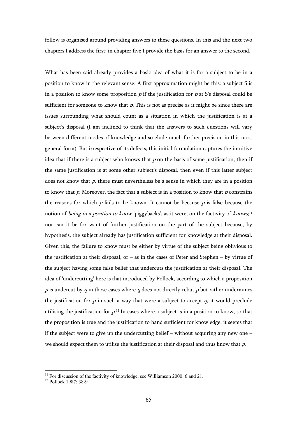follow is organised around providing answers to these questions. In this and the next two chapters I address the first; in chapter five I provide the basis for an answer to the second.

What has been said already provides a basic idea of what it is for a subject to be in a position to know in the relevant sense. A first approximation might be this: a subject S is in a position to know some proposition  $p$  if the justification for  $p$  at S's disposal could be sufficient for someone to know that  $p$ . This is not as precise as it might be since there are issues surrounding what should count as a situation in which the justification is at a subject's disposal (I am inclined to think that the answers to such questions will vary between different modes of knowledge and so elude much further precision in this most general form). But irrespective of its defects, this initial formulation captures the intuitive idea that if there is a subject who knows that  $p$  on the basis of some justification, then if the same justification is at some other subject's disposal, then even if this latter subject does not know that  $p$ , there must nevertheless be a sense in which they are in a position to know that  $p$ . Moreover, the fact that a subject is in a position to know that  $p$  constrains the reasons for which  $p$  fails to be known. It cannot be because  $p$  is false because the notion of *being in a position to know* 'piggybacks', as it were, on the factivity of *knows*;<sup>11</sup> nor can it be for want of further justification on the part of the subject because, by hypothesis, the subject already has justification sufficient for knowledge at their disposal. Given this, the failure to know must be either by virtue of the subject being oblivious to the justification at their disposal, or – as in the cases of Peter and Stephen – by virtue of the subject having some false belief that undercuts the justification at their disposal. The idea of 'undercutting' here is that introduced by Pollock, according to which a proposition  $p$  is undercut by  $q$  in those cases where  $q$  does not directly rebut  $p$  but rather undermines the justification for  $p$  in such a way that were a subject to accept  $q$ , it would preclude utilising the justification for  $p^{12}$  In cases where a subject is in a position to know, so that the proposition is true and the justification to hand sufficient for knowledge, it seems that if the subject were to give up the undercutting belief – without acquiring any new one – we should expect them to utilise the justification at their disposal and thus know that  $p$ .

 $11$  For discussion of the factivity of knowledge, see Williamson 2000: 6 and 21.

<sup>12</sup> Pollock 1987: 38-9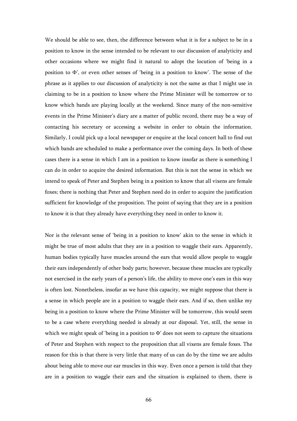We should be able to see, then, the difference between what it is for a subject to be in a position to know in the sense intended to be relevant to our discussion of analyticity and other occasions where we might find it natural to adopt the locution of 'being in a position to  $\Phi'$ , or even other senses of 'being in a position to know'. The sense of the phrase as it applies to our discussion of analyticity is not the same as that I might use in claiming to be in a position to know where the Prime Minister will be tomorrow or to know which bands are playing locally at the weekend. Since many of the non-sensitive events in the Prime Minister's diary are a matter of public record, there may be a way of contacting his secretary or accessing a website in order to obtain the information. Similarly, I could pick up a local newspaper or enquire at the local concert hall to find out which bands are scheduled to make a performance over the coming days. In both of these cases there is a sense in which I am in a position to know insofar as there is something I can do in order to acquire the desired information. But this is not the sense in which we intend to speak of Peter and Stephen being in a position to know that all vixens are female foxes; there is nothing that Peter and Stephen need do in order to acquire the justification sufficient for knowledge of the proposition. The point of saying that they are in a position to know it is that they already have everything they need in order to know it.

Nor is the relevant sense of 'being in a position to know' akin to the sense in which it might be true of most adults that they are in a position to waggle their ears. Apparently, human bodies typically have muscles around the ears that would allow people to waggle their ears independently of other body parts; however, because these muscles are typically not exercised in the early years of a person's life, the ability to move one's ears in this way is often lost. Nonetheless, insofar as we have this capacity, we might suppose that there is a sense in which people are in a position to waggle their ears. And if so, then unlike my being in a position to know where the Prime Minister will be tomorrow, this would seem to be a case where everything needed is already at our disposal. Yet, still, the sense in which we might speak of 'being in a position to Φ' does not seem to capture the situations of Peter and Stephen with respect to the proposition that all vixens are female foxes. The reason for this is that there is very little that many of us can do by the time we are adults about being able to move our ear muscles in this way. Even once a person is told that they are in a position to waggle their ears and the situation is explained to them, there is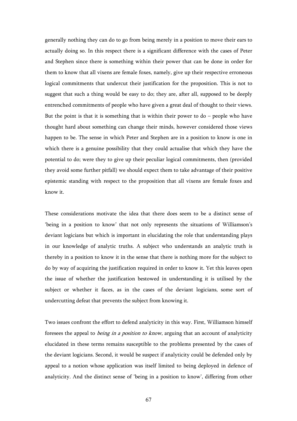generally nothing they can do to go from being merely in a position to move their ears to actually doing so. In this respect there is a significant difference with the cases of Peter and Stephen since there is something within their power that can be done in order for them to know that all vixens are female foxes, namely, give up their respective erroneous logical commitments that undercut their justification for the proposition. This is not to suggest that such a thing would be easy to do; they are, after all, supposed to be deeply entrenched commitments of people who have given a great deal of thought to their views. But the point is that it is something that is within their power to  $do$  – people who have thought hard about something can change their minds, however considered those views happen to be. The sense in which Peter and Stephen are in a position to know is one in which there is a genuine possibility that they could actualise that which they have the potential to do; were they to give up their peculiar logical commitments, then (provided they avoid some further pitfall) we should expect them to take advantage of their positive epistemic standing with respect to the proposition that all vixens are female foxes and know it.

These considerations motivate the idea that there does seem to be a distinct sense of 'being in a position to know' that not only represents the situations of Williamson's deviant logicians but which is important in elucidating the role that understanding plays in our knowledge of analytic truths. A subject who understands an analytic truth is thereby in a position to know it in the sense that there is nothing more for the subject to do by way of acquiring the justification required in order to know it. Yet this leaves open the issue of whether the justification bestowed in understanding it is utilised by the subject or whether it faces, as in the cases of the deviant logicians, some sort of undercutting defeat that prevents the subject from knowing it.

Two issues confront the effort to defend analyticity in this way. First, Williamson himself foresees the appeal to *being in a position to know*, arguing that an account of analyticity elucidated in these terms remains susceptible to the problems presented by the cases of the deviant logicians. Second, it would be suspect if analyticity could be defended only by appeal to a notion whose application was itself limited to being deployed in defence of analyticity. And the distinct sense of 'being in a position to know', differing from other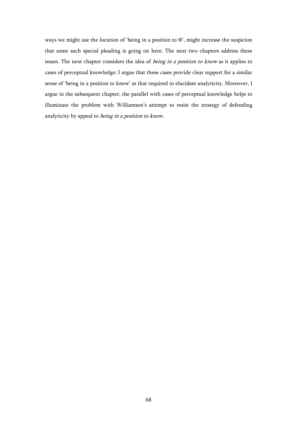ways we might use the locution of 'being in a position to Φ', might increase the suspicion that some such special pleading is going on here. The next two chapters address these issues. The next chapter considers the idea of being in a position to know as it applies to cases of perceptual knowledge; I argue that these cases provide clear support for a similar sense of 'being in a position to know' as that required to elucidate analyticity. Moreover, I argue in the subsequent chapter, the parallel with cases of perceptual knowledge helps to illuminate the problem with Williamson's attempt to resist the strategy of defending analyticity by appeal to *being in a position to know*.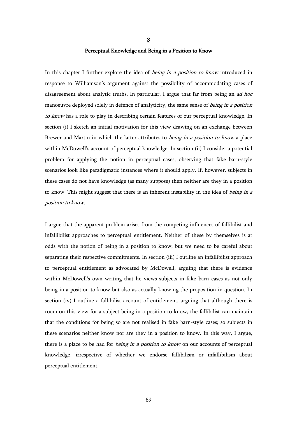# 3 Perceptual Knowledge and Being in a Position to Know

In this chapter I further explore the idea of *being in a position to know* introduced in response to Williamson's argument against the possibility of accommodating cases of disagreement about analytic truths. In particular, I argue that far from being an *ad hoc* manoeuvre deployed solely in defence of analyticity, the same sense of *being in a position* to know has a role to play in describing certain features of our perceptual knowledge. In section (i) I sketch an initial motivation for this view drawing on an exchange between Brewer and Martin in which the latter attributes to *being in a position to know* a place within McDowell's account of perceptual knowledge. In section (ii) I consider a potential problem for applying the notion in perceptual cases, observing that fake barn-style scenarios look like paradigmatic instances where it should apply. If, however, subjects in these cases do not have knowledge (as many suppose) then neither are they in a position to know. This might suggest that there is an inherent instability in the idea of being in a position to know.

I argue that the apparent problem arises from the competing influences of fallibilist and infallibilist approaches to perceptual entitlement. Neither of these by themselves is at odds with the notion of being in a position to know, but we need to be careful about separating their respective commitments. In section (iii) I outline an infallibilist approach to perceptual entitlement as advocated by McDowell, arguing that there is evidence within McDowell's own writing that he views subjects in fake barn cases as not only being in a position to know but also as actually knowing the proposition in question. In section (iv) I outline a fallibilist account of entitlement, arguing that although there is room on this view for a subject being in a position to know, the fallibilist can maintain that the conditions for being so are not realised in fake barn-style cases; so subjects in these scenarios neither know nor are they in a position to know. In this way, I argue, there is a place to be had for *being in a position to know* on our accounts of perceptual knowledge, irrespective of whether we endorse fallibilism or infallibilism about perceptual entitlement.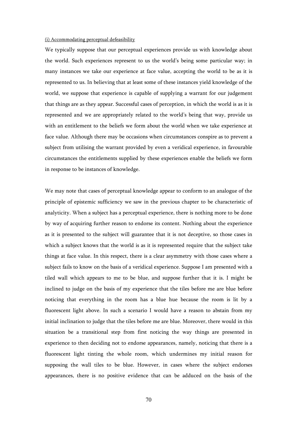#### (i) Accommodating perceptual defeasibility

We typically suppose that our perceptual experiences provide us with knowledge about the world. Such experiences represent to us the world's being some particular way; in many instances we take our experience at face value, accepting the world to be as it is represented to us. In believing that at least some of these instances yield knowledge of the world, we suppose that experience is capable of supplying a warrant for our judgement that things are as they appear. Successful cases of perception, in which the world is as it is represented and we are appropriately related to the world's being that way, provide us with an entitlement to the beliefs we form about the world when we take experience at face value. Although there may be occasions when circumstances conspire as to prevent a subject from utilising the warrant provided by even a veridical experience, in favourable circumstances the entitlements supplied by these experiences enable the beliefs we form in response to be instances of knowledge.

We may note that cases of perceptual knowledge appear to conform to an analogue of the principle of epistemic sufficiency we saw in the previous chapter to be characteristic of analyticity. When a subject has a perceptual experience, there is nothing more to be done by way of acquiring further reason to endorse its content. Nothing about the experience as it is presented to the subject will guarantee that it is not deceptive, so those cases in which a subject knows that the world is as it is represented require that the subject take things at face value. In this respect, there is a clear asymmetry with those cases where a subject fails to know on the basis of a veridical experience. Suppose I am presented with a tiled wall which appears to me to be blue, and suppose further that it is. I might be inclined to judge on the basis of my experience that the tiles before me are blue before noticing that everything in the room has a blue hue because the room is lit by a fluorescent light above. In such a scenario I would have a reason to abstain from my initial inclination to judge that the tiles before me are blue. Moreover, there would in this situation be a transitional step from first noticing the way things are presented in experience to then deciding not to endorse appearances, namely, noticing that there is a fluorescent light tinting the whole room, which undermines my initial reason for supposing the wall tiles to be blue. However, in cases where the subject endorses appearances, there is no positive evidence that can be adduced on the basis of the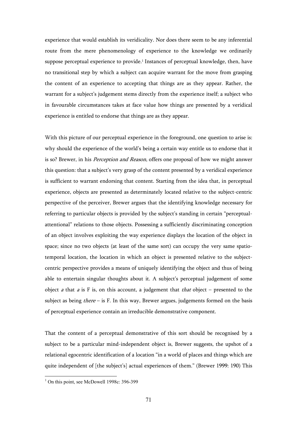experience that would establish its veridicality. Nor does there seem to be any inferential route from the mere phenomenology of experience to the knowledge we ordinarily suppose perceptual experience to provide.<sup>1</sup> Instances of perceptual knowledge, then, have no transitional step by which a subject can acquire warrant for the move from grasping the content of an experience to accepting that things are as they appear. Rather, the warrant for a subject's judgement stems directly from the experience itself; a subject who in favourable circumstances takes at face value how things are presented by a veridical experience is entitled to endorse that things are as they appear.

With this picture of our perceptual experience in the foreground, one question to arise is: why should the experience of the world's being a certain way entitle us to endorse that it is so? Brewer, in his *Perception and Reason*, offers one proposal of how we might answer this question: that a subject's very grasp of the content presented by a veridical experience is sufficient to warrant endorsing that content. Starting from the idea that, in perceptual experience, objects are presented as determinately located relative to the subject-centric perspective of the perceiver, Brewer argues that the identifying knowledge necessary for referring to particular objects is provided by the subject's standing in certain "perceptualattentional" relations to those objects. Possessing a sufficiently discriminating conception of an object involves exploiting the way experience displays the location of the object in space; since no two objects (at least of the same sort) can occupy the very same spatiotemporal location, the location in which an object is presented relative to the subjectcentric perspective provides a means of uniquely identifying the object and thus of being able to entertain singular thoughts about it. A subject's perceptual judgement of some object *a* that *a* is F is, on this account, a judgement that *that* object – presented to the subject as being  $there$  – is F. In this way, Brewer argues, judgements formed on the basis of perceptual experience contain an irreducible demonstrative component.

That the content of a perceptual demonstrative of this sort should be recognised by a subject to be a particular mind-independent object is, Brewer suggests, the upshot of a relational egocentric identification of a location "in a world of places and things which are quite independent of [the subject's] actual experiences of them." (Brewer 1999: 190) This

 1 On this point, see McDowell 1998c: 396-399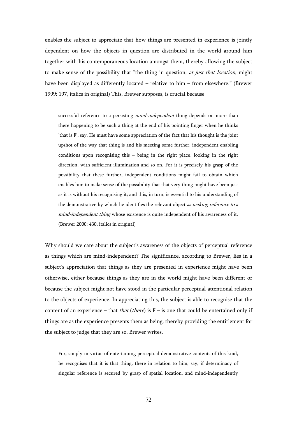enables the subject to appreciate that how things are presented in experience is jointly dependent on how the objects in question are distributed in the world around him together with his contemporaneous location amongst them, thereby allowing the subject to make sense of the possibility that "the thing in question, *at just that location*, might have been displayed as differently located – relative to him – from elsewhere." (Brewer 1999: 197, italics in original) This, Brewer supposes, is crucial because

successful reference to a persisting *mind-independent* thing depends on more than there happening to be such a thing at the end of his pointing finger when he thinks 'that is F', say. He must have some appreciation of the fact that his thought is the joint upshot of the way that thing is and his meeting some further, independent enabling conditions upon recognising this – being in the right place, looking in the right direction, with sufficient illumination and so on. For it is precisely his grasp of the possibility that these further, independent conditions might fail to obtain which enables him to make sense of the possibility that that very thing might have been just as it is without his recognising it; and this, in turn, is essential to his understanding of the demonstrative by which he identifies the relevant object as making reference to a mind-independent thing whose existence is quite independent of his awareness of it. (Brewer 2000: 430, italics in original)

Why should we care about the subject's awareness of the objects of perceptual reference as things which are mind-independent? The significance, according to Brewer, lies in a subject's appreciation that things as they are presented in experience might have been otherwise, either because things as they are in the world might have been different or because the subject might not have stood in the particular perceptual-attentional relation to the objects of experience. In appreciating this, the subject is able to recognise that the content of an experience – that *that (there)* is  $F -$  is one that could be entertained only if things are as the experience presents them as being, thereby providing the entitlement for the subject to judge that they are so. Brewer writes,

For, simply in virtue of entertaining perceptual demonstrative contents of this kind, he recognises that it is that thing, there in relation to him, say, if determinacy of singular reference is secured by grasp of spatial location, and mind-independently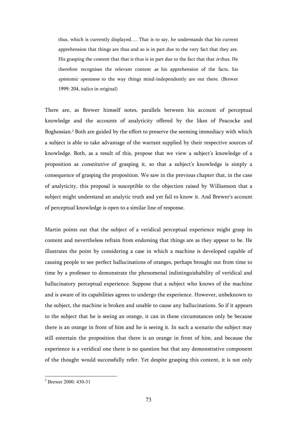thus, which is currently displayed…. That is to say, he understands that his current apprehension that things are thus and so is in part due to the very fact that they are. His grasping the content that that is thus is in part due to the fact that that is thus. He therefore recognises the relevant content as his apprehension of the facts, his epistemic openness to the way things mind-independently are out there. (Brewer 1999: 204, italics in original)

There are, as Brewer himself notes, parallels between his account of perceptual knowledge and the accounts of analyticity offered by the likes of Peacocke and Boghossian.<sup>2</sup> Both are guided by the effort to preserve the seeming immediacy with which a subject is able to take advantage of the warrant supplied by their respective sources of knowledge. Both, as a result of this, propose that we view a subject's knowledge of a proposition as constitutive of grasping it, so that a subject's knowledge is simply a consequence of grasping the proposition. We saw in the previous chapter that, in the case of analyticity, this proposal is susceptible to the objection raised by Williamson that a subject might understand an analytic truth and yet fail to know it. And Brewer's account of perceptual knowledge is open to a similar line of response.

Martin points out that the subject of a veridical perceptual experience might grasp its content and nevertheless refrain from endorsing that things are as they appear to be. He illustrates the point by considering a case in which a machine is developed capable of causing people to see perfect hallucinations of oranges, perhaps brought out from time to time by a professor to demonstrate the phenomenal indistinguishability of veridical and hallucinatory perceptual experience. Suppose that a subject who knows of the machine and is aware of its capabilities agrees to undergo the experience. However, unbeknown to the subject, the machine is broken and unable to cause any hallucinations. So if it appears to the subject that he is seeing an orange, it can in these circumstances only be because there is an orange in front of him and he is seeing it. In such a scenario the subject may still entertain the proposition that there is an orange in front of him, and because the experience is a veridical one there is no question but that any demonstrative component of the thought would successfully refer. Yet despite grasping this content, it is not only

 2 Brewer 2000: 430-31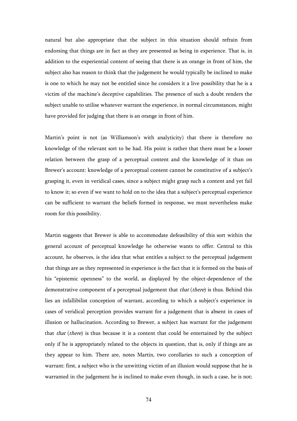natural but also appropriate that the subject in this situation should refrain from endorsing that things are in fact as they are presented as being in experience. That is, in addition to the experiential content of seeing that there is an orange in front of him, the subject also has reason to think that the judgement he would typically be inclined to make is one to which he may not be entitled since he considers it a live possibility that he is a victim of the machine's deceptive capabilities. The presence of such a doubt renders the subject unable to utilise whatever warrant the experience, in normal circumstances, might have provided for judging that there is an orange in front of him.

Martin's point is not (as Williamson's with analyticity) that there is therefore no knowledge of the relevant sort to be had. His point is rather that there must be a looser relation between the grasp of a perceptual content and the knowledge of it than on Brewer's account: knowledge of a perceptual content cannot be constitutive of a subject's grasping it, even in veridical cases, since a subject might grasp such a content and yet fail to know it; so even if we want to hold on to the idea that a subject's perceptual experience can be sufficient to warrant the beliefs formed in response, we must nevertheless make room for this possibility.

Martin suggests that Brewer is able to accommodate defeasibility of this sort within the general account of perceptual knowledge he otherwise wants to offer. Central to this account, he observes, is the idea that what entitles a subject to the perceptual judgement that things are as they represented in experience is the fact that it is formed on the basis of his "epistemic openness" to the world, as displayed by the object-dependence of the demonstrative component of a perceptual judgement that *that* (*there*) is thus. Behind this lies an infallibilist conception of warrant, according to which a subject's experience in cases of veridical perception provides warrant for a judgement that is absent in cases of illusion or hallucination. According to Brewer, a subject has warrant for the judgement that *that (there)* is thus because it is a content that could be entertained by the subject only if he is appropriately related to the objects in question, that is, only if things are as they appear to him. There are, notes Martin, two corollaries to such a conception of warrant: first, a subject who is the unwitting victim of an illusion would suppose that he is warranted in the judgement he is inclined to make even though, in such a case, he is not;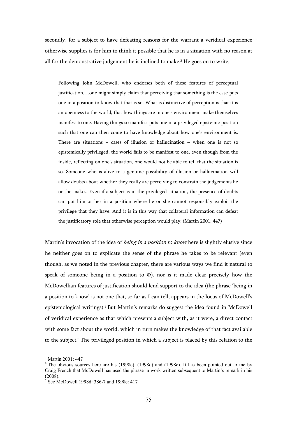secondly, for a subject to have defeating reasons for the warrant a veridical experience otherwise supplies is for him to think it possible that he is in a situation with no reason at all for the demonstrative judgement he is inclined to make. 3 He goes on to write,

Following John McDowell, who endorses both of these features of perceptual justification,…one might simply claim that perceiving that something is the case puts one in a position to know that that is so. What is distinctive of perception is that it is an openness to the world, that how things are in one's environment make themselves manifest to one. Having things so manifest puts one in a privileged epistemic position such that one can then come to have knowledge about how one's environment is. There are situations – cases of illusion or hallucination – when one is not so epistemically privileged; the world fails to be manifest to one, even though from the inside, reflecting on one's situation, one would not be able to tell that the situation is so. Someone who is alive to a genuine possibility of illusion or hallucination will allow doubts about whether they really are perceiving to constrain the judgements he or she makes. Even if a subject is in the privileged situation, the presence of doubts can put him or her in a position where he or she cannot responsibly exploit the privilege that they have. And it is in this way that collateral information can defeat the justificatory role that otherwise perception would play. (Martin 2001: 447)

Martin's invocation of the idea of *being in a position to know* here is slightly elusive since he neither goes on to explicate the sense of the phrase he takes to be relevant (even though, as we noted in the previous chapter, there are various ways we find it natural to speak of someone being in a position to  $\Phi$ ), nor is it made clear precisely how the McDowellian features of justification should lend support to the idea (the phrase 'being in a position to know' is not one that, so far as I can tell, appears in the locus of McDowell's epistemological writings).<sup>4</sup> But Martin's remarks do suggest the idea found in McDowell of veridical experience as that which presents a subject with, as it were, a direct contact with some fact about the world, which in turn makes the knowledge of that fact available to the subject.<sup>5</sup> The privileged position in which a subject is placed by this relation to the

<sup>3</sup> Martin 2001: 447

<sup>&</sup>lt;sup>4</sup> The obvious sources here are his (1998c), (1998d) and (1998e). It has been pointed out to me by Craig French that McDowell has used the phrase in work written subsequent to Martin's remark in his (2008).

<sup>5</sup> See McDowell 1998d: 386-7 and 1998e: 417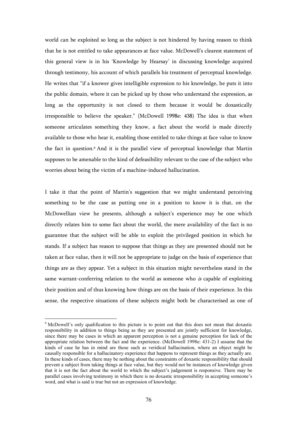world can be exploited so long as the subject is not hindered by having reason to think that he is not entitled to take appearances at face value. McDowell's clearest statement of this general view is in his 'Knowledge by Hearsay' in discussing knowledge acquired through testimony, his account of which parallels his treatment of perceptual knowledge. He writes that "if a knower gives intelligible expression to his knowledge, he puts it into the public domain, where it can be picked up by those who understand the expression, as long as the opportunity is not closed to them because it would be doxastically irresponsible to believe the speaker." (McDowell 1998e: 438) The idea is that when someone articulates something they know, a fact about the world is made directly available to those who hear it, enabling those entitled to take things at face value to know the fact in question.<sup>6</sup> And it is the parallel view of perceptual knowledge that Martin supposes to be amenable to the kind of defeasibility relevant to the case of the subject who worries about being the victim of a machine-induced hallucination.

I take it that the point of Martin's suggestion that we might understand perceiving something to be the case as putting one in a position to know it is that, on the McDowellian view he presents, although a subject's experience may be one which directly relates him to some fact about the world, the mere availability of the fact is no guarantee that the subject will be able to exploit the privileged position in which he stands. If a subject has reason to suppose that things as they are presented should not be taken at face value, then it will not be appropriate to judge on the basis of experience that things are as they appear. Yet a subject in this situation might nevertheless stand in the same warrant-conferring relation to the world as someone who is capable of exploiting their position and of thus knowing how things are on the basis of their experience. In this sense, the respective situations of these subjects might both be characterised as one of

<sup>&</sup>lt;sup>6</sup> McDowell's only qualification to this picture is to point out that this does not mean that doxastic responsibility in addition to things being as they are presented are jointly sufficient for knowledge, since there may be cases in which an apparent perception is not a genuine perception for lack of the appropriate relation between the fact and the experience. (McDowell 1998e: 431-2) I assume that the kinds of case he has in mind are those such as veridical hallucination, where an object might be causally responsible for a hallucinatory experience that happens to represent things as they actually are. In these kinds of cases, there may be nothing about the constraints of doxastic responsibility that should prevent a subject from taking things at face value, but they would not be instances of knowledge given that it is not the fact about the world to which the subject's judgement is responsive. There may be parallel cases involving testimony in which there is no doxastic irresponsibility in accepting someone's word, and what is said is true but not an expression of knowledge.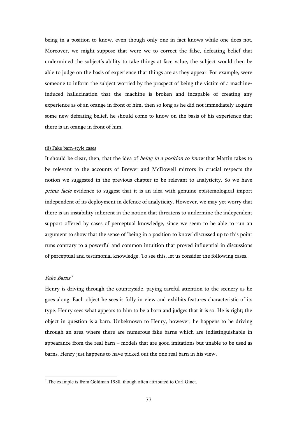being in a position to know, even though only one in fact knows while one does not. Moreover, we might suppose that were we to correct the false, defeating belief that undermined the subject's ability to take things at face value, the subject would then be able to judge on the basis of experience that things are as they appear. For example, were someone to inform the subject worried by the prospect of being the victim of a machineinduced hallucination that the machine is broken and incapable of creating any experience as of an orange in front of him, then so long as he did not immediately acquire some new defeating belief, he should come to know on the basis of his experience that there is an orange in front of him.

## (ii) Fake barn-style cases

It should be clear, then, that the idea of *being in a position to know* that Martin takes to be relevant to the accounts of Brewer and McDowell mirrors in crucial respects the notion we suggested in the previous chapter to be relevant to analyticity. So we have prima facie evidence to suggest that it is an idea with genuine epistemological import independent of its deployment in defence of analyticity. However, we may yet worry that there is an instability inherent in the notion that threatens to undermine the independent support offered by cases of perceptual knowledge, since we seem to be able to run an argument to show that the sense of 'being in a position to know' discussed up to this point runs contrary to a powerful and common intuition that proved influential in discussions of perceptual and testimonial knowledge. To see this, let us consider the following cases.

#### Fake Barns 7

 $\overline{a}$ 

Henry is driving through the countryside, paying careful attention to the scenery as he goes along. Each object he sees is fully in view and exhibits features characteristic of its type. Henry sees what appears to him to be a barn and judges that it is so. He is right; the object in question is a barn. Unbeknown to Henry, however, he happens to be driving through an area where there are numerous fake barns which are indistinguishable in appearance from the real barn – models that are good imitations but unable to be used as barns. Henry just happens to have picked out the one real barn in his view.

 $7$  The example is from Goldman 1988, though often attributed to Carl Ginet.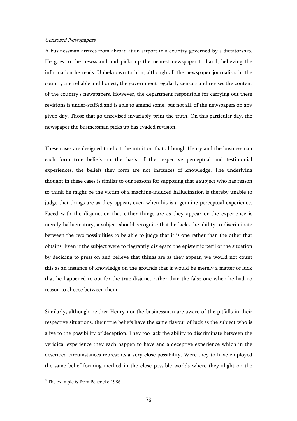### Censored Newspapers 8

A businessman arrives from abroad at an airport in a country governed by a dictatorship. He goes to the newsstand and picks up the nearest newspaper to hand, believing the information he reads. Unbeknown to him, although all the newspaper journalists in the country are reliable and honest, the government regularly censors and revises the content of the country's newspapers. However, the department responsible for carrying out these revisions is under-staffed and is able to amend some, but not all, of the newspapers on any given day. Those that go unrevised invariably print the truth. On this particular day, the newspaper the businessman picks up has evaded revision.

These cases are designed to elicit the intuition that although Henry and the businessman each form true beliefs on the basis of the respective perceptual and testimonial experiences, the beliefs they form are not instances of knowledge. The underlying thought in these cases is similar to our reasons for supposing that a subject who has reason to think he might be the victim of a machine-induced hallucination is thereby unable to judge that things are as they appear, even when his is a genuine perceptual experience. Faced with the disjunction that either things are as they appear or the experience is merely hallucinatory, a subject should recognise that he lacks the ability to discriminate between the two possibilities to be able to judge that it is one rather than the other that obtains. Even if the subject were to flagrantly disregard the epistemic peril of the situation by deciding to press on and believe that things are as they appear, we would not count this as an instance of knowledge on the grounds that it would be merely a matter of luck that he happened to opt for the true disjunct rather than the false one when he had no reason to choose between them.

Similarly, although neither Henry nor the businessman are aware of the pitfalls in their respective situations, their true beliefs have the same flavour of luck as the subject who is alive to the possibility of deception. They too lack the ability to discriminate between the veridical experience they each happen to have and a deceptive experience which in the described circumstances represents a very close possibility. Were they to have employed the same belief-forming method in the close possible worlds where they alight on the

<sup>&</sup>lt;sup>8</sup> The example is from Peacocke 1986.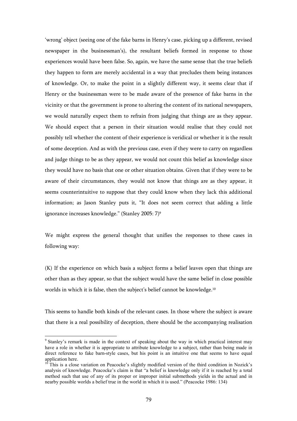'wrong' object (seeing one of the fake barns in Henry's case, picking up a different, revised newspaper in the businessman's), the resultant beliefs formed in response to those experiences would have been false. So, again, we have the same sense that the true beliefs they happen to form are merely accidental in a way that precludes them being instances of knowledge. Or, to make the point in a slightly different way, it seems clear that if Henry or the businessman were to be made aware of the presence of fake barns in the vicinity or that the government is prone to altering the content of its national newspapers, we would naturally expect them to refrain from judging that things are as they appear. We should expect that a person in their situation would realise that they could not possibly tell whether the content of their experience is veridical or whether it is the result of some deception. And as with the previous case, even if they were to carry on regardless and judge things to be as they appear, we would not count this belief as knowledge since they would have no basis that one or other situation obtains. Given that if they were to be aware of their circumstances, they would not know that things are as they appear, it seems counterintuitive to suppose that they could know when they lack this additional information; as Jason Stanley puts it, "It does not seem correct that adding a little ignorance increases knowledge." (Stanley 2005: 7)<sup>9</sup>

We might express the general thought that unifies the responses to these cases in following way:

(K) If the experience on which basis a subject forms a belief leaves open that things are other than as they appear, so that the subject would have the same belief in close possible worlds in which it is false, then the subject's belief cannot be knowledge.<sup>10</sup>

This seems to handle both kinds of the relevant cases. In those where the subject is aware that there is a real possibility of deception, there should be the accompanying realisation

<sup>&</sup>lt;sup>9</sup> Stanley's remark is made in the context of speaking about the way in which practical interest may have a role in whether it is appropriate to attribute knowledge to a subject, rather than being made in direct reference to fake barn-style cases, but his point is an intuitive one that seems to have equal application here.

 $10$ <sup>This</sup> is a close variation on Peacocke's slightly modified version of the third condition in Nozick's analysis of knowledge. Peacocke's claim is that "a belief is knowledge only if it is reached by a total method such that use of any of its proper or improper initial submethods yields in the actual and in nearby possible worlds a belief true in the world in which it is used." (Peacocke 1986: 134)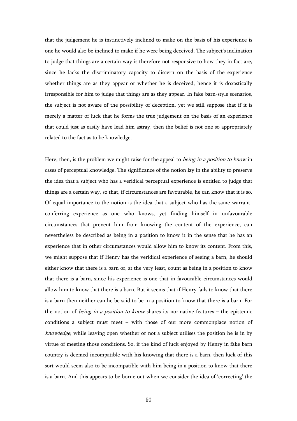that the judgement he is instinctively inclined to make on the basis of his experience is one he would also be inclined to make if he were being deceived. The subject's inclination to judge that things are a certain way is therefore not responsive to how they in fact are, since he lacks the discriminatory capacity to discern on the basis of the experience whether things are as they appear or whether he is deceived, hence it is doxastically irresponsible for him to judge that things are as they appear. In fake barn-style scenarios, the subject is not aware of the possibility of deception, yet we still suppose that if it is merely a matter of luck that he forms the true judgement on the basis of an experience that could just as easily have lead him astray, then the belief is not one so appropriately related to the fact as to be knowledge.

Here, then, is the problem we might raise for the appeal to *being in a position to know* in cases of perceptual knowledge. The significance of the notion lay in the ability to preserve the idea that a subject who has a veridical perceptual experience is entitled to judge that things are a certain way, so that, if circumstances are favourable, he can know that it is so. Of equal importance to the notion is the idea that a subject who has the same warrantconferring experience as one who knows, yet finding himself in unfavourable circumstances that prevent him from knowing the content of the experience, can nevertheless be described as being in a position to know it in the sense that he has an experience that in other circumstances would allow him to know its content. From this, we might suppose that if Henry has the veridical experience of seeing a barn, he should either know that there is a barn or, at the very least, count as being in a position to know that there is a barn, since his experience is one that in favourable circumstances would allow him to know that there is a barn. But it seems that if Henry fails to know that there is a barn then neither can he be said to be in a position to know that there is a barn. For the notion of *being in a position to know* shares its normative features – the epistemic conditions a subject must meet – with those of our more commonplace notion of knowledge, while leaving open whether or not a subject utilises the position he is in by virtue of meeting those conditions. So, if the kind of luck enjoyed by Henry in fake barn country is deemed incompatible with his knowing that there is a barn, then luck of this sort would seem also to be incompatible with him being in a position to know that there is a barn. And this appears to be borne out when we consider the idea of 'correcting' the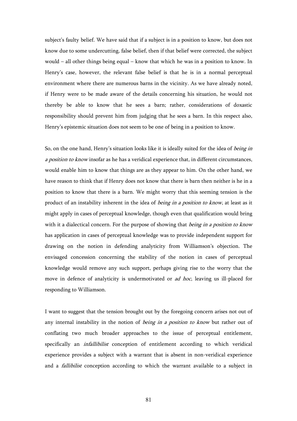subject's faulty belief. We have said that if a subject is in a position to know, but does not know due to some undercutting, false belief, then if that belief were corrected, the subject would – all other things being equal – know that which he was in a position to know. In Henry's case, however, the relevant false belief is that he is in a normal perceptual environment where there are numerous barns in the vicinity. As we have already noted, if Henry were to be made aware of the details concerning his situation, he would not thereby be able to know that he sees a barn; rather, considerations of doxastic responsibility should prevent him from judging that he sees a barn. In this respect also, Henry's epistemic situation does not seem to be one of being in a position to know.

So, on the one hand, Henry's situation looks like it is ideally suited for the idea of being in a position to know insofar as he has a veridical experience that, in different circumstances, would enable him to know that things are as they appear to him. On the other hand, we have reason to think that if Henry does not know that there is barn then neither is he in a position to know that there is a barn. We might worry that this seeming tension is the product of an instability inherent in the idea of *being in a position to know*, at least as it might apply in cases of perceptual knowledge, though even that qualification would bring with it a dialectical concern. For the purpose of showing that *being in a position to know* has application in cases of perceptual knowledge was to provide independent support for drawing on the notion in defending analyticity from Williamson's objection. The envisaged concession concerning the stability of the notion in cases of perceptual knowledge would remove any such support, perhaps giving rise to the worry that the move in defence of analyticity is undermotivated or *ad hoc*, leaving us ill-placed for responding to Williamson.

I want to suggest that the tension brought out by the foregoing concern arises not out of any internal instability in the notion of *being in a position to know* but rather out of conflating two much broader approaches to the issue of perceptual entitlement, specifically an infallibilist conception of entitlement according to which veridical experience provides a subject with a warrant that is absent in non-veridical experience and a *fallibilist* conception according to which the warrant available to a subject in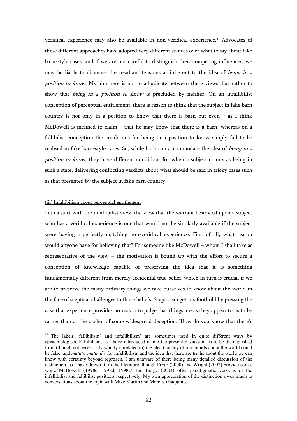veridical experience may also be available in non-veridical experience.11 Advocates of these different approaches have adopted very different stances over what to say about fake barn-style cases, and if we are not careful to distinguish their competing influences, we may be liable to diagnose the resultant tensions as inherent to the idea of *being in a* position to know. My aim here is not to adjudicate between these views, but rather to show that *being in a position to know* is precluded by neither. On an infallibilist conception of perceptual entitlement, there is reason to think that the subject in fake barn country is not only in a position to know that there is barn but even  $-$  as I think McDowell is inclined to claim – that he may know that there is a barn, whereas on a fallibilist conception the conditions for being in a position to know simply fail to be realised in fake barn-style cases. So, while both can accommodate the idea of being in a position to know, they have different conditions for when a subject counts as being in such a state, delivering conflicting verdicts about what should be said in tricky cases such as that presented by the subject in fake barn country.

### (iii) Infallibilism about perceptual entitlement

 $\overline{a}$ 

Let us start with the infallibilist view, the view that the warrant bestowed upon a subject who has a veridical experience is one that would not be similarly available if the subject were having a perfectly matching non-veridical experience. First of all, what reason would anyone have for believing that? For someone like McDowell – whom I shall take as representative of the view – the motivation is bound up with the effort to secure a conception of knowledge capable of preserving the idea that it is something fundamentally different from merely accidental true belief, which in turn is crucial if we are to preserve the many ordinary things we take ourselves to know about the world in the face of sceptical challenges to those beliefs. Scepticism gets its foothold by pressing the case that experience provides no reason to judge that things are as they appear to us to be rather than as the upshot of some widespread deception: 'How do you know that there's

<sup>&</sup>lt;sup>11</sup> The labels 'fallibilism' and infallibilism' are sometimes used in quite different ways by epistemologists. Fallibilism, as I have introduced it into the present discussion, is to be distinguished from (though not necessarily wholly unrelated to) the idea that any of our beliefs about the world could be false, and *mutatis mutandis* for infallibilism and the idea that there are truths about the world we can know with certainty beyond reproach. I am unaware of there being many detailed discussion of the distinction, as I have drawn it, in the literature, though Pryor (2000) and Wright (2002) provide some, while McDowell (1998c, 1998d, 1998e) and Burge (2003) offer paradigmatic versions of the infallibilist and fallibilist positions respectively. My own appreciation of the distinction owes much to conversations about the topic with Mike Martin and Marcus Giaquinto.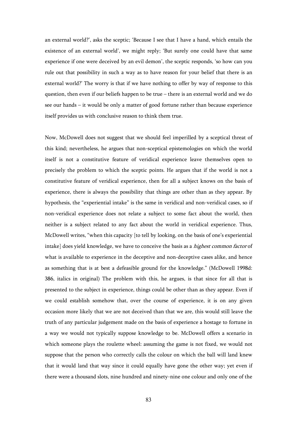an external world?', asks the sceptic; 'Because I see that I have a hand, which entails the existence of an external world', we might reply; 'But surely one could have that same experience if one were deceived by an evil demon', the sceptic responds, 'so how can you rule out that possibility in such a way as to have reason for your belief that there is an external world?' The worry is that if we have nothing to offer by way of response to this question, then even if our beliefs happen to be true – there is an external world and we do see our hands – it would be only a matter of good fortune rather than because experience itself provides us with conclusive reason to think them true.

Now, McDowell does not suggest that we should feel imperilled by a sceptical threat of this kind; nevertheless, he argues that non-sceptical epistemologies on which the world itself is not a constitutive feature of veridical experience leave themselves open to precisely the problem to which the sceptic points. He argues that if the world is not a constitutive feature of veridical experience, then for all a subject knows on the basis of experience, there is always the possibility that things are other than as they appear. By hypothesis, the "experiential intake" is the same in veridical and non-veridical cases, so if non-veridical experience does not relate a subject to some fact about the world, then neither is a subject related to any fact about the world in veridical experience. Thus, McDowell writes, "when this capacity [to tell by looking, on the basis of one's experiential intake] does yield knowledge, we have to conceive the basis as a *highest common factor* of what is available to experience in the deceptive and non-deceptive cases alike, and hence as something that is at best a defeasible ground for the knowledge." (McDowell 1998d: 386, italics in original) The problem with this, he argues, is that since for all that is presented to the subject in experience, things could be other than as they appear. Even if we could establish somehow that, over the course of experience, it is on any given occasion more likely that we are not deceived than that we are, this would still leave the truth of any particular judgement made on the basis of experience a hostage to fortune in a way we would not typically suppose knowledge to be. McDowell offers a scenario in which someone plays the roulette wheel: assuming the game is not fixed, we would not suppose that the person who correctly calls the colour on which the ball will land knew that it would land that way since it could equally have gone the other way; yet even if there were a thousand slots, nine hundred and ninety-nine one colour and only one of the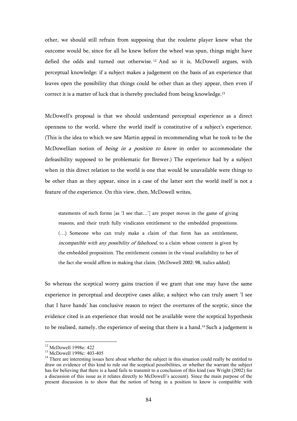other, we should still refrain from supposing that the roulette player knew what the outcome would be, since for all he knew before the wheel was spun, things might have defied the odds and turned out otherwise. <sup>12</sup> And so it is, McDowell argues, with perceptual knowledge: if a subject makes a judgement on the basis of an experience that leaves open the possibility that things could be other than as they appear, then even if correct it is a matter of luck that is thereby precluded from being knowledge.<sup>13</sup>

McDowell's proposal is that we should understand perceptual experience as a direct openness to the world, where the world itself is constitutive of a subject's experience. (This is the idea to which we saw Martin appeal in recommending what he took to be the McDowellian notion of *being in a position to know* in order to accommodate the defeasibility supposed to be problematic for Brewer.) The experience had by a subject when in this direct relation to the world is one that would be unavailable were things to be other than as they appear, since in a case of the latter sort the world itself is not a feature of the experience. On this view, then, McDowell writes,

statements of such forms [as 'I see that…'] are proper moves in the game of giving reasons, and their truth fully vindicates entitlement to the embedded propositions. (…) Someone who can truly make a claim of that form has an entitlement, incompatible with any possibility of falsehood, to a claim whose content is given by the embedded proposition. The entitlement consists in the visual availability to her of the fact she would affirm in making that claim. (McDowell 2002: 98, italics added)

So whereas the sceptical worry gains traction if we grant that one may have the same experience in perceptual and deceptive cases alike, a subject who can truly assert 'I see that I have hands' has conclusive reason to reject the overtures of the sceptic, since the evidence cited is an experience that would not be available were the sceptical hypothesis to be realised, namely, the experience of seeing that there is a hand.14 Such a judgement is

<sup>&</sup>lt;sup>12</sup> McDowell 1998e: 422

<sup>13</sup> McDowell 1998c: 403-405

<sup>&</sup>lt;sup>14</sup> There are interesting issues here about whether the subject in this situation could really be entitled to draw on evidence of this kind to rule out the sceptical possibilities, or whether the warrant the subject has for believing that there is a hand fails to transmit to a conclusion of this kind (see Wright (2002) for a discussion of this issue as it relates directly to McDowell's account). Since the main purpose of the present discussion is to show that the notion of being in a position to know is compatible with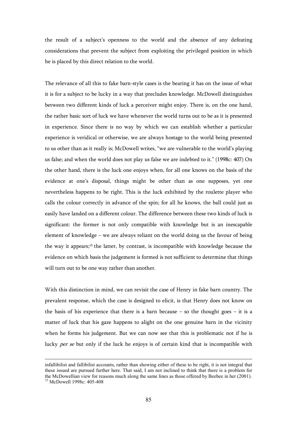the result of a subject's openness to the world and the absence of any defeating considerations that prevent the subject from exploiting the privileged position in which he is placed by this direct relation to the world.

The relevance of all this to fake barn-style cases is the bearing it has on the issue of what it is for a subject to be lucky in a way that precludes knowledge. McDowell distinguishes between two different kinds of luck a perceiver might enjoy. There is, on the one hand, the rather basic sort of luck we have whenever the world turns out to be as it is presented in experience. Since there is no way by which we can establish whether a particular experience is veridical or otherwise, we are always hostage to the world being presented to us other than as it really is; McDowell writes, "we are vulnerable to the world's playing us false; and when the world does not play us false we are indebted to it." (1998c: 407) On the other hand, there is the luck one enjoys when, for all one knows on the basis of the evidence at one's disposal, things might be other than as one supposes, yet one nevertheless happens to be right. This is the luck exhibited by the roulette player who calls the colour correctly in advance of the spin; for all he knows, the ball could just as easily have landed on a different colour. The difference between these two kinds of luck is significant: the former is not only compatible with knowledge but is an inescapable element of knowledge – we are always reliant on the world doing us the favour of being the way it appears;15 the latter, by contrast, is incompatible with knowledge because the evidence on which basis the judgement is formed is not sufficient to determine that things will turn out to be one way rather than another.

With this distinction in mind, we can revisit the case of Henry in fake barn country. The prevalent response, which the case is designed to elicit, is that Henry does not know on the basis of his experience that there is a barn because  $-$  so the thought goes  $-$  it is a matter of luck that his gaze happens to alight on the one genuine barn in the vicinity when he forms his judgement. But we can now see that this is problematic not if he is lucky *per se* but only if the luck he enjoys is of certain kind that is incompatible with

infallibilist and fallibilist accounts, rather than showing either of these to be right, it is not integral that these issued are pursued further here. That said, I am not inclined to think that there is a problem for the McDowellian view for reasons much along the same lines as those offered by Beebee in her (2001). <sup>15</sup> McDowell 1998c: 405-408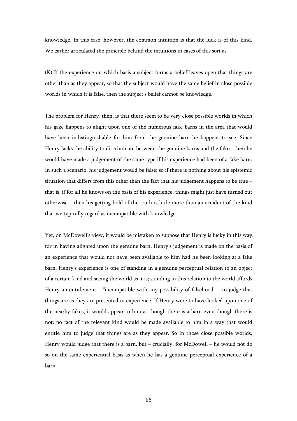knowledge. In this case, however, the common intuition is that the luck is of this kind. We earlier articulated the principle behind the intuitions in cases of this sort as

(K) If the experience on which basis a subject forms a belief leaves open that things are other than as they appear, so that the subject would have the same belief in close possible worlds in which it is false, then the subject's belief cannot be knowledge.

The problem for Henry, then, is that there seem to be very close possible worlds in which his gaze happens to alight upon one of the numerous fake barns in the area that would have been indistinguishable for him from the genuine barn he happens to see. Since Henry lacks the ability to discriminate between the genuine barns and the fakes, then he would have made a judgement of the same type if his experience had been of a fake barn. In such a scenario, his judgement would be false; so if there is nothing about his epistemic situation that differs from this other than the fact that his judgement happens to be true – that is, if for all he knows on the basis of his experience, things might just have turned out otherwise – then his getting hold of the truth is little more than an accident of the kind that we typically regard as incompatible with knowledge.

Yet, on McDowell's view, it would be mistaken to suppose that Henry is lucky in this way, for in having alighted upon the genuine barn, Henry's judgement is made on the basis of an experience that would not have been available to him had he been looking at a fake barn. Henry's experience is one of standing in a genuine perceptual relation to an object of a certain kind and seeing the world as it is; standing in this relation to the world affords Henry an entitlement – "incompatible with any possibility of falsehood" – to judge that things are as they are presented in experience. If Henry were to have looked upon one of the nearby fakes, it would appear to him as though there is a barn even though there is not; no fact of the relevant kind would be made available to him in a way that would entitle him to judge that things are as they appear. So in those close possible worlds, Henry would judge that there is a barn, but – crucially, for McDowell – he would not do so on the same experiential basis as when he has a genuine perceptual experience of a barn.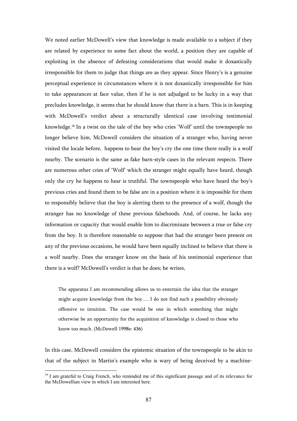We noted earlier McDowell's view that knowledge is made available to a subject if they are related by experience to some fact about the world, a position they are capable of exploiting in the absence of defeating considerations that would make it doxastically irresponsible for them to judge that things are as they appear. Since Henry's is a genuine perceptual experience in circumstances where it is not doxastically irresponsible for him to take appearances at face value, then if he is not adjudged to be lucky in a way that precludes knowledge, it seems that he should know that there is a barn. This is in keeping with McDowell's verdict about a structurally identical case involving testimonial knowledge.16 In a twist on the tale of the boy who cries 'Wolf' until the townspeople no longer believe him, McDowell considers the situation of a stranger who, having never visited the locale before, happens to hear the boy's cry the one time there really is a wolf nearby. The scenario is the same as fake barn-style cases in the relevant respects. There are numerous other cries of 'Wolf' which the stranger might equally have heard, though only the cry he happens to hear is truthful. The townspeople who have heard the boy's previous cries and found them to be false are in a position where it is impossible for them to responsibly believe that the boy is alerting them to the presence of a wolf, though the stranger has no knowledge of these previous falsehoods. And, of course, he lacks any information or capacity that would enable him to discriminate between a true or false cry from the boy. It is therefore reasonable to suppose that had the stranger been present on any of the previous occasions, he would have been equally inclined to believe that there is a wolf nearby. Does the stranger know on the basis of his testimonial experience that there is a wolf? McDowell's verdict is that he does; he writes,

The apparatus I am recommending allows us to entertain the idea that the stranger might acquire knowledge from the boy…. I do not find such a possibility obviously offensive to intuition. The case would be one in which something that might otherwise be an opportunity for the acquisition of knowledge is closed to those who know too much. (McDowell 1998e: 436)

In this case, McDowell considers the epistemic situation of the townspeople to be akin to that of the subject in Martin's example who is wary of being deceived by a machine-

<sup>&</sup>lt;sup>16</sup> I am grateful to Craig French, who reminded me of this significant passage and of its relevance for the McDowellian view in which I am interested here.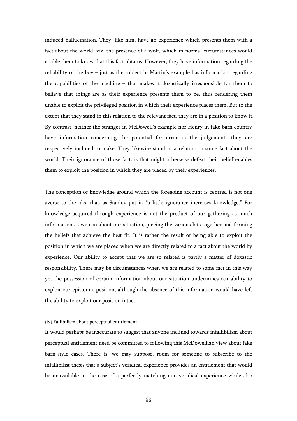induced hallucination. They, like him, have an experience which presents them with a fact about the world, viz. the presence of a wolf, which in normal circumstances would enable them to know that this fact obtains. However, they have information regarding the reliability of the boy – just as the subject in Martin's example has information regarding the capabilities of the machine – that makes it doxastically irresponsible for them to believe that things are as their experience presents them to be, thus rendering them unable to exploit the privileged position in which their experience places them. But to the extent that they stand in this relation to the relevant fact, they are in a position to know it. By contrast, neither the stranger in McDowell's example nor Henry in fake barn country have information concerning the potential for error in the judgements they are respectively inclined to make. They likewise stand in a relation to some fact about the world. Their ignorance of those factors that might otherwise defeat their belief enables them to exploit the position in which they are placed by their experiences.

The conception of knowledge around which the foregoing account is centred is not one averse to the idea that, as Stanley put it, "a little ignorance increases knowledge." For knowledge acquired through experience is not the product of our gathering as much information as we can about our situation, piecing the various bits together and forming the beliefs that achieve the best fit. It is rather the result of being able to exploit the position in which we are placed when we are directly related to a fact about the world by experience. Our ability to accept that we are so related is partly a matter of doxastic responsibility. There may be circumstances when we are related to some fact in this way yet the possession of certain information about our situation undermines our ability to exploit our epistemic position, although the absence of this information would have left the ability to exploit our position intact.

# (iv) Fallibilism about perceptual entitlement

It would perhaps be inaccurate to suggest that anyone inclined towards infallibilism about perceptual entitlement need be committed to following this McDowellian view about fake barn-style cases. There is, we may suppose, room for someone to subscribe to the infallibilist thesis that a subject's veridical experience provides an entitlement that would be unavailable in the case of a perfectly matching non-veridical experience while also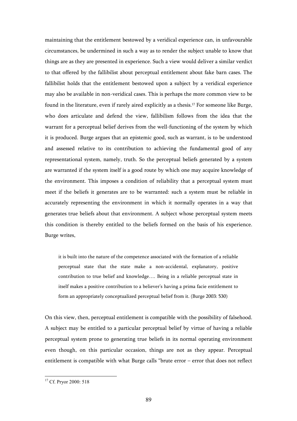maintaining that the entitlement bestowed by a veridical experience can, in unfavourable circumstances, be undermined in such a way as to render the subject unable to know that things are as they are presented in experience. Such a view would deliver a similar verdict to that offered by the fallibilist about perceptual entitlement about fake barn cases. The fallibilist holds that the entitlement bestowed upon a subject by a veridical experience may also be available in non-veridical cases. This is perhaps the more common view to be found in the literature, even if rarely aired explicitly as a thesis.17 For someone like Burge, who does articulate and defend the view, fallibilism follows from the idea that the warrant for a perceptual belief derives from the well-functioning of the system by which it is produced. Burge argues that an epistemic good, such as warrant, is to be understood and assessed relative to its contribution to achieving the fundamental good of any representational system, namely, truth. So the perceptual beliefs generated by a system are warranted if the system itself is a good route by which one may acquire knowledge of the environment. This imposes a condition of reliability that a perceptual system must meet if the beliefs it generates are to be warranted: such a system must be reliable in accurately representing the environment in which it normally operates in a way that generates true beliefs about that environment. A subject whose perceptual system meets this condition is thereby entitled to the beliefs formed on the basis of his experience. Burge writes,

it is built into the nature of the competence associated with the formation of a reliable perceptual state that the state make a non-accidental, explanatory, positive contribution to true belief and knowledge…. Being in a reliable perceptual state in itself makes a positive contribution to a believer's having a prima facie entitlement to form an appropriately conceptualized perceptual belief from it. (Burge 2003: 530)

On this view, then, perceptual entitlement is compatible with the possibility of falsehood. A subject may be entitled to a particular perceptual belief by virtue of having a reliable perceptual system prone to generating true beliefs in its normal operating environment even though, on this particular occasion, things are not as they appear. Perceptual entitlement is compatible with what Burge calls "brute error – error that does not reflect

<sup>&</sup>lt;sup>17</sup> Cf. Pryor 2000: 518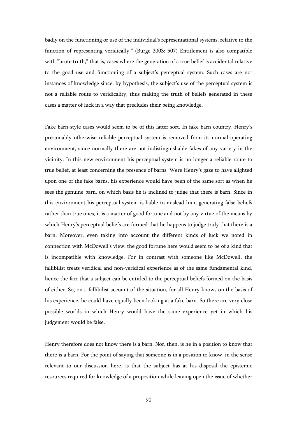badly on the functioning or use of the individual's representational systems, relative to the function of representing veridically." (Burge 2003: 507) Entitlement is also compatible with "brute truth," that is, cases where the generation of a true belief is accidental relative to the good use and functioning of a subject's perceptual system. Such cases are not instances of knowledge since, by hypothesis, the subject's use of the perceptual system is not a reliable route to veridicality, thus making the truth of beliefs generated in these cases a matter of luck in a way that precludes their being knowledge.

Fake barn-style cases would seem to be of this latter sort. In fake barn country, Henry's presumably otherwise reliable perceptual system is removed from its normal operating environment, since normally there are not indistinguishable fakes of any variety in the vicinity. In this new environment his perceptual system is no longer a reliable route to true belief, at least concerning the presence of barns. Were Henry's gaze to have alighted upon one of the fake barns, his experience would have been of the same sort as when he sees the genuine barn, on which basis he is inclined to judge that there is barn. Since in this environment his perceptual system is liable to mislead him, generating false beliefs rather than true ones, it is a matter of good fortune and not by any virtue of the means by which Henry's perceptual beliefs are formed that he happens to judge truly that there is a barn. Moreover, even taking into account the different kinds of luck we noted in connection with McDowell's view, the good fortune here would seem to be of a kind that is incompatible with knowledge. For in contrast with someone like McDowell, the fallibilist treats veridical and non-veridical experience as of the same fundamental kind, hence the fact that a subject can be entitled to the perceptual beliefs formed on the basis of either. So, on a fallibilist account of the situation, for all Henry knows on the basis of his experience, he could have equally been looking at a fake barn. So there are very close possible worlds in which Henry would have the same experience yet in which his judgement would be false.

Henry therefore does not know there is a barn. Nor, then, is he in a position to know that there is a barn. For the point of saying that someone is in a position to know, in the sense relevant to our discussion here, is that the subject has at his disposal the epistemic resources required for knowledge of a proposition while leaving open the issue of whether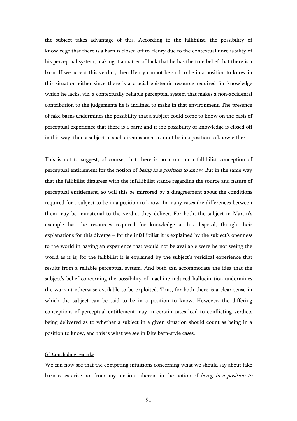the subject takes advantage of this. According to the fallibilist, the possibility of knowledge that there is a barn is closed off to Henry due to the contextual unreliability of his perceptual system, making it a matter of luck that he has the true belief that there is a barn. If we accept this verdict, then Henry cannot be said to be in a position to know in this situation either since there is a crucial epistemic resource required for knowledge which he lacks, viz. a contextually reliable perceptual system that makes a non-accidental contribution to the judgements he is inclined to make in that environment. The presence of fake barns undermines the possibility that a subject could come to know on the basis of perceptual experience that there is a barn; and if the possibility of knowledge is closed off in this way, then a subject in such circumstances cannot be in a position to know either.

This is not to suggest, of course, that there is no room on a fallibilist conception of perceptual entitlement for the notion of *being in a position to know*. But in the same way that the fallibilist disagrees with the infallibilist stance regarding the source and nature of perceptual entitlement, so will this be mirrored by a disagreement about the conditions required for a subject to be in a position to know. In many cases the differences between them may be immaterial to the verdict they deliver. For both, the subject in Martin's example has the resources required for knowledge at his disposal, though their explanations for this diverge – for the infallibilist it is explained by the subject's openness to the world in having an experience that would not be available were he not seeing the world as it is; for the fallibilist it is explained by the subject's veridical experience that results from a reliable perceptual system. And both can accommodate the idea that the subject's belief concerning the possibility of machine-induced hallucination undermines the warrant otherwise available to be exploited. Thus, for both there is a clear sense in which the subject can be said to be in a position to know. However, the differing conceptions of perceptual entitlement may in certain cases lead to conflicting verdicts being delivered as to whether a subject in a given situation should count as being in a position to know, and this is what we see in fake barn-style cases.

# (v) Concluding remarks

We can now see that the competing intuitions concerning what we should say about fake barn cases arise not from any tension inherent in the notion of *being in a position to*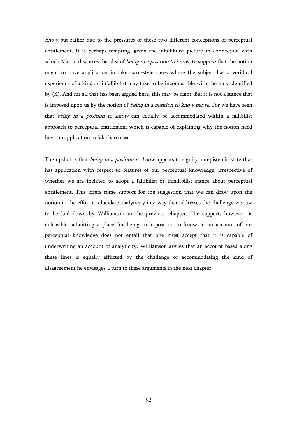know but rather due to the pressures of these two different conceptions of perceptual entitlement. It is perhaps tempting, given the infallibilist picture in connection with which Martin discusses the idea of *being in a position to know*, to suppose that the notion ought to have application in fake barn-style cases where the subject has a veridical experience of a kind an infallibilist may take to be incompatible with the luck identified by (K). And for all that has been argued here, this may be right. But it is not a stance that is imposed upon us by the notion of *being in a position to know per se*. For we have seen that being in a position to know can equally be accommodated within a fallibilist approach to perceptual entitlement which is capable of explaining why the notion need have no application in fake barn cases.

The upshot is that *being in a position to know* appears to signify an epistemic state that has application with respect to features of our perceptual knowledge, irrespective of whether we are inclined to adopt a fallibilist or infallibilist stance about perceptual entitlement. This offers some support for the suggestion that we can draw upon the notion in the effort to elucidate analyticity in a way that addresses the challenge we saw to be laid down by Williamson in the previous chapter. The support, however, is defeasible: admitting a place for being in a position to know in an account of our perceptual knowledge does not entail that one must accept that it is capable of underwriting an account of analyticity. Williamson argues that an account based along these lines is equally afflicted by the challenge of accommodating the kind of disagreement he envisages. I turn to these arguments in the next chapter.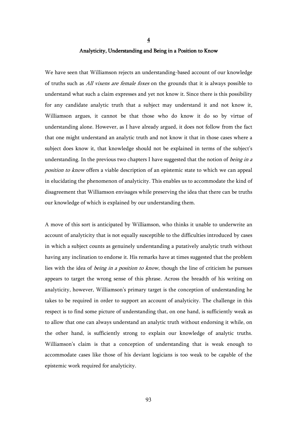### Analyticity, Understanding and Being in a Position to Know

4

We have seen that Williamson rejects an understanding-based account of our knowledge of truths such as *All vixens are female foxes* on the grounds that it is always possible to understand what such a claim expresses and yet not know it. Since there is this possibility for any candidate analytic truth that a subject may understand it and not know it, Williamson argues, it cannot be that those who do know it do so by virtue of understanding alone. However, as I have already argued, it does not follow from the fact that one might understand an analytic truth and not know it that in those cases where a subject does know it, that knowledge should not be explained in terms of the subject's understanding. In the previous two chapters I have suggested that the notion of *being in a* position to know offers a viable description of an epistemic state to which we can appeal in elucidating the phenomenon of analyticity. This enables us to accommodate the kind of disagreement that Williamson envisages while preserving the idea that there can be truths our knowledge of which is explained by our understanding them.

A move of this sort is anticipated by Williamson, who thinks it unable to underwrite an account of analyticity that is not equally susceptible to the difficulties introduced by cases in which a subject counts as genuinely understanding a putatively analytic truth without having any inclination to endorse it. His remarks have at times suggested that the problem lies with the idea of *being in a position to know*, though the line of criticism he pursues appears to target the wrong sense of this phrase. Across the breadth of his writing on analyticity, however, Williamson's primary target is the conception of understanding he takes to be required in order to support an account of analyticity. The challenge in this respect is to find some picture of understanding that, on one hand, is sufficiently weak as to allow that one can always understand an analytic truth without endorsing it while, on the other hand, is sufficiently strong to explain our knowledge of analytic truths. Williamson's claim is that a conception of understanding that is weak enough to accommodate cases like those of his deviant logicians is too weak to be capable of the epistemic work required for analyticity.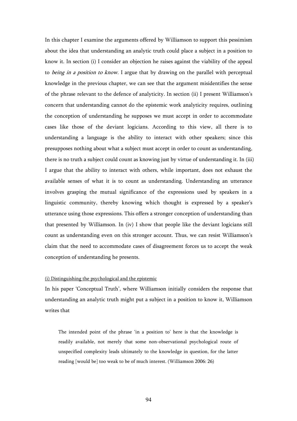In this chapter I examine the arguments offered by Williamson to support this pessimism about the idea that understanding an analytic truth could place a subject in a position to know it. In section (i) I consider an objection he raises against the viability of the appeal to being in a position to know. I argue that by drawing on the parallel with perceptual knowledge in the previous chapter, we can see that the argument misidentifies the sense of the phrase relevant to the defence of analyticity. In section (ii) I present Williamson's concern that understanding cannot do the epistemic work analyticity requires, outlining the conception of understanding he supposes we must accept in order to accommodate cases like those of the deviant logicians. According to this view, all there is to understanding a language is the ability to interact with other speakers; since this presupposes nothing about what a subject must accept in order to count as understanding, there is no truth a subject could count as knowing just by virtue of understanding it. In (iii) I argue that the ability to interact with others, while important, does not exhaust the available senses of what it is to count as understanding. Understanding an utterance involves grasping the mutual significance of the expressions used by speakers in a linguistic community, thereby knowing which thought is expressed by a speaker's utterance using those expressions. This offers a stronger conception of understanding than that presented by Williamson. In (iv) I show that people like the deviant logicians still count as understanding even on this stronger account. Thus, we can resist Williamson's claim that the need to accommodate cases of disagreement forces us to accept the weak conception of understanding he presents.

## (i) Distinguishing the psychological and the epistemic

In his paper 'Conceptual Truth', where Williamson initially considers the response that understanding an analytic truth might put a subject in a position to know it, Williamson writes that

The intended point of the phrase 'in a position to' here is that the knowledge is readily available, not merely that some non-observational psychological route of unspecified complexity leads ultimately to the knowledge in question, for the latter reading [would be] too weak to be of much interest. (Williamson 2006: 26)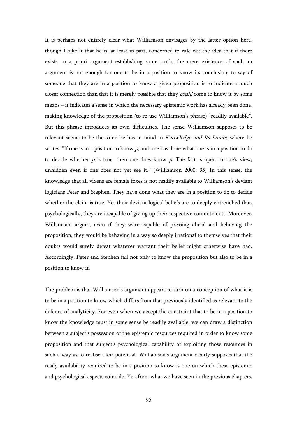It is perhaps not entirely clear what Williamson envisages by the latter option here, though I take it that he is, at least in part, concerned to rule out the idea that if there exists an a priori argument establishing some truth, the mere existence of such an argument is not enough for one to be in a position to know its conclusion; to say of someone that they are in a position to know a given proposition is to indicate a much closer connection than that it is merely possible that they *could* come to know it by some means – it indicates a sense in which the necessary epistemic work has already been done, making knowledge of the proposition (to re-use Williamson's phrase) "readily available". But this phrase introduces its own difficulties. The sense Williamson supposes to be relevant seems to be the same he has in mind in Knowledge and Its Limits, where he writes: "If one is in a position to know  $p$ , and one has done what one is in a position to do to decide whether  $p$  is true, then one does know  $p$ . The fact is open to one's view, unhidden even if one does not yet see it." (Williamson 2000: 95) In this sense, the knowledge that all vixens are female foxes is not readily available to Williamson's deviant logicians Peter and Stephen. They have done what they are in a position to do to decide whether the claim is true. Yet their deviant logical beliefs are so deeply entrenched that, psychologically, they are incapable of giving up their respective commitments. Moreover, Williamson argues, even if they were capable of pressing ahead and believing the proposition, they would be behaving in a way so deeply irrational to themselves that their doubts would surely defeat whatever warrant their belief might otherwise have had. Accordingly, Peter and Stephen fail not only to know the proposition but also to be in a position to know it.

The problem is that Williamson's argument appears to turn on a conception of what it is to be in a position to know which differs from that previously identified as relevant to the defence of analyticity. For even when we accept the constraint that to be in a position to know the knowledge must in some sense be readily available, we can draw a distinction between a subject's possession of the epistemic resources required in order to know some proposition and that subject's psychological capability of exploiting those resources in such a way as to realise their potential. Williamson's argument clearly supposes that the ready availability required to be in a position to know is one on which these epistemic and psychological aspects coincide. Yet, from what we have seen in the previous chapters,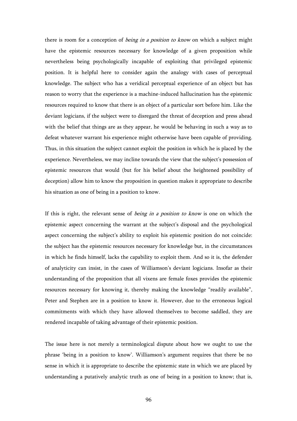there is room for a conception of *being in a position to know* on which a subject might have the epistemic resources necessary for knowledge of a given proposition while nevertheless being psychologically incapable of exploiting that privileged epistemic position. It is helpful here to consider again the analogy with cases of perceptual knowledge. The subject who has a veridical perceptual experience of an object but has reason to worry that the experience is a machine-induced hallucination has the epistemic resources required to know that there is an object of a particular sort before him. Like the deviant logicians, if the subject were to disregard the threat of deception and press ahead with the belief that things are as they appear, he would be behaving in such a way as to defeat whatever warrant his experience might otherwise have been capable of providing. Thus, in this situation the subject cannot exploit the position in which he is placed by the experience. Nevertheless, we may incline towards the view that the subject's possession of epistemic resources that would (but for his belief about the heightened possibility of deception) allow him to know the proposition in question makes it appropriate to describe his situation as one of being in a position to know.

If this is right, the relevant sense of *being in a position to know* is one on which the epistemic aspect concerning the warrant at the subject's disposal and the psychological aspect concerning the subject's ability to exploit his epistemic position do not coincide: the subject has the epistemic resources necessary for knowledge but, in the circumstances in which he finds himself, lacks the capability to exploit them. And so it is, the defender of analyticity can insist, in the cases of Williamson's deviant logicians. Insofar as their understanding of the proposition that all vixens are female foxes provides the epistemic resources necessary for knowing it, thereby making the knowledge "readily available", Peter and Stephen are in a position to know it. However, due to the erroneous logical commitments with which they have allowed themselves to become saddled, they are rendered incapable of taking advantage of their epistemic position.

The issue here is not merely a terminological dispute about how we ought to use the phrase 'being in a position to know'. Williamson's argument requires that there be no sense in which it is appropriate to describe the epistemic state in which we are placed by understanding a putatively analytic truth as one of being in a position to know; that is,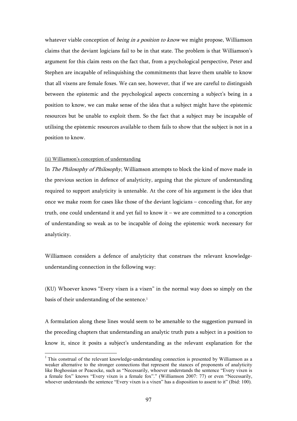whatever viable conception of *being in a position to know* we might propose, Williamson claims that the deviant logicians fail to be in that state. The problem is that Williamson's argument for this claim rests on the fact that, from a psychological perspective, Peter and Stephen are incapable of relinquishing the commitments that leave them unable to know that all vixens are female foxes. We can see, however, that if we are careful to distinguish between the epistemic and the psychological aspects concerning a subject's being in a position to know, we can make sense of the idea that a subject might have the epistemic resources but be unable to exploit them. So the fact that a subject may be incapable of utilising the epistemic resources available to them fails to show that the subject is not in a position to know.

### (ii) Williamson's conception of understanding

 $\overline{a}$ 

In The Philosophy of Philosophy, Williamson attempts to block the kind of move made in the previous section in defence of analyticity, arguing that the picture of understanding required to support analyticity is untenable. At the core of his argument is the idea that once we make room for cases like those of the deviant logicians – conceding that, for any truth, one could understand it and yet fail to know it – we are committed to a conception of understanding so weak as to be incapable of doing the epistemic work necessary for analyticity.

Williamson considers a defence of analyticity that construes the relevant knowledgeunderstanding connection in the following way:

(KU) Whoever knows "Every vixen is a vixen" in the normal way does so simply on the basis of their understanding of the sentence.<sup>1</sup>

A formulation along these lines would seem to be amenable to the suggestion pursued in the preceding chapters that understanding an analytic truth puts a subject in a position to know it, since it posits a subject's understanding as the relevant explanation for the

<sup>&</sup>lt;sup>1</sup> This construal of the relevant knowledge-understanding connection is presented by Williamson as a weaker alternative to the stronger connections that represent the stances of proponents of analyticity like Boghossian or Peacocke, such as "Necessarily, whoever understands the sentence "Every vixen is a female fox" knows "Every vixen is a female fox"." (Williamson 2007: 77) or even "Necessarily, whoever understands the sentence "Every vixen is a vixen" has a disposition to assent to it" (Ibid: 100).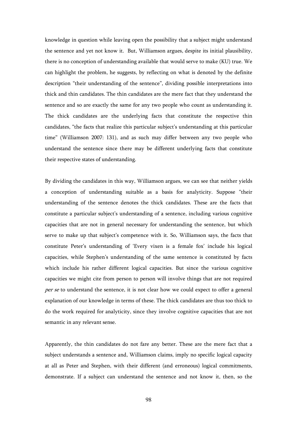knowledge in question while leaving open the possibility that a subject might understand the sentence and yet not know it. But, Williamson argues, despite its initial plausibility, there is no conception of understanding available that would serve to make (KU) true. We can highlight the problem, he suggests, by reflecting on what is denoted by the definite description "their understanding of the sentence", dividing possible interpretations into thick and thin candidates. The thin candidates are the mere fact that they understand the sentence and so are exactly the same for any two people who count as understanding it. The thick candidates are the underlying facts that constitute the respective thin candidates, "the facts that realize this particular subject's understanding at this particular time" (Williamson 2007: 131), and as such may differ between any two people who understand the sentence since there may be different underlying facts that constitute their respective states of understanding.

By dividing the candidates in this way, Williamson argues, we can see that neither yields a conception of understanding suitable as a basis for analyticity. Suppose "their understanding of the sentence denotes the thick candidates. These are the facts that constitute a particular subject's understanding of a sentence, including various cognitive capacities that are not in general necessary for understanding the sentence, but which serve to make up that subject's competence with it. So, Williamson says, the facts that constitute Peter's understanding of 'Every vixen is a female fox' include his logical capacities, while Stephen's understanding of the same sentence is constituted by facts which include his rather different logical capacities. But since the various cognitive capacities we might cite from person to person will involve things that are not required per se to understand the sentence, it is not clear how we could expect to offer a general explanation of our knowledge in terms of these. The thick candidates are thus too thick to do the work required for analyticity, since they involve cognitive capacities that are not semantic in any relevant sense.

Apparently, the thin candidates do not fare any better. These are the mere fact that a subject understands a sentence and, Williamson claims, imply no specific logical capacity at all as Peter and Stephen, with their different (and erroneous) logical commitments, demonstrate. If a subject can understand the sentence and not know it, then, so the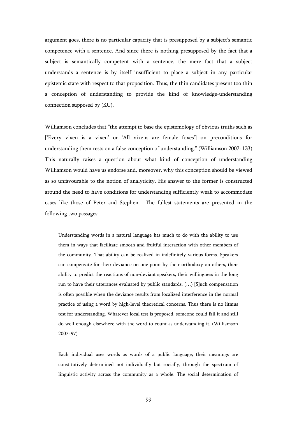argument goes, there is no particular capacity that is presupposed by a subject's semantic competence with a sentence. And since there is nothing presupposed by the fact that a subject is semantically competent with a sentence, the mere fact that a subject understands a sentence is by itself insufficient to place a subject in any particular epistemic state with respect to that proposition. Thus, the thin candidates present too thin a conception of understanding to provide the kind of knowledge-understanding connection supposed by (KU).

Williamson concludes that "the attempt to base the epistemology of obvious truths such as ['Every vixen is a vixen' or 'All vixens are female foxes'] on preconditions for understanding them rests on a false conception of understanding." (Williamson 2007: 133) This naturally raises a question about what kind of conception of understanding Williamson would have us endorse and, moreover, why this conception should be viewed as so unfavourable to the notion of analyticity. His answer to the former is constructed around the need to have conditions for understanding sufficiently weak to accommodate cases like those of Peter and Stephen. The fullest statements are presented in the following two passages:

Understanding words in a natural language has much to do with the ability to use them in ways that facilitate smooth and fruitful interaction with other members of the community. That ability can be realized in indefinitely various forms. Speakers can compensate for their deviance on one point by their orthodoxy on others, their ability to predict the reactions of non-deviant speakers, their willingness in the long run to have their utterances evaluated by public standards. (…) [S]uch compensation is often possible when the deviance results from localized interference in the normal practice of using a word by high-level theoretical concerns. Thus there is no litmus test for understanding. Whatever local test is proposed, someone could fail it and still do well enough elsewhere with the word to count as understanding it. (Williamson 2007: 97)

Each individual uses words as words of a public language; their meanings are constitutively determined not individually but socially, through the spectrum of linguistic activity across the community as a whole. The social determination of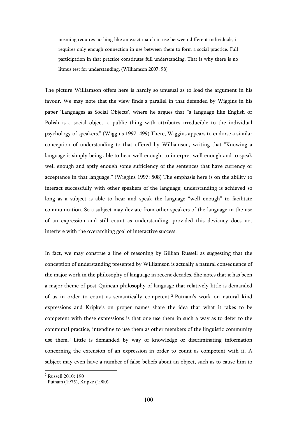meaning requires nothing like an exact match in use between different individuals; it requires only enough connection in use between them to form a social practice. Full participation in that practice constitutes full understanding. That is why there is no litmus test for understanding. (Williamson 2007: 98)

The picture Williamson offers here is hardly so unusual as to load the argument in his favour. We may note that the view finds a parallel in that defended by Wiggins in his paper 'Languages as Social Objects', where he argues that "a language like English or Polish is a social object, a public thing with attributes irreducible to the individual psychology of speakers." (Wiggins 1997: 499) There, Wiggins appears to endorse a similar conception of understanding to that offered by Williamson, writing that "Knowing a language is simply being able to hear well enough, to interpret well enough and to speak well enough and aptly enough some sufficiency of the sentences that have currency or acceptance in that language." (Wiggins 1997: 508) The emphasis here is on the ability to interact successfully with other speakers of the language; understanding is achieved so long as a subject is able to hear and speak the language "well enough" to facilitate communication. So a subject may deviate from other speakers of the language in the use of an expression and still count as understanding, provided this deviancy does not interfere with the overarching goal of interactive success.

In fact, we may construe a line of reasoning by Gillian Russell as suggesting that the conception of understanding presented by Williamson is actually a natural consequence of the major work in the philosophy of language in recent decades. She notes that it has been a major theme of post-Quinean philosophy of language that relatively little is demanded of us in order to count as semantically competent. <sup>2</sup> Putnam's work on natural kind expressions and Kripke's on proper names share the idea that what it takes to be competent with these expressions is that one use them in such a way as to defer to the communal practice, intending to use them as other members of the linguistic community use them. <sup>3</sup> Little is demanded by way of knowledge or discriminating information concerning the extension of an expression in order to count as competent with it. A subject may even have a number of false beliefs about an object, such as to cause him to

 2 Russell 2010: 190

<sup>3</sup> Putnam (1975), Kripke (1980)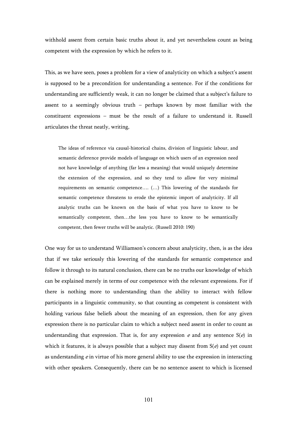withhold assent from certain basic truths about it, and yet nevertheless count as being competent with the expression by which he refers to it.

This, as we have seen, poses a problem for a view of analyticity on which a subject's assent is supposed to be a precondition for understanding a sentence. For if the conditions for understanding are sufficiently weak, it can no longer be claimed that a subject's failure to assent to a seemingly obvious truth – perhaps known by most familiar with the constituent expressions – must be the result of a failure to understand it. Russell articulates the threat neatly, writing,

The ideas of reference via causal-historical chains, division of linguistic labour, and semantic deference provide models of language on which users of an expression need not have knowledge of anything (far less a meaning) that would uniquely determine the extension of the expression, and so they tend to allow for very minimal requirements on semantic competence…. (…) This lowering of the standards for semantic competence threatens to erode the epistemic import of analyticity. If all analytic truths can be known on the basis of what you have to know to be semantically competent, then…the less you have to know to be semantically competent, then fewer truths will be analytic. (Russell 2010: 190)

One way for us to understand Williamson's concern about analyticity, then, is as the idea that if we take seriously this lowering of the standards for semantic competence and follow it through to its natural conclusion, there can be no truths our knowledge of which can be explained merely in terms of our competence with the relevant expressions. For if there is nothing more to understanding than the ability to interact with fellow participants in a linguistic community, so that counting as competent is consistent with holding various false beliefs about the meaning of an expression, then for any given expression there is no particular claim to which a subject need assent in order to count as understanding that expression. That is, for any expression  $e$  and any sentence  $S(e)$  in which it features, it is always possible that a subject may dissent from  $S(e)$  and yet count as understanding  $e$  in virtue of his more general ability to use the expression in interacting with other speakers. Consequently, there can be no sentence assent to which is licensed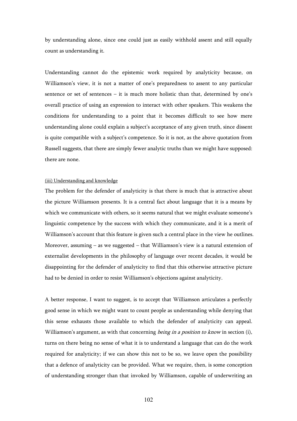by understanding alone, since one could just as easily withhold assent and still equally count as understanding it.

Understanding cannot do the epistemic work required by analyticity because, on Williamson's view, it is not a matter of one's preparedness to assent to any particular sentence or set of sentences – it is much more holistic than that, determined by one's overall practice of using an expression to interact with other speakers. This weakens the conditions for understanding to a point that it becomes difficult to see how mere understanding alone could explain a subject's acceptance of any given truth, since dissent is quite compatible with a subject's competence. So it is not, as the above quotation from Russell suggests, that there are simply fewer analytic truths than we might have supposed: there are none.

#### (iii) Understanding and knowledge

The problem for the defender of analyticity is that there is much that is attractive about the picture Williamson presents. It is a central fact about language that it is a means by which we communicate with others, so it seems natural that we might evaluate someone's linguistic competence by the success with which they communicate, and it is a merit of Williamson's account that this feature is given such a central place in the view he outlines. Moreover, assuming  $-$  as we suggested  $-$  that Williamson's view is a natural extension of externalist developments in the philosophy of language over recent decades, it would be disappointing for the defender of analyticity to find that this otherwise attractive picture had to be denied in order to resist Williamson's objections against analyticity.

A better response, I want to suggest, is to accept that Williamson articulates a perfectly good sense in which we might want to count people as understanding while denying that this sense exhausts those available to which the defender of analyticity can appeal. Williamson's argument, as with that concerning *being in a position to know* in section (i), turns on there being no sense of what it is to understand a language that can do the work required for analyticity; if we can show this not to be so, we leave open the possibility that a defence of analyticity can be provided. What we require, then, is some conception of understanding stronger than that invoked by Williamson, capable of underwriting an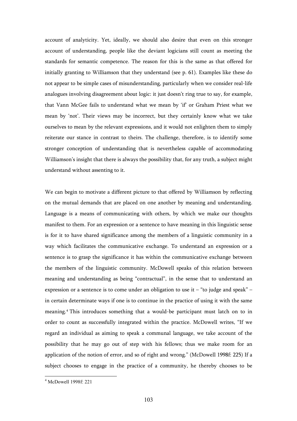account of analyticity. Yet, ideally, we should also desire that even on this stronger account of understanding, people like the deviant logicians still count as meeting the standards for semantic competence. The reason for this is the same as that offered for initially granting to Williamson that they understand (see p. 61). Examples like these do not appear to be simple cases of misunderstanding, particularly when we consider real-life analogues involving disagreement about logic: it just doesn't ring true to say, for example, that Vann McGee fails to understand what we mean by 'if' or Graham Priest what we mean by 'not'. Their views may be incorrect, but they certainly know what we take ourselves to mean by the relevant expressions, and it would not enlighten them to simply reiterate our stance in contrast to theirs. The challenge, therefore, is to identify some stronger conception of understanding that is nevertheless capable of accommodating Williamson's insight that there is always the possibility that, for any truth, a subject might understand without assenting to it.

We can begin to motivate a different picture to that offered by Williamson by reflecting on the mutual demands that are placed on one another by meaning and understanding. Language is a means of communicating with others, by which we make our thoughts manifest to them. For an expression or a sentence to have meaning in this linguistic sense is for it to have shared significance among the members of a linguistic community in a way which facilitates the communicative exchange. To understand an expression or a sentence is to grasp the significance it has within the communicative exchange between the members of the linguistic community. McDowell speaks of this relation between meaning and understanding as being "contractual", in the sense that to understand an expression or a sentence is to come under an obligation to use it – "to judge and speak" – in certain determinate ways if one is to continue in the practice of using it with the same meaning.<sup>4</sup> This introduces something that a would-be participant must latch on to in order to count as successfully integrated within the practice. McDowell writes, "If we regard an individual as aiming to speak a communal language, we take account of the possibility that he may go out of step with his fellows; thus we make room for an application of the notion of error, and so of right and wrong." (McDowell 1998f: 225) If a subject chooses to engage in the practice of a community, he thereby chooses to be

 4 McDowell 1998f: 221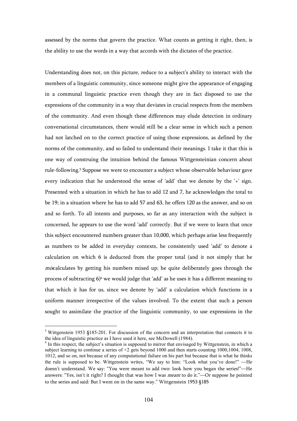assessed by the norms that govern the practice. What counts as getting it right, then, is the ability to use the words in a way that accords with the dictates of the practice.

Understanding does not, on this picture, reduce to a subject's ability to interact with the members of a linguistic community, since someone might give the appearance of engaging in a communal linguistic practice even though they are in fact disposed to use the expressions of the community in a way that deviates in crucial respects from the members of the community. And even though these differences may elude detection in ordinary conversational circumstances, there would still be a clear sense in which such a person had not latched on to the correct practice of using those expressions, as defined by the norms of the community, and so failed to understand their meanings. I take it that this is one way of construing the intuition behind the famous Wittgensteinian concern about rule-following.<sup>5</sup> Suppose we were to encounter a subject whose observable behaviour gave every indication that he understood the sense of 'add' that we denote by the '+' sign. Presented with a situation in which he has to add 12 and 7, he acknowledges the total to be 19; in a situation where he has to add 57 and 63, he offers 120 as the answer, and so on and so forth. To all intents and purposes, so far as any interaction with the subject is concerned, he appears to use the word 'add' correctly. But if we were to learn that once this subject encountered numbers greater than 10,000, which perhaps arise less frequently as numbers to be added in everyday contexts, he consistently used 'add' to denote a calculation on which 6 is deducted from the proper total (and it not simply that he miscalculates by getting his numbers mixed up; he quite deliberately goes through the process of subtracting 6)<sup>6</sup> we would judge that 'add' as he uses it has a different meaning to that which it has for us, since we denote by 'add' a calculation which functions in a uniform manner irrespective of the values involved. To the extent that such a person sought to assimilate the practice of the linguistic community, to use expressions in the

<sup>&</sup>lt;sup>5</sup> Wittgenstein 1953 §185-201. For discussion of the concern and an interpretation that connects it to the idea of linguistic practice as I have used it here, see McDowell (1984).

<sup>&</sup>lt;sup>6</sup> In this respect, the subject's situation is supposed to mirror that envisaged by Wittgenstein, in which a subject learning to continue a series of +2 gets beyond 1000 and then starts counting 1000,1004, 1008, 1012, and so on, not because of any computational failure on his part but because that is what he thinks the rule is supposed to be. Wittgenstein writes, "We say to him: "Look what you've done!" —He doesn't understand. We say: "You were meant to add two: look how you began the series!"—He answers: "Yes, isn't it right? I thought that was how I was meant to do it."—Or suppose he pointed to the series and said: But I went on in the same way." Wittgenstein 1953 §185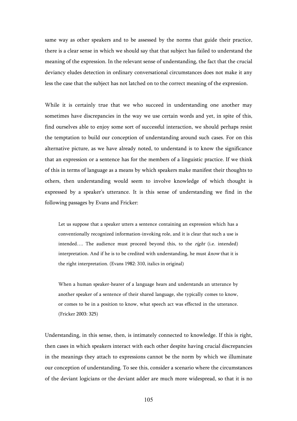same way as other speakers and to be assessed by the norms that guide their practice, there is a clear sense in which we should say that that subject has failed to understand the meaning of the expression. In the relevant sense of understanding, the fact that the crucial deviancy eludes detection in ordinary conversational circumstances does not make it any less the case that the subject has not latched on to the correct meaning of the expression.

While it is certainly true that we who succeed in understanding one another may sometimes have discrepancies in the way we use certain words and yet, in spite of this, find ourselves able to enjoy some sort of successful interaction, we should perhaps resist the temptation to build our conception of understanding around such cases. For on this alternative picture, as we have already noted, to understand is to know the significance that an expression or a sentence has for the members of a linguistic practice. If we think of this in terms of language as a means by which speakers make manifest their thoughts to others, then understanding would seem to involve knowledge of which thought is expressed by a speaker's utterance. It is this sense of understanding we find in the following passages by Evans and Fricker:

Let us suppose that a speaker utters a sentence containing an expression which has a conventionally recognized information-invoking role, and it is clear that such a use is intended.... The audience must proceed beyond this, to the *right* (i.e. intended) interpretation. And if he is to be credited with understanding, he must know that it is the right interpretation. (Evans 1982: 310, italics in original)

When a human speaker-hearer of a language hears and understands an utterance by another speaker of a sentence of their shared language, she typically comes to know, or comes to be in a position to know, what speech act was effected in the utterance. (Fricker 2003: 325)

Understanding, in this sense, then, is intimately connected to knowledge. If this is right, then cases in which speakers interact with each other despite having crucial discrepancies in the meanings they attach to expressions cannot be the norm by which we illuminate our conception of understanding. To see this, consider a scenario where the circumstances of the deviant logicians or the deviant adder are much more widespread, so that it is no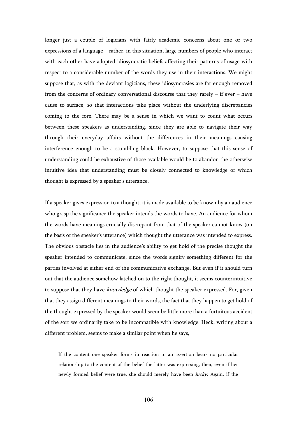longer just a couple of logicians with fairly academic concerns about one or two expressions of a language – rather, in this situation, large numbers of people who interact with each other have adopted idiosyncratic beliefs affecting their patterns of usage with respect to a considerable number of the words they use in their interactions. We might suppose that, as with the deviant logicians, these idiosyncrasies are far enough removed from the concerns of ordinary conversational discourse that they rarely  $-$  if ever  $-$  have cause to surface, so that interactions take place without the underlying discrepancies coming to the fore. There may be a sense in which we want to count what occurs between these speakers as understanding, since they are able to navigate their way through their everyday affairs without the differences in their meanings causing interference enough to be a stumbling block. However, to suppose that this sense of understanding could be exhaustive of those available would be to abandon the otherwise intuitive idea that understanding must be closely connected to knowledge of which thought is expressed by a speaker's utterance.

If a speaker gives expression to a thought, it is made available to be known by an audience who grasp the significance the speaker intends the words to have. An audience for whom the words have meanings crucially discrepant from that of the speaker cannot know (on the basis of the speaker's utterance) which thought the utterance was intended to express. The obvious obstacle lies in the audience's ability to get hold of the precise thought the speaker intended to communicate, since the words signify something different for the parties involved at either end of the communicative exchange. But even if it should turn out that the audience somehow latched on to the right thought, it seems counterintuitive to suppose that they have knowledge of which thought the speaker expressed. For, given that they assign different meanings to their words, the fact that they happen to get hold of the thought expressed by the speaker would seem be little more than a fortuitous accident of the sort we ordinarily take to be incompatible with knowledge. Heck, writing about a different problem, seems to make a similar point when he says,

If the content one speaker forms in reaction to an assertion bears no particular relationship to the content of the belief the latter was expressing, then, even if her newly formed belief were true, she should merely have been lucky. Again, if the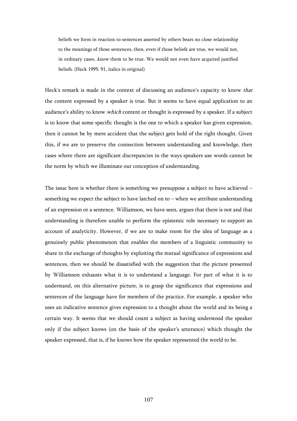beliefs we form in reaction to sentences asserted by others bears no close relationship to the meanings of those sentences, then, even if those beliefs are true, we would not, in ordinary cases, know them to be true. We would not even have acquired justified beliefs. (Heck 1995: 91, italics in original)

Heck's remark is made in the context of discussing an audience's capacity to know that the content expressed by a speaker is true. But it seems to have equal application to an audience's ability to know which content or thought is expressed by a speaker. If a subject is to know that some specific thought is the one to which a speaker has given expression, then it cannot be by mere accident that the subject gets hold of the right thought. Given this, if we are to preserve the connection between understanding and knowledge, then cases where there are significant discrepancies in the ways speakers use words cannot be the norm by which we illuminate our conception of understanding.

The issue here is whether there is something we presuppose a subject to have achieved – something we expect the subject to have latched on to – when we attribute understanding of an expression or a sentence. Williamson, we have seen, argues that there is not and that understanding is therefore unable to perform the epistemic role necessary to support an account of analyticity. However, if we are to make room for the idea of language as a genuinely public phenomenon that enables the members of a linguistic community to share in the exchange of thoughts by exploiting the mutual significance of expressions and sentences, then we should be dissatisfied with the suggestion that the picture presented by Williamson exhausts what it is to understand a language. For part of what it is to understand, on this alternative picture, is to grasp the significance that expressions and sentences of the language have for members of the practice. For example, a speaker who uses an indicative sentence gives expression to a thought about the world and its being a certain way. It seems that we should count a subject as having understood the speaker only if the subject knows (on the basis of the speaker's utterance) which thought the speaker expressed, that is, if he knows how the speaker represented the world to be.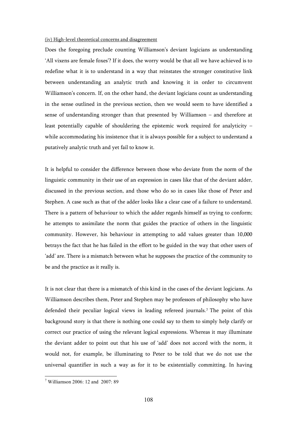### (iv) High-level theoretical concerns and disagreement

Does the foregoing preclude counting Williamson's deviant logicians as understanding 'All vixens are female foxes'? If it does, the worry would be that all we have achieved is to redefine what it is to understand in a way that reinstates the stronger constitutive link between understanding an analytic truth and knowing it in order to circumvent Williamson's concern. If, on the other hand, the deviant logicians count as understanding in the sense outlined in the previous section, then we would seem to have identified a sense of understanding stronger than that presented by Williamson – and therefore at least potentially capable of shouldering the epistemic work required for analyticity – while accommodating his insistence that it is always possible for a subject to understand a putatively analytic truth and yet fail to know it.

It is helpful to consider the difference between those who deviate from the norm of the linguistic community in their use of an expression in cases like that of the deviant adder, discussed in the previous section, and those who do so in cases like those of Peter and Stephen. A case such as that of the adder looks like a clear case of a failure to understand. There is a pattern of behaviour to which the adder regards himself as trying to conform; he attempts to assimilate the norm that guides the practice of others in the linguistic community. However, his behaviour in attempting to add values greater than 10,000 betrays the fact that he has failed in the effort to be guided in the way that other users of 'add' are. There is a mismatch between what he supposes the practice of the community to be and the practice as it really is.

It is not clear that there is a mismatch of this kind in the cases of the deviant logicians. As Williamson describes them, Peter and Stephen may be professors of philosophy who have defended their peculiar logical views in leading refereed journals.<sup>7</sup> The point of this background story is that there is nothing one could say to them to simply help clarify or correct our practice of using the relevant logical expressions. Whereas it may illuminate the deviant adder to point out that his use of 'add' does not accord with the norm, it would not, for example, be illuminating to Peter to be told that we do not use the universal quantifier in such a way as for it to be existentially committing. In having

 7 Williamson 2006: 12 and 2007: 89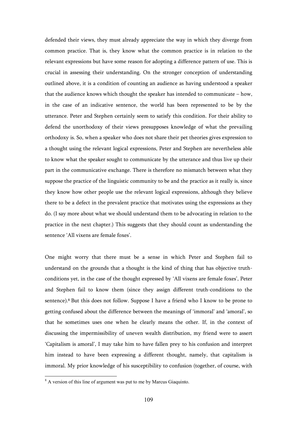defended their views, they must already appreciate the way in which they diverge from common practice. That is, they know what the common practice is in relation to the relevant expressions but have some reason for adopting a difference pattern of use. This is crucial in assessing their understanding. On the stronger conception of understanding outlined above, it is a condition of counting an audience as having understood a speaker that the audience knows which thought the speaker has intended to communicate – how, in the case of an indicative sentence, the world has been represented to be by the utterance. Peter and Stephen certainly seem to satisfy this condition. For their ability to defend the unorthodoxy of their views presupposes knowledge of what the prevailing orthodoxy is. So, when a speaker who does not share their pet theories gives expression to a thought using the relevant logical expressions, Peter and Stephen are nevertheless able to know what the speaker sought to communicate by the utterance and thus live up their part in the communicative exchange. There is therefore no mismatch between what they suppose the practice of the linguistic community to be and the practice as it really is, since they know how other people use the relevant logical expressions, although they believe there to be a defect in the prevalent practice that motivates using the expressions as they do. (I say more about what we should understand them to be advocating in relation to the practice in the next chapter.) This suggests that they should count as understanding the sentence 'All vixens are female foxes'.

One might worry that there must be a sense in which Peter and Stephen fail to understand on the grounds that a thought is the kind of thing that has objective truthconditions yet, in the case of the thought expressed by 'All vixens are female foxes', Peter and Stephen fail to know them (since they assign different truth-conditions to the sentence).<sup>8</sup> But this does not follow. Suppose I have a friend who I know to be prone to getting confused about the difference between the meanings of 'immoral' and 'amoral', so that he sometimes uses one when he clearly means the other. If, in the context of discussing the impermissibility of uneven wealth distribution, my friend were to assert 'Capitalism is amoral', I may take him to have fallen prey to his confusion and interpret him instead to have been expressing a different thought, namely, that capitalism is immoral. My prior knowledge of his susceptibility to confusion (together, of course, with

<sup>&</sup>lt;sup>8</sup> A version of this line of argument was put to me by Marcus Giaquinto.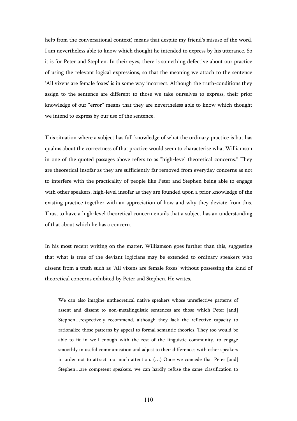help from the conversational context) means that despite my friend's misuse of the word, I am nevertheless able to know which thought he intended to express by his utterance. So it is for Peter and Stephen. In their eyes, there is something defective about our practice of using the relevant logical expressions, so that the meaning we attach to the sentence 'All vixens are female foxes' is in some way incorrect. Although the truth-conditions they assign to the sentence are different to those we take ourselves to express, their prior knowledge of our "error" means that they are nevertheless able to know which thought we intend to express by our use of the sentence.

This situation where a subject has full knowledge of what the ordinary practice is but has qualms about the correctness of that practice would seem to characterise what Williamson in one of the quoted passages above refers to as "high-level theoretical concerns." They are theoretical insofar as they are sufficiently far removed from everyday concerns as not to interfere with the practicality of people like Peter and Stephen being able to engage with other speakers, high-level insofar as they are founded upon a prior knowledge of the existing practice together with an appreciation of how and why they deviate from this. Thus, to have a high-level theoretical concern entails that a subject has an understanding of that about which he has a concern.

In his most recent writing on the matter, Williamson goes further than this, suggesting that what is true of the deviant logicians may be extended to ordinary speakers who dissent from a truth such as 'All vixens are female foxes' without possessing the kind of theoretical concerns exhibited by Peter and Stephen. He writes,

We can also imagine untheoretical native speakers whose unreflective patterns of assent and dissent to non-metalinguistic sentences are those which Peter [and] Stephen…respectively recommend, although they lack the reflective capacity to rationalize those patterns by appeal to formal semantic theories. They too would be able to fit in well enough with the rest of the linguistic community, to engage smoothly in useful communication and adjust to their differences with other speakers in order not to attract too much attention. (…) Once we concede that Peter [and] Stephen…are competent speakers, we can hardly refuse the same classification to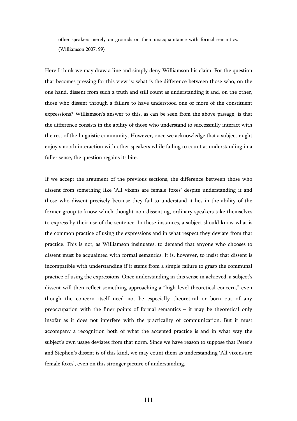other speakers merely on grounds on their unacquaintance with formal semantics. (Williamson 2007: 99)

Here I think we may draw a line and simply deny Williamson his claim. For the question that becomes pressing for this view is: what is the difference between those who, on the one hand, dissent from such a truth and still count as understanding it and, on the other, those who dissent through a failure to have understood one or more of the constituent expressions? Williamson's answer to this, as can be seen from the above passage, is that the difference consists in the ability of those who understand to successfully interact with the rest of the linguistic community. However, once we acknowledge that a subject might enjoy smooth interaction with other speakers while failing to count as understanding in a fuller sense, the question regains its bite.

If we accept the argument of the previous sections, the difference between those who dissent from something like 'All vixens are female foxes' despite understanding it and those who dissent precisely because they fail to understand it lies in the ability of the former group to know which thought non-dissenting, ordinary speakers take themselves to express by their use of the sentence. In these instances, a subject should know what is the common practice of using the expressions and in what respect they deviate from that practice. This is not, as Williamson insinuates, to demand that anyone who chooses to dissent must be acquainted with formal semantics. It is, however, to insist that dissent is incompatible with understanding if it stems from a simple failure to grasp the communal practice of using the expressions. Once understanding in this sense in achieved, a subject's dissent will then reflect something approaching a "high-level theoretical concern," even though the concern itself need not be especially theoretical or born out of any preoccupation with the finer points of formal semantics – it may be theoretical only insofar as it does not interfere with the practicality of communication. But it must accompany a recognition both of what the accepted practice is and in what way the subject's own usage deviates from that norm. Since we have reason to suppose that Peter's and Stephen's dissent is of this kind, we may count them as understanding 'All vixens are female foxes', even on this stronger picture of understanding.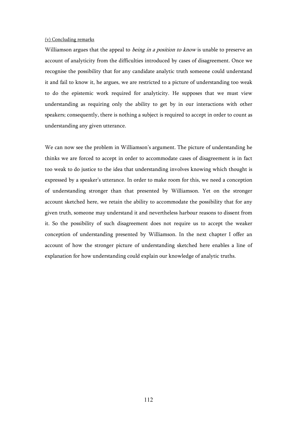# (v) Concluding remarks

Williamson argues that the appeal to *being in a position to know* is unable to preserve an account of analyticity from the difficulties introduced by cases of disagreement. Once we recognise the possibility that for any candidate analytic truth someone could understand it and fail to know it, he argues, we are restricted to a picture of understanding too weak to do the epistemic work required for analyticity. He supposes that we must view understanding as requiring only the ability to get by in our interactions with other speakers; consequently, there is nothing a subject is required to accept in order to count as understanding any given utterance.

We can now see the problem in Williamson's argument. The picture of understanding he thinks we are forced to accept in order to accommodate cases of disagreement is in fact too weak to do justice to the idea that understanding involves knowing which thought is expressed by a speaker's utterance. In order to make room for this, we need a conception of understanding stronger than that presented by Williamson. Yet on the stronger account sketched here, we retain the ability to accommodate the possibility that for any given truth, someone may understand it and nevertheless harbour reasons to dissent from it. So the possibility of such disagreement does not require us to accept the weaker conception of understanding presented by Williamson. In the next chapter I offer an account of how the stronger picture of understanding sketched here enables a line of explanation for how understanding could explain our knowledge of analytic truths.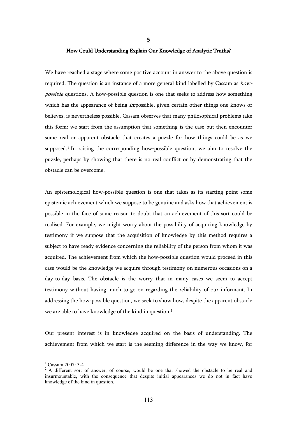# How Could Understanding Explain Our Knowledge of Analytic Truths?

5

We have reached a stage where some positive account in answer to the above question is required. The question is an instance of a more general kind labelled by Cassam as howpossible questions. A how-possible question is one that seeks to address how something which has the appearance of being *impossible*, given certain other things one knows or believes, is nevertheless possible. Cassam observes that many philosophical problems take this form: we start from the assumption that something is the case but then encounter some real or apparent obstacle that creates a puzzle for how things could be as we supposed.<sup>1</sup> In raising the corresponding how-possible question, we aim to resolve the puzzle, perhaps by showing that there is no real conflict or by demonstrating that the obstacle can be overcome.

An epistemological how-possible question is one that takes as its starting point some epistemic achievement which we suppose to be genuine and asks how that achievement is possible in the face of some reason to doubt that an achievement of this sort could be realised. For example, we might worry about the possibility of acquiring knowledge by testimony if we suppose that the acquisition of knowledge by this method requires a subject to have ready evidence concerning the reliability of the person from whom it was acquired. The achievement from which the how-possible question would proceed in this case would be the knowledge we acquire through testimony on numerous occasions on a day-to-day basis. The obstacle is the worry that in many cases we seem to accept testimony without having much to go on regarding the reliability of our informant. In addressing the how-possible question, we seek to show how, despite the apparent obstacle, we are able to have knowledge of the kind in question.<sup>2</sup>

Our present interest is in knowledge acquired on the basis of understanding. The achievement from which we start is the seeming difference in the way we know, for

<sup>1</sup> Cassam 2007: 3-4

<sup>&</sup>lt;sup>2</sup> A different sort of answer, of course, would be one that showed the obstacle to be real and insurmountable, with the consequence that despite initial appearances we do not in fact have knowledge of the kind in question.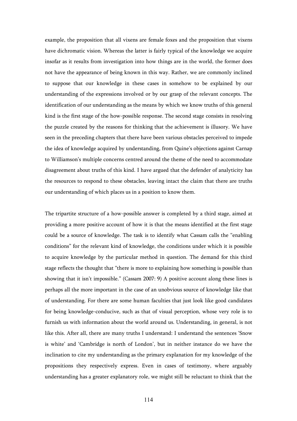example, the proposition that all vixens are female foxes and the proposition that vixens have dichromatic vision. Whereas the latter is fairly typical of the knowledge we acquire insofar as it results from investigation into how things are in the world, the former does not have the appearance of being known in this way. Rather, we are commonly inclined to suppose that our knowledge in these cases in somehow to be explained by our understanding of the expressions involved or by our grasp of the relevant concepts. The identification of our understanding as the means by which we know truths of this general kind is the first stage of the how-possible response. The second stage consists in resolving the puzzle created by the reasons for thinking that the achievement is illusory. We have seen in the preceding chapters that there have been various obstacles perceived to impede the idea of knowledge acquired by understanding, from Quine's objections against Carnap to Williamson's multiple concerns centred around the theme of the need to accommodate disagreement about truths of this kind. I have argued that the defender of analyticity has the resources to respond to these obstacles, leaving intact the claim that there are truths our understanding of which places us in a position to know them.

The tripartite structure of a how-possible answer is completed by a third stage, aimed at providing a more positive account of how it is that the means identified at the first stage could be a source of knowledge. The task is to identify what Cassam calls the "enabling conditions" for the relevant kind of knowledge, the conditions under which it is possible to acquire knowledge by the particular method in question. The demand for this third stage reflects the thought that "there is more to explaining how something is possible than showing that it isn't impossible." (Cassam 2007: 9) A positive account along these lines is perhaps all the more important in the case of an unobvious source of knowledge like that of understanding. For there are some human faculties that just look like good candidates for being knowledge-conducive, such as that of visual perception, whose very role is to furnish us with information about the world around us. Understanding, in general, is not like this. After all, there are many truths I understand: I understand the sentences 'Snow is white' and 'Cambridge is north of London', but in neither instance do we have the inclination to cite my understanding as the primary explanation for my knowledge of the propositions they respectively express. Even in cases of testimony, where arguably understanding has a greater explanatory role, we might still be reluctant to think that the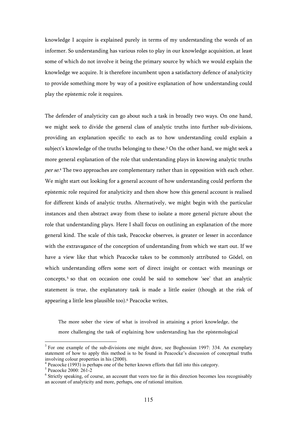knowledge I acquire is explained purely in terms of my understanding the words of an informer. So understanding has various roles to play in our knowledge acquisition, at least some of which do not involve it being the primary source by which we would explain the knowledge we acquire. It is therefore incumbent upon a satisfactory defence of analyticity to provide something more by way of a positive explanation of how understanding could play the epistemic role it requires.

The defender of analyticity can go about such a task in broadly two ways. On one hand, we might seek to divide the general class of analytic truths into further sub-divisions, providing an explanation specific to each as to how understanding could explain a subject's knowledge of the truths belonging to these.<sup>3</sup> On the other hand, we might seek a more general explanation of the role that understanding plays in knowing analytic truths per se.<sup>4</sup> The two approaches are complementary rather than in opposition with each other. We might start out looking for a general account of how understanding could perform the epistemic role required for analyticity and then show how this general account is realised for different kinds of analytic truths. Alternatively, we might begin with the particular instances and then abstract away from these to isolate a more general picture about the role that understanding plays. Here I shall focus on outlining an explanation of the more general kind. The scale of this task, Peacocke observes, is greater or lesser in accordance with the extravagance of the conception of understanding from which we start out. If we have a view like that which Peacocke takes to be commonly attributed to Gödel, on which understanding offers some sort of direct insight or contact with meanings or concepts,<sup>5</sup> so that on occasion one could be said to somehow 'see' that an analytic statement is true, the explanatory task is made a little easier (though at the risk of appearing a little less plausible too).<sup>6</sup> Peacocke writes,

The more sober the view of what is involved in attaining a priori knowledge, the more challenging the task of explaining how understanding has the epistemological

<sup>&</sup>lt;sup>3</sup> For one example of the sub-divisions one might draw, see Boghossian 1997: 334. An exemplary statement of how to apply this method is to be found in Peacocke's discussion of conceptual truths involving colour properties in his (2000).

<sup>&</sup>lt;sup>4</sup> Peacocke (1993) is perhaps one of the better known efforts that fall into this category.

<sup>5</sup> Peacocke 2000: 261-2

<sup>&</sup>lt;sup>6</sup> Strictly speaking, of course, an account that veers too far in this direction becomes less recognisably an account of analyticity and more, perhaps, one of rational intuition.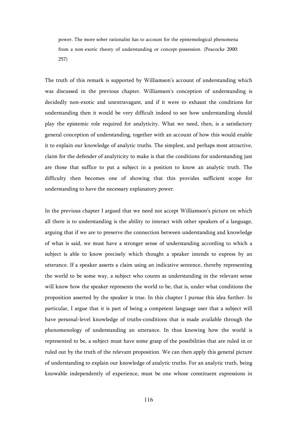power. The more sober rationalist has to account for the epistemological phenomena from a non-exotic theory of understanding or concept-possession. (Peacocke 2000: 257)

The truth of this remark is supported by Williamson's account of understanding which was discussed in the previous chapter. Williamson's conception of understanding is decidedly non-exotic and unextravagant, and if it were to exhaust the conditions for understanding then it would be very difficult indeed to see how understanding should play the epistemic role required for analyticity. What we need, then, is a satisfactory general conception of understanding, together with an account of how this would enable it to explain our knowledge of analytic truths. The simplest, and perhaps most attractive, claim for the defender of analyticity to make is that the conditions for understanding just are those that suffice to put a subject in a position to know an analytic truth. The difficulty then becomes one of showing that this provides sufficient scope for understanding to have the necessary explanatory power.

In the previous chapter I argued that we need not accept Williamson's picture on which all there is to understanding is the ability to interact with other speakers of a language, arguing that if we are to preserve the connection between understanding and knowledge of what is said, we must have a stronger sense of understanding according to which a subject is able to know precisely which thought a speaker intends to express by an utterance. If a speaker asserts a claim using an indicative sentence, thereby representing the world to be some way, a subject who counts as understanding in the relevant sense will know how the speaker represents the world to be, that is, under what conditions the proposition asserted by the speaker is true. In this chapter I pursue this idea further. In particular, I argue that it is part of being a competent language user that a subject will have personal-level knowledge of truths-conditions that is made available through the phenomenology of understanding an utterance. In thus knowing how the world is represented to be, a subject must have some grasp of the possibilities that are ruled in or ruled out by the truth of the relevant proposition. We can then apply this general picture of understanding to explain our knowledge of analytic truths. For an analytic truth, being knowable independently of experience, must be one whose constituent expressions in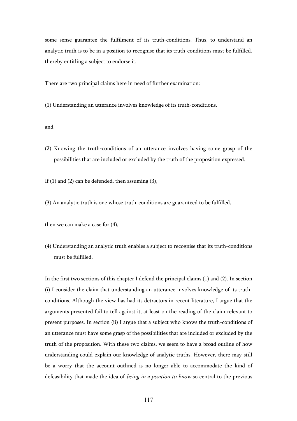some sense guarantee the fulfilment of its truth-conditions. Thus, to understand an analytic truth is to be in a position to recognise that its truth-conditions must be fulfilled, thereby entitling a subject to endorse it.

There are two principal claims here in need of further examination:

(1) Understanding an utterance involves knowledge of its truth-conditions.

and

(2) Knowing the truth-conditions of an utterance involves having some grasp of the possibilities that are included or excluded by the truth of the proposition expressed.

If  $(1)$  and  $(2)$  can be defended, then assuming  $(3)$ ,

(3) An analytic truth is one whose truth-conditions are guaranteed to be fulfilled,

then we can make a case for (4),

(4) Understanding an analytic truth enables a subject to recognise that its truth-conditions must be fulfilled.

In the first two sections of this chapter I defend the principal claims (1) and (2). In section (i) I consider the claim that understanding an utterance involves knowledge of its truthconditions. Although the view has had its detractors in recent literature, I argue that the arguments presented fail to tell against it, at least on the reading of the claim relevant to present purposes. In section (ii) I argue that a subject who knows the truth-conditions of an utterance must have some grasp of the possibilities that are included or excluded by the truth of the proposition. With these two claims, we seem to have a broad outline of how understanding could explain our knowledge of analytic truths. However, there may still be a worry that the account outlined is no longer able to accommodate the kind of defeasibility that made the idea of *being in a position to know* so central to the previous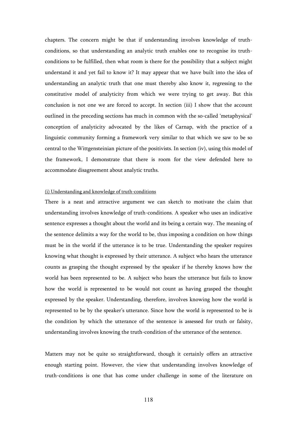chapters. The concern might be that if understanding involves knowledge of truthconditions, so that understanding an analytic truth enables one to recognise its truthconditions to be fulfilled, then what room is there for the possibility that a subject might understand it and yet fail to know it? It may appear that we have built into the idea of understanding an analytic truth that one must thereby also know it, regressing to the constitutive model of analyticity from which we were trying to get away. But this conclusion is not one we are forced to accept. In section (iii) I show that the account outlined in the preceding sections has much in common with the so-called 'metaphysical' conception of analyticity advocated by the likes of Carnap, with the practice of a linguistic community forming a framework very similar to that which we saw to be so central to the Wittgensteinian picture of the positivists. In section (iv), using this model of the framework, I demonstrate that there is room for the view defended here to accommodate disagreement about analytic truths.

### (i) Understanding and knowledge of truth-conditions

There is a neat and attractive argument we can sketch to motivate the claim that understanding involves knowledge of truth-conditions. A speaker who uses an indicative sentence expresses a thought about the world and its being a certain way. The meaning of the sentence delimits a way for the world to be, thus imposing a condition on how things must be in the world if the utterance is to be true. Understanding the speaker requires knowing what thought is expressed by their utterance. A subject who hears the utterance counts as grasping the thought expressed by the speaker if he thereby knows how the world has been represented to be. A subject who hears the utterance but fails to know how the world is represented to be would not count as having grasped the thought expressed by the speaker. Understanding, therefore, involves knowing how the world is represented to be by the speaker's utterance. Since how the world is represented to be is the condition by which the utterance of the sentence is assessed for truth or falsity, understanding involves knowing the truth-condition of the utterance of the sentence.

Matters may not be quite so straightforward, though it certainly offers an attractive enough starting point. However, the view that understanding involves knowledge of truth-conditions is one that has come under challenge in some of the literature on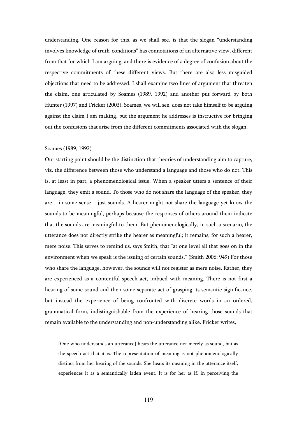understanding. One reason for this, as we shall see, is that the slogan "understanding involves knowledge of truth-conditions" has connotations of an alternative view, different from that for which I am arguing, and there is evidence of a degree of confusion about the respective commitments of these different views. But there are also less misguided objections that need to be addressed. I shall examine two lines of argument that threaten the claim, one articulated by Soames (1989, 1992) and another put forward by both Hunter (1997) and Fricker (2003). Soames, we will see, does not take himself to be arguing against the claim I am making, but the argument he addresses is instructive for bringing out the confusions that arise from the different commitments associated with the slogan.

#### Soames (1989, 1992)

Our starting point should be the distinction that theories of understanding aim to capture, viz. the difference between those who understand a language and those who do not. This is, at least in part, a phenomenological issue. When a speaker utters a sentence of their language, they emit a sound. To those who do not share the language of the speaker, they are – in some sense – just sounds. A hearer might not share the language yet know the sounds to be meaningful, perhaps because the responses of others around them indicate that the sounds are meaningful to them. But phenomenologically, in such a scenario, the utterance does not directly strike the hearer as meaningful; it remains, for such a hearer, mere noise. This serves to remind us, says Smith, that "at one level all that goes on in the environment when we speak is the issuing of certain sounds." (Smith 2006: 949) For those who share the language, however, the sounds will not register as mere noise. Rather, they are experienced as a contentful speech act, imbued with meaning. There is not first a hearing of some sound and then some separate act of grasping its semantic significance, but instead the experience of being confronted with discrete words in an ordered, grammatical form, indistinguishable from the experience of hearing those sounds that remain available to the understanding and non-understanding alike. Fricker writes,

[One who understands an utterance] hears the utterance not merely as sound, but as the speech act that it is. The representation of meaning is not phenomenologically distinct from her hearing of the sounds. She hears its meaning in the utterance itself, experiences it as a semantically laden event. It is for her as if, in perceiving the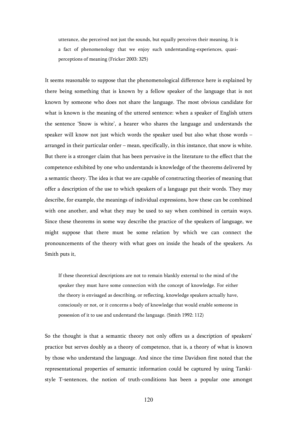utterance, she perceived not just the sounds, but equally perceives their meaning. It is a fact of phenomenology that we enjoy such understanding-experiences, quasiperceptions of meaning (Fricker 2003: 325)

It seems reasonable to suppose that the phenomenological difference here is explained by there being something that is known by a fellow speaker of the language that is not known by someone who does not share the language. The most obvious candidate for what is known is the meaning of the uttered sentence: when a speaker of English utters the sentence 'Snow is white', a hearer who shares the language and understands the speaker will know not just which words the speaker used but also what those words – arranged in their particular order – mean, specifically, in this instance, that snow is white. But there is a stronger claim that has been pervasive in the literature to the effect that the competence exhibited by one who understands is knowledge of the theorems delivered by a semantic theory. The idea is that we are capable of constructing theories of meaning that offer a description of the use to which speakers of a language put their words. They may describe, for example, the meanings of individual expressions, how these can be combined with one another, and what they may be used to say when combined in certain ways. Since these theorems in some way describe the practice of the speakers of language, we might suppose that there must be some relation by which we can connect the pronouncements of the theory with what goes on inside the heads of the speakers. As Smith puts it,

If these theoretical descriptions are not to remain blankly external to the mind of the speaker they must have some connection with the concept of knowledge. For either the theory is envisaged as describing, or reflecting, knowledge speakers actually have, consciously or not, or it concerns a body of knowledge that would enable someone in possession of it to use and understand the language. (Smith 1992: 112)

So the thought is that a semantic theory not only offers us a description of speakers' practice but serves doubly as a theory of competence, that is, a theory of what is known by those who understand the language. And since the time Davidson first noted that the representational properties of semantic information could be captured by using Tarskistyle T-sentences, the notion of truth-conditions has been a popular one amongst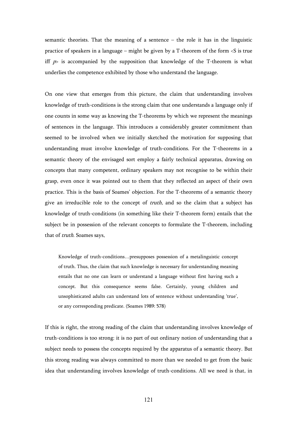semantic theorists. That the meaning of a sentence – the role it has in the linguistic practice of speakers in a language – might be given by a T-theorem of the form <S is true iff  $p$  is accompanied by the supposition that knowledge of the T-theorem is what underlies the competence exhibited by those who understand the language.

On one view that emerges from this picture, the claim that understanding involves knowledge of truth-conditions is the strong claim that one understands a language only if one counts in some way as knowing the T-theorems by which we represent the meanings of sentences in the language. This introduces a considerably greater commitment than seemed to be involved when we initially sketched the motivation for supposing that understanding must involve knowledge of truth-conditions. For the T-theorems in a semantic theory of the envisaged sort employ a fairly technical apparatus, drawing on concepts that many competent, ordinary speakers may not recognise to be within their grasp, even once it was pointed out to them that they reflected an aspect of their own practice. This is the basis of Soames' objection. For the T-theorems of a semantic theory give an irreducible role to the concept of *truth*, and so the claim that a subject has knowledge of truth-conditions (in something like their T-theorem form) entails that the subject be in possession of the relevant concepts to formulate the T-theorem, including that of truth. Soames says,

Knowledge of truth-conditions…presupposes possession of a metalinguistic concept of truth. Thus, the claim that such knowledge is necessary for understanding meaning entails that no one can learn or understand a language without first having such a concept. But this consequence seems false. Certainly, young children and unsophisticated adults can understand lots of sentence without understanding 'true', or any corresponding predicate. (Soames 1989: 578)

If this is right, the strong reading of the claim that understanding involves knowledge of truth-conditions is too strong: it is no part of out ordinary notion of understanding that a subject needs to possess the concepts required by the apparatus of a semantic theory. But this strong reading was always committed to more than we needed to get from the basic idea that understanding involves knowledge of truth-conditions. All we need is that, in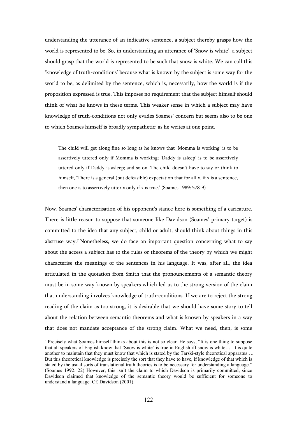understanding the utterance of an indicative sentence, a subject thereby grasps how the world is represented to be. So, in understanding an utterance of 'Snow is white', a subject should grasp that the world is represented to be such that snow is white. We can call this 'knowledge of truth-conditions' because what is known by the subject is some way for the world to be, as delimited by the sentence, which is, necessarily, how the world is if the proposition expressed is true. This imposes no requirement that the subject himself should think of what he knows in these terms. This weaker sense in which a subject may have knowledge of truth-conditions not only evades Soames' concern but seems also to be one to which Soames himself is broadly sympathetic; as he writes at one point,

The child will get along fine so long as he knows that 'Momma is working' is to be assertively uttered only if Momma is working; 'Daddy is asleep' is to be assertively uttered only if Daddy is asleep; and so on. The child doesn't have to say or think to himself, 'There is a general (but defeasible) expectation that for all x, if x is a sentence, then one is to assertively utter x only if x is true.' (Soames 1989: 578-9)

Now, Soames' characterisation of his opponent's stance here is something of a caricature. There is little reason to suppose that someone like Davidson (Soames' primary target) is committed to the idea that any subject, child or adult, should think about things in this abstruse way.<sup>7</sup> Nonetheless, we do face an important question concerning what to say about the access a subject has to the rules or theorems of the theory by which we might characterise the meanings of the sentences in his language. It was, after all, the idea articulated in the quotation from Smith that the pronouncements of a semantic theory must be in some way known by speakers which led us to the strong version of the claim that understanding involves knowledge of truth-conditions. If we are to reject the strong reading of the claim as too strong, it is desirable that we should have some story to tell about the relation between semantic theorems and what is known by speakers in a way that does not mandate acceptance of the strong claim. What we need, then, is some

<sup>&</sup>lt;sup>7</sup> Precisely what Soames himself thinks about this is not so clear. He says, "It is one thing to suppose that all speakers of English know that 'Snow is white' is true in English iff snow is white…. It is quite another to maintain that they must know that which is stated by the Tarski-style theoretical apparatus…. But this theoretical knowledge is precisely the sort that they have to have, if knowledge of that which is stated by the usual sorts of translational truth theories is to be necessary for understanding a language." (Soames 1992: 22) However, this isn't the claim to which Davidson is primarily committed, since Davidson claimed that knowledge of the semantic theory would be sufficient for someone to understand a language. Cf. Davidson (2001).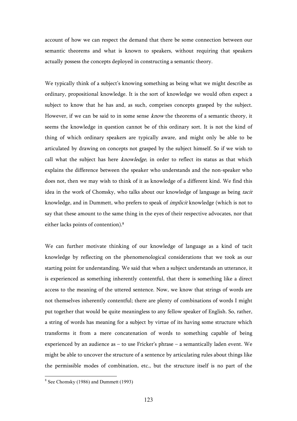account of how we can respect the demand that there be some connection between our semantic theorems and what is known to speakers, without requiring that speakers actually possess the concepts deployed in constructing a semantic theory.

We typically think of a subject's knowing something as being what we might describe as ordinary, propositional knowledge. It is the sort of knowledge we would often expect a subject to know that he has and, as such, comprises concepts grasped by the subject. However, if we can be said to in some sense *know* the theorems of a semantic theory, it seems the knowledge in question cannot be of this ordinary sort. It is not the kind of thing of which ordinary speakers are typically aware, and might only be able to be articulated by drawing on concepts not grasped by the subject himself. So if we wish to call what the subject has here *knowledge*, in order to reflect its status as that which explains the difference between the speaker who understands and the non-speaker who does not, then we may wish to think of it as knowledge of a different kind. We find this idea in the work of Chomsky, who talks about our knowledge of language as being tacit knowledge, and in Dummett, who prefers to speak of implicit knowledge (which is not to say that these amount to the same thing in the eyes of their respective advocates, nor that either lacks points of contention).<sup>8</sup>

We can further motivate thinking of our knowledge of language as a kind of tacit knowledge by reflecting on the phenomenological considerations that we took as our starting point for understanding. We said that when a subject understands an utterance, it is experienced as something inherently contentful, that there is something like a direct access to the meaning of the uttered sentence. Now, we know that strings of words are not themselves inherently contentful; there are plenty of combinations of words I might put together that would be quite meaningless to any fellow speaker of English. So, rather, a string of words has meaning for a subject by virtue of its having some structure which transforms it from a mere concatenation of words to something capable of being experienced by an audience as – to use Fricker's phrase – a semantically laden event. We might be able to uncover the structure of a sentence by articulating rules about things like the permissible modes of combination, etc., but the structure itself is no part of the

 8 See Chomsky (1986) and Dummett (1993)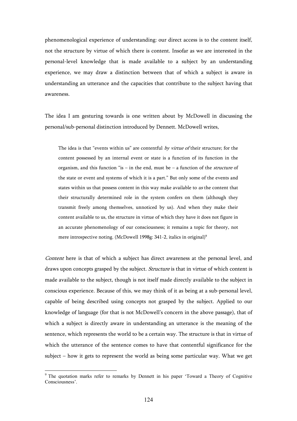phenomenological experience of understanding: our direct access is to the content itself, not the structure by virtue of which there is content. Insofar as we are interested in the personal-level knowledge that is made available to a subject by an understanding experience, we may draw a distinction between that of which a subject is aware in understanding an utterance and the capacities that contribute to the subject having that awareness.

The idea I am gesturing towards is one written about by McDowell in discussing the personal/sub-personal distinction introduced by Dennett. McDowell writes,

The idea is that "events within us" are contentful by virtue of their structure; for the content possessed by an internal event or state is a function of its function in the organism, and this function "is – in the end, must be – a function of the *structure* of the state or event and systems of which it is a part." But only some of the events and states within us that possess content in this way make available to us the content that their structurally determined role in the system confers on them (although they transmit freely among themselves, unnoticed by us). And when they make their content available to us, the structure in virtue of which they have it does not figure in an accurate phenomenology of our consciousness; it remains a topic for theory, not mere introspective noting. (McDowell 1998g: 341-2, italics in original)<sup>9</sup>

Content here is that of which a subject has direct awareness at the personal level, and draws upon concepts grasped by the subject. Structure is that in virtue of which content is made available to the subject, though is not itself made directly available to the subject in conscious experience. Because of this, we may think of it as being at a sub-personal level, capable of being described using concepts not grasped by the subject. Applied to our knowledge of language (for that is not McDowell's concern in the above passage), that of which a subject is directly aware in understanding an utterance is the meaning of the sentence, which represents the world to be a certain way. The structure is that in virtue of which the utterance of the sentence comes to have that contentful significance for the subject – how it gets to represent the world as being some particular way. What we get

<sup>&</sup>lt;sup>9</sup> The quotation marks refer to remarks by Dennett in his paper 'Toward a Theory of Cognitive Consciousness'.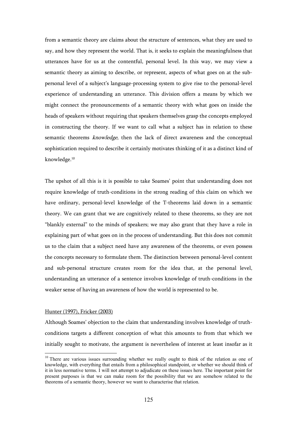from a semantic theory are claims about the structure of sentences, what they are used to say, and how they represent the world. That is, it seeks to explain the meaningfulness that utterances have for us at the contentful, personal level. In this way, we may view a semantic theory as aiming to describe, or represent, aspects of what goes on at the subpersonal level of a subject's language-processing system to give rise to the personal-level experience of understanding an utterance. This division offers a means by which we might connect the pronouncements of a semantic theory with what goes on inside the heads of speakers without requiring that speakers themselves grasp the concepts employed in constructing the theory. If we want to call what a subject has in relation to these semantic theorems *knowledge*, then the lack of direct awareness and the conceptual sophistication required to describe it certainly motivates thinking of it as a distinct kind of knowledge.<sup>10</sup>

The upshot of all this is it is possible to take Soames' point that understanding does not require knowledge of truth-conditions in the strong reading of this claim on which we have ordinary, personal-level knowledge of the T-theorems laid down in a semantic theory. We can grant that we are cognitively related to these theorems, so they are not "blankly external" to the minds of speakers; we may also grant that they have a role in explaining part of what goes on in the process of understanding. But this does not commit us to the claim that a subject need have any awareness of the theorems, or even possess the concepts necessary to formulate them. The distinction between personal-level content and sub-personal structure creates room for the idea that, at the personal level, understanding an utterance of a sentence involves knowledge of truth-conditions in the weaker sense of having an awareness of how the world is represented to be.

## Hunter (1997), Fricker (2003)

 $\overline{a}$ 

Although Soames' objection to the claim that understanding involves knowledge of truthconditions targets a different conception of what this amounts to from that which we initially sought to motivate, the argument is nevertheless of interest at least insofar as it

<sup>&</sup>lt;sup>10</sup> There are various issues surrounding whether we really ought to think of the relation as one of knowledge, with everything that entails from a philosophical standpoint, or whether we should think of it in less normative terms. I will not attempt to adjudicate on these issues here. The important point for present purposes is that we can make room for the possibility that we are somehow related to the theorems of a semantic theory, however we want to characterise that relation.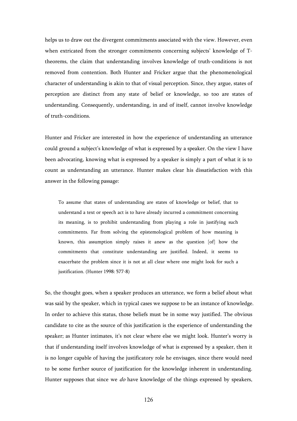helps us to draw out the divergent commitments associated with the view. However, even when extricated from the stronger commitments concerning subjects' knowledge of Ttheorems, the claim that understanding involves knowledge of truth-conditions is not removed from contention. Both Hunter and Fricker argue that the phenomenological character of understanding is akin to that of visual perception. Since, they argue, states of perception are distinct from any state of belief or knowledge, so too are states of understanding. Consequently, understanding, in and of itself, cannot involve knowledge of truth-conditions.

Hunter and Fricker are interested in how the experience of understanding an utterance could ground a subject's knowledge of what is expressed by a speaker. On the view I have been advocating, knowing what is expressed by a speaker is simply a part of what it is to count as understanding an utterance. Hunter makes clear his dissatisfaction with this answer in the following passage:

To assume that states of understanding are states of knowledge or belief, that to understand a text or speech act is to have already incurred a commitment concerning its meaning, is to prohibit understanding from playing a role in justifying such commitments. Far from solving the epistemological problem of how meaning is known, this assumption simply raises it anew as the question [of] how the commitments that constitute understanding are justified. Indeed, it seems to exacerbate the problem since it is not at all clear where one might look for such a justification. (Hunter 1998: 577-8)

So, the thought goes, when a speaker produces an utterance, we form a belief about what was said by the speaker, which in typical cases we suppose to be an instance of knowledge. In order to achieve this status, those beliefs must be in some way justified. The obvious candidate to cite as the source of this justification is the experience of understanding the speaker; as Hunter intimates, it's not clear where else we might look. Hunter's worry is that if understanding itself involves knowledge of what is expressed by a speaker, then it is no longer capable of having the justificatory role he envisages, since there would need to be some further source of justification for the knowledge inherent in understanding. Hunter supposes that since we *do* have knowledge of the things expressed by speakers,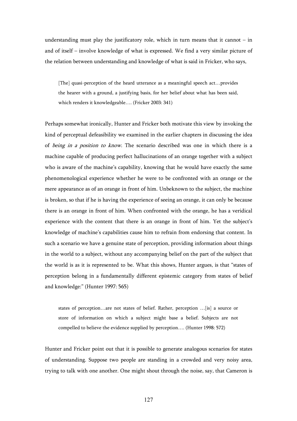understanding must play the justificatory role, which in turn means that it cannot  $-$  in and of itself – involve knowledge of what is expressed. We find a very similar picture of the relation between understanding and knowledge of what is said in Fricker, who says,

[The] quasi-perception of the heard utterance as a meaningful speech act…provides the hearer with a ground, a justifying basis, for her belief about what has been said, which renders it knowledgeable…. (Fricker 2003: 341)

Perhaps somewhat ironically, Hunter and Fricker both motivate this view by invoking the kind of perceptual defeasibility we examined in the earlier chapters in discussing the idea of being in a position to know. The scenario described was one in which there is a machine capable of producing perfect hallucinations of an orange together with a subject who is aware of the machine's capability, knowing that he would have exactly the same phenomenological experience whether he were to be confronted with an orange or the mere appearance as of an orange in front of him. Unbeknown to the subject, the machine is broken, so that if he is having the experience of seeing an orange, it can only be because there is an orange in front of him. When confronted with the orange, he has a veridical experience with the content that there is an orange in front of him. Yet the subject's knowledge of machine's capabilities cause him to refrain from endorsing that content. In such a scenario we have a genuine state of perception, providing information about things in the world to a subject, without any accompanying belief on the part of the subject that the world is as it is represented to be. What this shows, Hunter argues, is that "states of perception belong in a fundamentally different epistemic category from states of belief and knowledge:" (Hunter 1997: 565)

states of perception…are not states of belief. Rather, perception …[is] a source or store of information on which a subject might base a belief. Subjects are not compelled to believe the evidence supplied by perception…. (Hunter 1998: 572)

Hunter and Fricker point out that it is possible to generate analogous scenarios for states of understanding. Suppose two people are standing in a crowded and very noisy area, trying to talk with one another. One might shout through the noise, say, that Cameron is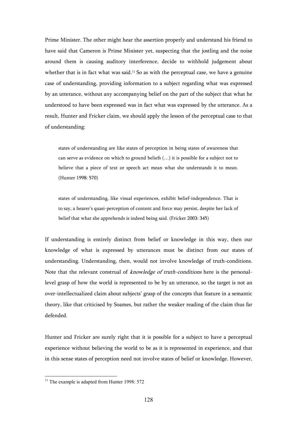Prime Minister. The other might hear the assertion properly and understand his friend to have said that Cameron is Prime Minister yet, suspecting that the jostling and the noise around them is causing auditory interference, decide to withhold judgement about whether that is in fact what was said.<sup>11</sup> So as with the perceptual case, we have a genuine case of understanding, providing information to a subject regarding what was expressed by an utterance, without any accompanying belief on the part of the subject that what he understood to have been expressed was in fact what was expressed by the utterance. As a result, Hunter and Fricker claim, we should apply the lesson of the perceptual case to that of understanding:

states of understanding are like states of perception in being states of awareness that can serve as evidence on which to ground beliefs  $(...)$  it is possible for a subject not to believe that a piece of text or speech act mean what she understands it to mean. (Hunter 1998: 570)

states of understanding, like visual experiences, exhibit belief-independence. That is to say, a hearer's quasi-perception of content and force may persist, despite her lack of belief that what she apprehends is indeed being said. (Fricker 2003: 345)

If understanding is entirely distinct from belief or knowledge in this way, then our knowledge of what is expressed by utterances must be distinct from our states of understanding. Understanding, then, would not involve knowledge of truth-conditions. Note that the relevant construal of *knowledge of truth-conditions* here is the personallevel grasp of how the world is represented to be by an utterance, so the target is not an over-intellectualized claim about subjects' grasp of the concepts that feature in a semantic theory, like that criticised by Soames, but rather the weaker reading of the claim thus far defended.

Hunter and Fricker are surely right that it is possible for a subject to have a perceptual experience without believing the world to be as it is represented in experience, and that in this sense states of perception need not involve states of belief or knowledge. However,

 $11$  The example is adapted from Hunter 1998: 572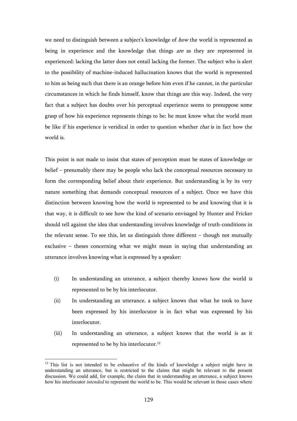we need to distinguish between a subject's knowledge of *how* the world is represented as being in experience and the knowledge that things are as they are represented in experienced: lacking the latter does not entail lacking the former. The subject who is alert to the possibility of machine-induced hallucination knows that the world is represented to him as being such that there is an orange before him even if he cannot, in the particular circumstances in which he finds himself, know that things are this way. Indeed, the very fact that a subject has doubts over his perceptual experience seems to presuppose some grasp of how his experience represents things to be; he must know what the world must be like if his experience is veridical in order to question whether *that* is in fact how the world is.

This point is not made to insist that states of perception must be states of knowledge or belief – presumably there may be people who lack the conceptual resources necessary to form the corresponding belief about their experience. But understanding is by its very nature something that demands conceptual resources of a subject. Once we have this distinction between knowing how the world is represented to be and knowing that it is that way, it is difficult to see how the kind of scenario envisaged by Hunter and Fricker should tell against the idea that understanding involves knowledge of truth-conditions in the relevant sense. To see this, let us distinguish three different – though not mutually exclusive – theses concerning what we might mean in saying that understanding an utterance involves knowing what is expressed by a speaker:

- (i) In understanding an utterance, a subject thereby knows how the world is represented to be by his interlocutor.
- (ii) In understanding an utterance, a subject knows that what he took to have been expressed by his interlocutor is in fact what was expressed by his interlocutor.
- (iii) In understanding an utterance, a subject knows that the world is as it represented to be by his interlocutor.<sup>12</sup>

 $12$  This list is not intended to be exhaustive of the kinds of knowledge a subject might have in understanding an utterance, but is restricted to the claims that might be relevant to the present discussion. We could add, for example, the claim that in understanding an utterance, a subject knows how his interlocutor *intended* to represent the world to be. This would be relevant in those cases where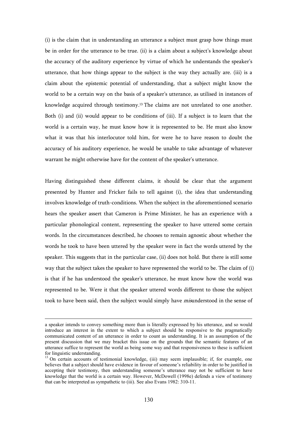(i) is the claim that in understanding an utterance a subject must grasp how things must be in order for the utterance to be true. (ii) is a claim about a subject's knowledge about the accuracy of the auditory experience by virtue of which he understands the speaker's utterance, that how things appear to the subject is the way they actually are. (iii) is a claim about the epistemic potential of understanding, that a subject might know the world to be a certain way on the basis of a speaker's utterance, as utilised in instances of knowledge acquired through testimony.13 The claims are not unrelated to one another. Both (i) and (ii) would appear to be conditions of (iii). If a subject is to learn that the world is a certain way, he must know how it is represented to be. He must also know what it was that his interlocutor told him, for were he to have reason to doubt the accuracy of his auditory experience, he would be unable to take advantage of whatever warrant he might otherwise have for the content of the speaker's utterance.

Having distinguished these different claims, it should be clear that the argument presented by Hunter and Fricker fails to tell against (i), the idea that understanding involves knowledge of truth-conditions. When the subject in the aforementioned scenario hears the speaker assert that Cameron is Prime Minister, he has an experience with a particular phonological content, representing the speaker to have uttered some certain words. In the circumstances described, he chooses to remain agnostic about whether the words he took to have been uttered by the speaker were in fact the words uttered by the speaker. This suggests that in the particular case, (ii) does not hold. But there is still some way that the subject takes the speaker to have represented the world to be. The claim of (i) is that if he has understood the speaker's utterance, he must know how the world was represented to be. Were it that the speaker uttered words different to those the subject took to have been said, then the subject would simply have *mis*understood in the sense of

a speaker intends to convey something more than is literally expressed by his utterance, and so would introduce an interest in the extent to which a subject should be responsive to the pragmatically communicated content of an utterance in order to count as understanding. It is an assumption of the present discussion that we may bracket this issue on the grounds that the semantic features of an utterance suffice to represent the world as being some way and that responsiveness to these is sufficient for linguistic understanding.

<sup>&</sup>lt;sup>13</sup> On certain accounts of testimonial knowledge, (iii) may seem implausible; if, for example, one believes that a subject should have evidence in favour of someone's reliability in order to be justified in accepting their testimony, then understanding someone's utterance may not be sufficient to have knowledge that the world is a certain way. However, McDowell (1998e) defends a view of testimony that can be interpreted as sympathetic to (iii). See also Evans 1982: 310-11.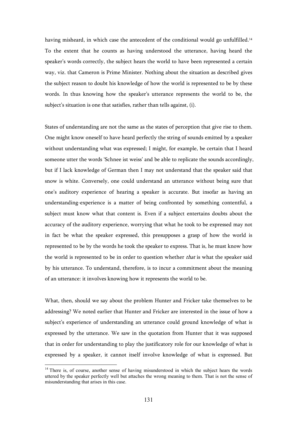having misheard, in which case the antecedent of the conditional would go unfulfilled.<sup>14</sup> To the extent that he counts as having understood the utterance, having heard the speaker's words correctly, the subject hears the world to have been represented a certain way, viz. that Cameron is Prime Minister. Nothing about the situation as described gives the subject reason to doubt his knowledge of how the world is represented to be by these words. In thus knowing how the speaker's utterance represents the world to be, the subject's situation is one that satisfies, rather than tells against, (i).

States of understanding are not the same as the states of perception that give rise to them. One might know oneself to have heard perfectly the string of sounds emitted by a speaker without understanding what was expressed; I might, for example, be certain that I heard someone utter the words 'Schnee ist weiss' and be able to replicate the sounds accordingly, but if I lack knowledge of German then I may not understand that the speaker said that snow is white. Conversely, one could understand an utterance without being sure that one's auditory experience of hearing a speaker is accurate. But insofar as having an understanding-experience is a matter of being confronted by something contentful, a subject must know what that content is. Even if a subject entertains doubts about the accuracy of the auditory experience, worrying that what he took to be expressed may not in fact be what the speaker expressed, this presupposes a grasp of how the world is represented to be by the words he took the speaker to express. That is, he must know how the world is represented to be in order to question whether *that* is what the speaker said by his utterance. To understand, therefore, is to incur a commitment about the meaning of an utterance: it involves knowing how it represents the world to be.

What, then, should we say about the problem Hunter and Fricker take themselves to be addressing? We noted earlier that Hunter and Fricker are interested in the issue of how a subject's experience of understanding an utterance could ground knowledge of what is expressed by the utterance. We saw in the quotation from Hunter that it was supposed that in order for understanding to play the justificatory role for our knowledge of what is expressed by a speaker, it cannot itself involve knowledge of what is expressed. But

<sup>&</sup>lt;sup>14</sup> There is, of course, another sense of having misunderstood in which the subject hears the words uttered by the speaker perfectly well but attaches the wrong meaning to them. That is not the sense of misunderstanding that arises in this case.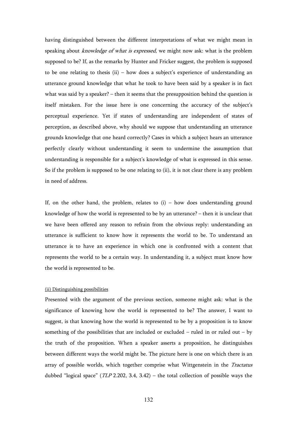having distinguished between the different interpretations of what we might mean in speaking about *knowledge of what is expressed*, we might now ask: what is the problem supposed to be? If, as the remarks by Hunter and Fricker suggest, the problem is supposed to be one relating to thesis (ii) – how does a subject's experience of understanding an utterance ground knowledge that what he took to have been said by a speaker is in fact what was said by a speaker? – then it seems that the presupposition behind the question is itself mistaken. For the issue here is one concerning the accuracy of the subject's perceptual experience. Yet if states of understanding are independent of states of perception, as described above, why should we suppose that understanding an utterance grounds knowledge that one heard correctly? Cases in which a subject hears an utterance perfectly clearly without understanding it seem to undermine the assumption that understanding is responsible for a subject's knowledge of what is expressed in this sense. So if the problem is supposed to be one relating to (ii), it is not clear there is any problem in need of address.

If, on the other hand, the problem, relates to  $(i)$  – how does understanding ground knowledge of how the world is represented to be by an utterance? – then it is unclear that we have been offered any reason to refrain from the obvious reply: understanding an utterance is sufficient to know how it represents the world to be. To understand an utterance is to have an experience in which one is confronted with a content that represents the world to be a certain way. In understanding it, a subject must know how the world is represented to be.

# (ii) Distinguishing possibilities

Presented with the argument of the previous section, someone might ask: what is the significance of knowing how the world is represented to be? The answer, I want to suggest, is that knowing how the world is represented to be by a proposition is to know something of the possibilities that are included or excluded – ruled in or ruled out – by the truth of the proposition. When a speaker asserts a proposition, he distinguishes between different ways the world might be. The picture here is one on which there is an array of possible worlds, which together comprise what Wittgenstein in the Tractatus dubbed "logical space" (*TLP* 2.202, 3.4, 3.42) – the total collection of possible ways the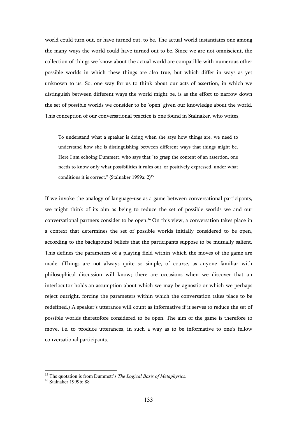world could turn out, or have turned out, to be. The actual world instantiates one among the many ways the world could have turned out to be. Since we are not omniscient, the collection of things we know about the actual world are compatible with numerous other possible worlds in which these things are also true, but which differ in ways as yet unknown to us. So, one way for us to think about our acts of assertion, in which we distinguish between different ways the world might be, is as the effort to narrow down the set of possible worlds we consider to be 'open' given our knowledge about the world. This conception of our conversational practice is one found in Stalnaker, who writes,

To understand what a speaker is doing when she says how things are, we need to understand how she is distinguishing between different ways that things might be. Here I am echoing Dummett, who says that "to grasp the content of an assertion, one needs to know only what possibilities it rules out, or positively expressed, under what conditions it is correct." (Stalnaker 1999a: 2)<sup>15</sup>

If we invoke the analogy of language-use as a game between conversational participants, we might think of its aim as being to reduce the set of possible worlds we and our conversational partners consider to be open.16 On this view, a conversation takes place in a context that determines the set of possible worlds initially considered to be open, according to the background beliefs that the participants suppose to be mutually salient. This defines the parameters of a playing field within which the moves of the game are made. (Things are not always quite so simple, of course, as anyone familiar with philosophical discussion will know; there are occasions when we discover that an interlocutor holds an assumption about which we may be agnostic or which we perhaps reject outright, forcing the parameters within which the conversation takes place to be redefined.) A speaker's utterance will count as informative if it serves to reduce the set of possible worlds theretofore considered to be open. The aim of the game is therefore to move, i.e. to produce utterances, in such a way as to be informative to one's fellow conversational participants.

<sup>15</sup> The quotation is from Dummett's *The Logical Basis of Metaphysics*.

<sup>16</sup> Stalnaker 1999b: 88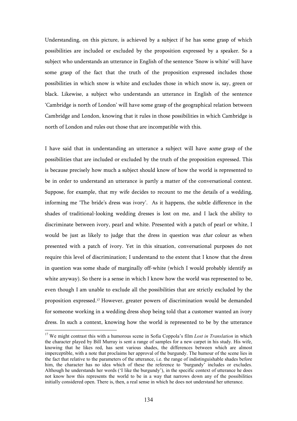Understanding, on this picture, is achieved by a subject if he has some grasp of which possibilities are included or excluded by the proposition expressed by a speaker. So a subject who understands an utterance in English of the sentence 'Snow is white' will have some grasp of the fact that the truth of the proposition expressed includes those possibilities in which snow is white and excludes those in which snow is, say, green or black. Likewise, a subject who understands an utterance in English of the sentence 'Cambridge is north of London' will have some grasp of the geographical relation between Cambridge and London, knowing that it rules in those possibilities in which Cambridge is north of London and rules out those that are incompatible with this.

I have said that in understanding an utterance a subject will have some grasp of the possibilities that are included or excluded by the truth of the proposition expressed. This is because precisely how much a subject should know of how the world is represented to be in order to understand an utterance is partly a matter of the conversational context. Suppose, for example, that my wife decides to recount to me the details of a wedding, informing me 'The bride's dress was ivory'. As it happens, the subtle difference in the shades of traditional-looking wedding dresses is lost on me, and I lack the ability to discriminate between ivory, pearl and white. Presented with a patch of pearl or white, I would be just as likely to judge that the dress in question was *that* colour as when presented with a patch of ivory. Yet in this situation, conversational purposes do not require this level of discrimination; I understand to the extent that I know that the dress in question was some shade of marginally off-white (which I would probably identify as white anyway). So there is a sense in which I know how the world was represented to be, even though I am unable to exclude all the possibilities that are strictly excluded by the proposition expressed.17 However, greater powers of discrimination would be demanded for someone working in a wedding dress shop being told that a customer wanted an ivory dress. In such a context, knowing how the world is represented to be by the utterance

<sup>&</sup>lt;sup>17</sup> We might contrast this with a humorous scene in Sofia Coppola's film *Lost in Translation* in which the character played by Bill Murray is sent a range of samples for a new carpet in his study. His wife, knowing that he likes red, has sent various shades, the differences between which are almost imperceptible, with a note that proclaims her approval of the burgundy. The humour of the scene lies in the fact that relative to the parameters of the utterance, i.e. the range of indistinguishable shades before him, the character has no idea which of these the reference to 'burgundy' includes or excludes. Although he understands her words ('I like the burgundy'), in the specific context of utterance he does not know how this represents the world to be in a way that narrows down any of the possibilities initially considered open. There is, then, a real sense in which he does not understand her utterance.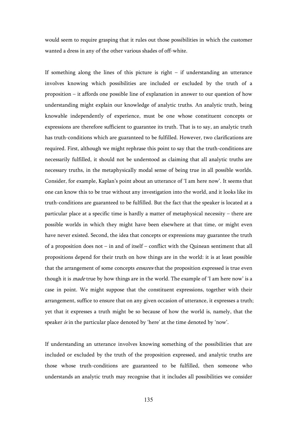would seem to require grasping that it rules out those possibilities in which the customer wanted a dress in any of the other various shades of off-white.

If something along the lines of this picture is right  $-$  if understanding an utterance involves knowing which possibilities are included or excluded by the truth of a proposition – it affords one possible line of explanation in answer to our question of how understanding might explain our knowledge of analytic truths. An analytic truth, being knowable independently of experience, must be one whose constituent concepts or expressions are therefore sufficient to guarantee its truth. That is to say, an analytic truth has truth-conditions which are guaranteed to be fulfilled. However, two clarifications are required. First, although we might rephrase this point to say that the truth-conditions are necessarily fulfilled, it should not be understood as claiming that all analytic truths are necessary truths, in the metaphysically modal sense of being true in all possible worlds. Consider, for example, Kaplan's point about an utterance of 'I am here now'. It seems that one can know this to be true without any investigation into the world, and it looks like its truth-conditions are guaranteed to be fulfilled. But the fact that the speaker is located at a particular place at a specific time is hardly a matter of metaphysical necessity – there are possible worlds in which they might have been elsewhere at that time, or might even have never existed. Second, the idea that concepts or expressions may guarantee the truth of a proposition does not – in and of itself – conflict with the Quinean sentiment that all propositions depend for their truth on how things are in the world: it is at least possible that the arrangement of some concepts *ensures* that the proposition expressed is true even though it is *made* true by how things are in the world. The example of 'I am here now' is a case in point. We might suppose that the constituent expressions, together with their arrangement, suffice to ensure that on any given occasion of utterance, it expresses a truth; yet that it expresses a truth might be so because of how the world is, namely, that the speaker is in the particular place denoted by 'here' at the time denoted by 'now'.

If understanding an utterance involves knowing something of the possibilities that are included or excluded by the truth of the proposition expressed, and analytic truths are those whose truth-conditions are guaranteed to be fulfilled, then someone who understands an analytic truth may recognise that it includes all possibilities we consider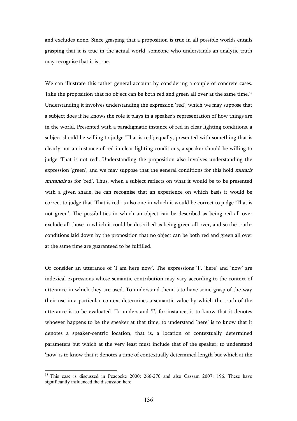and excludes none. Since grasping that a proposition is true in all possible worlds entails grasping that it is true in the actual world, someone who understands an analytic truth may recognise that it is true.

We can illustrate this rather general account by considering a couple of concrete cases. Take the proposition that no object can be both red and green all over at the same time.<sup>18</sup> Understanding it involves understanding the expression 'red', which we may suppose that a subject does if he knows the role it plays in a speaker's representation of how things are in the world. Presented with a paradigmatic instance of red in clear lighting conditions, a subject should be willing to judge 'That is red'; equally, presented with something that is clearly not an instance of red in clear lighting conditions, a speaker should be willing to judge 'That is not red'. Understanding the proposition also involves understanding the expression 'green', and we may suppose that the general conditions for this hold *mutatis* mutandis as for 'red'. Thus, when a subject reflects on what it would be to be presented with a given shade, he can recognise that an experience on which basis it would be correct to judge that 'That is red' is also one in which it would be correct to judge 'That is not green'. The possibilities in which an object can be described as being red all over exclude all those in which it could be described as being green all over, and so the truthconditions laid down by the proposition that no object can be both red and green all over at the same time are guaranteed to be fulfilled.

Or consider an utterance of 'I am here now'. The expressions 'I', 'here' and 'now' are indexical expressions whose semantic contribution may vary according to the context of utterance in which they are used. To understand them is to have some grasp of the way their use in a particular context determines a semantic value by which the truth of the utterance is to be evaluated. To understand 'I', for instance, is to know that it denotes whoever happens to be the speaker at that time; to understand 'here' is to know that it denotes a speaker-centric location, that is, a location of contextually determined parameters but which at the very least must include that of the speaker; to understand 'now' is to know that it denotes a time of contextually determined length but which at the

<sup>&</sup>lt;sup>18</sup> This case is discussed in Peacocke 2000: 266-270 and also Cassam 2007: 196. These have significantly influenced the discussion here.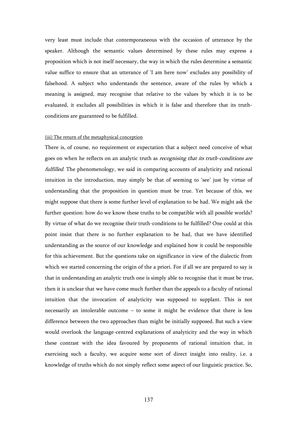very least must include that contemporaneous with the occasion of utterance by the speaker. Although the semantic values determined by these rules may express a proposition which is not itself necessary, the way in which the rules determine a semantic value suffice to ensure that an utterance of 'I am here now' excludes any possibility of falsehood. A subject who understands the sentence, aware of the rules by which a meaning is assigned, may recognise that relative to the values by which it is to be evaluated, it excludes all possibilities in which it is false and therefore that its truthconditions are guaranteed to be fulfilled.

# (iii) The return of the metaphysical conception

There is, of course, no requirement or expectation that a subject need conceive of what goes on when he reflects on an analytic truth as *recognising that its truth-conditions are* fulfilled. The phenomenology, we said in comparing accounts of analyticity and rational intuition in the introduction, may simply be that of seeming to 'see' just by virtue of understanding that the proposition in question must be true. Yet because of this, we might suppose that there is some further level of explanation to be had. We might ask the further question: how do we know these truths to be compatible with all possible worlds? By virtue of what do we recognise their truth-conditions to be fulfilled? One could at this point insist that there is no further explanation to be had, that we have identified understanding as the source of our knowledge and explained how it could be responsible for this achievement. But the questions take on significance in view of the dialectic from which we started concerning the origin of the a priori. For if all we are prepared to say is that in understanding an analytic truth one is simply able to recognise that it must be true, then it is unclear that we have come much further than the appeals to a faculty of rational intuition that the invocation of analyticity was supposed to supplant. This is not necessarily an intolerable outcome – to some it might be evidence that there is less difference between the two approaches than might be initially supposed. But such a view would overlook the language-centred explanations of analyticity and the way in which these contrast with the idea favoured by proponents of rational intuition that, in exercising such a faculty, we acquire some sort of direct insight into reality, i.e. a knowledge of truths which do not simply reflect some aspect of our linguistic practice. So,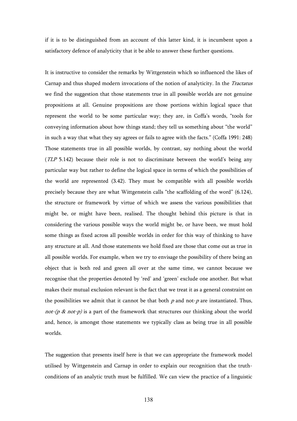if it is to be distinguished from an account of this latter kind, it is incumbent upon a satisfactory defence of analyticity that it be able to answer these further questions.

It is instructive to consider the remarks by Wittgenstein which so influenced the likes of Carnap and thus shaped modern invocations of the notion of analyticity. In the Tractatus we find the suggestion that those statements true in all possible worlds are not genuine propositions at all. Genuine propositions are those portions within logical space that represent the world to be some particular way; they are, in Coffa's words, "tools for conveying information about how things stand; they tell us something about "the world" in such a way that what they say agrees or fails to agree with the facts." (Coffa 1991: 248) Those statements true in all possible worlds, by contrast, say nothing about the world (TLP 5.142) because their role is not to discriminate between the world's being any particular way but rather to define the logical space in terms of which the possibilities of the world are represented (3.42). They must be compatible with all possible worlds precisely because they are what Wittgenstein calls "the scaffolding of the word" (6.124), the structure or framework by virtue of which we assess the various possibilities that might be, or might have been, realised. The thought behind this picture is that in considering the various possible ways the world might be, or have been, we must hold some things as fixed across all possible worlds in order for this way of thinking to have any structure at all. And those statements we hold fixed are those that come out as true in all possible worlds. For example, when we try to envisage the possibility of there being an object that is both red and green all over at the same time, we cannot because we recognise that the properties denoted by 'red' and 'green' exclude one another. But what makes their mutual exclusion relevant is the fact that we treat it as a general constraint on the possibilities we admit that it cannot be that both  $p$  and not- $p$  are instantiated. Thus, not-(p & not-p) is a part of the framework that structures our thinking about the world and, hence, is amongst those statements we typically class as being true in all possible worlds.

The suggestion that presents itself here is that we can appropriate the framework model utilised by Wittgenstein and Carnap in order to explain our recognition that the truthconditions of an analytic truth must be fulfilled. We can view the practice of a linguistic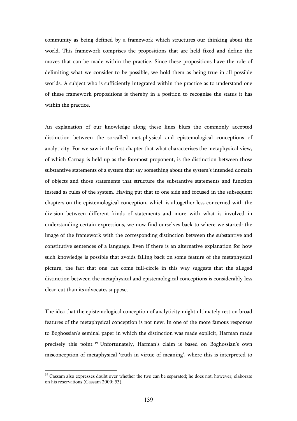community as being defined by a framework which structures our thinking about the world. This framework comprises the propositions that are held fixed and define the moves that can be made within the practice. Since these propositions have the role of delimiting what we consider to be possible, we hold them as being true in all possible worlds. A subject who is sufficiently integrated within the practice as to understand one of these framework propositions is thereby in a position to recognise the status it has within the practice.

An explanation of our knowledge along these lines blurs the commonly accepted distinction between the so-called metaphysical and epistemological conceptions of analyticity. For we saw in the first chapter that what characterises the metaphysical view, of which Carnap is held up as the foremost proponent, is the distinction between those substantive statements of a system that say something about the system's intended domain of objects and those statements that structure the substantive statements and function instead as rules of the system. Having put that to one side and focused in the subsequent chapters on the epistemological conception, which is altogether less concerned with the division between different kinds of statements and more with what is involved in understanding certain expressions, we now find ourselves back to where we started: the image of the framework with the corresponding distinction between the substantive and constitutive sentences of a language. Even if there is an alternative explanation for how such knowledge is possible that avoids falling back on some feature of the metaphysical picture, the fact that one *can* come full-circle in this way suggests that the alleged distinction between the metaphysical and epistemological conceptions is considerably less clear-cut than its advocates suppose.

The idea that the epistemological conception of analyticity might ultimately rest on broad features of the metaphysical conception is not new. In one of the more famous responses to Boghossian's seminal paper in which the distinction was made explicit, Harman made precisely this point. <sup>19</sup> Unfortunately, Harman's claim is based on Boghossian's own misconception of metaphysical 'truth in virtue of meaning', where this is interpreted to

<sup>&</sup>lt;sup>19</sup> Cassam also expresses doubt over whether the two can be separated; he does not, however, elaborate on his reservations (Cassam 2000: 53).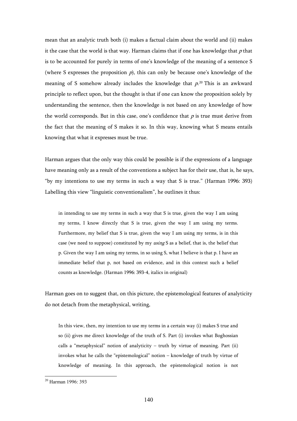mean that an analytic truth both (i) makes a factual claim about the world and (ii) makes it the case that the world is that way. Harman claims that if one has knowledge that  $p$  that is to be accounted for purely in terms of one's knowledge of the meaning of a sentence S (where S expresses the proposition  $p$ ), this can only be because one's knowledge of the meaning of S somehow already includes the knowledge that  $p^{20}$  This is an awkward principle to reflect upon, but the thought is that if one can know the proposition solely by understanding the sentence, then the knowledge is not based on any knowledge of how the world corresponds. But in this case, one's confidence that  $p$  is true must derive from the fact that the meaning of S makes it so. In this way, knowing what S means entails knowing that what it expresses must be true.

Harman argues that the only way this could be possible is if the expressions of a language have meaning only as a result of the conventions a subject has for their use, that is, he says, "by my intentions to use my terms in such a way that S is true." (Harman 1996: 393) Labelling this view "linguistic conventionalism", he outlines it thus:

in intending to use my terms in such a way that S is true, given the way I am using my terms, I know directly that S is true, given the way I am using my terms. Furthermore, my belief that S is true, given the way I am using my terms, is in this case (we need to suppose) constituted by my using S as a belief, that is, the belief that p. Given the way I am using my terms, in so using S, what I believe is that p. I have an immediate belief that p, not based on evidence, and in this context such a belief counts as knowledge. (Harman 1996: 393-4, italics in original)

Harman goes on to suggest that, on this picture, the epistemological features of analyticity do not detach from the metaphysical, writing,

In this view, then, my intention to use my terms in a certain way (i) makes S true and so (ii) gives me direct knowledge of the truth of S. Part (i) invokes what Boghossian calls a "metaphysical" notion of analyticity – truth by virtue of meaning. Part (ii) invokes what he calls the "epistemological" notion – knowledge of truth by virtue of knowledge of meaning. In this approach, the epistemological notion is not

<sup>20</sup> Harman 1996: 393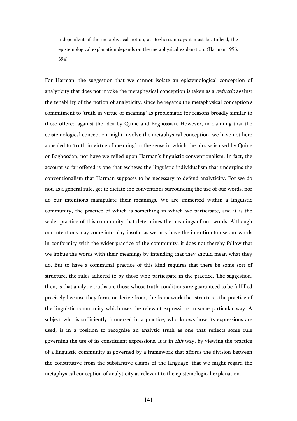independent of the metaphysical notion, as Boghossian says it must be. Indeed, the epistemological explanation depends on the metaphysical explanation. (Harman 1996: 394)

For Harman, the suggestion that we cannot isolate an epistemological conception of analyticity that does not invoke the metaphysical conception is taken as a *reductio* against the tenability of the notion of analyticity, since he regards the metaphysical conception's commitment to 'truth in virtue of meaning' as problematic for reasons broadly similar to those offered against the idea by Quine and Boghossian. However, in claiming that the epistemological conception might involve the metaphysical conception, we have not here appealed to 'truth in virtue of meaning' in the sense in which the phrase is used by Quine or Boghossian, nor have we relied upon Harman's linguistic conventionalism. In fact, the account so far offered is one that eschews the linguistic individualism that underpins the conventionalism that Harman supposes to be necessary to defend analyticity. For we do not, as a general rule, get to dictate the conventions surrounding the use of our words, nor do our intentions manipulate their meanings. We are immersed within a linguistic community, the practice of which is something in which we participate, and it is the wider practice of this community that determines the meanings of our words. Although our intentions may come into play insofar as we may have the intention to use our words in conformity with the wider practice of the community, it does not thereby follow that we imbue the words with their meanings by intending that they should mean what they do. But to have a communal practice of this kind requires that there be some sort of structure, the rules adhered to by those who participate in the practice. The suggestion, then, is that analytic truths are those whose truth-conditions are guaranteed to be fulfilled precisely because they form, or derive from, the framework that structures the practice of the linguistic community which uses the relevant expressions in some particular way. A subject who is sufficiently immersed in a practice, who knows how its expressions are used, is in a position to recognise an analytic truth as one that reflects some rule governing the use of its constituent expressions. It is in this way, by viewing the practice of a linguistic community as governed by a framework that affords the division between the constitutive from the substantive claims of the language, that we might regard the metaphysical conception of analyticity as relevant to the epistemological explanation.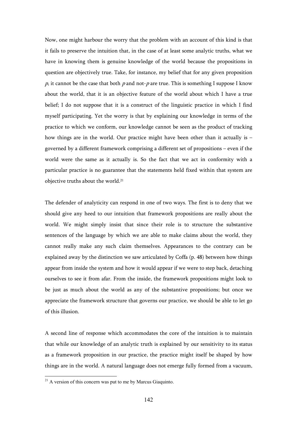Now, one might harbour the worry that the problem with an account of this kind is that it fails to preserve the intuition that, in the case of at least some analytic truths, what we have in knowing them is genuine knowledge of the world because the propositions in question are objectively true. Take, for instance, my belief that for any given proposition  $p$ , it cannot be the case that both  $p$  and not- $p$  are true. This is something I suppose I know about the world, that it is an objective feature of the world about which I have a true belief; I do not suppose that it is a construct of the linguistic practice in which I find myself participating. Yet the worry is that by explaining our knowledge in terms of the practice to which we conform, our knowledge cannot be seen as the product of tracking how things are in the world. Our practice might have been other than it actually is – governed by a different framework comprising a different set of propositions – even if the world were the same as it actually is. So the fact that we act in conformity with a particular practice is no guarantee that the statements held fixed within that system are objective truths about the world.<sup>21</sup>

The defender of analyticity can respond in one of two ways. The first is to deny that we should give any heed to our intuition that framework propositions are really about the world. We might simply insist that since their role is to structure the substantive sentences of the language by which we are able to make claims about the world, they cannot really make any such claim themselves. Appearances to the contrary can be explained away by the distinction we saw articulated by Coffa (p. 48) between how things appear from inside the system and how it would appear if we were to step back, detaching ourselves to see it from afar. From the inside, the framework propositions might look to be just as much about the world as any of the substantive propositions; but once we appreciate the framework structure that governs our practice, we should be able to let go of this illusion.

A second line of response which accommodates the core of the intuition is to maintain that while our knowledge of an analytic truth is explained by our sensitivity to its status as a framework proposition in our practice, the practice might itself be shaped by how things are in the world. A natural language does not emerge fully formed from a vacuum,

 $2<sup>1</sup>$  A version of this concern was put to me by Marcus Giaquinto.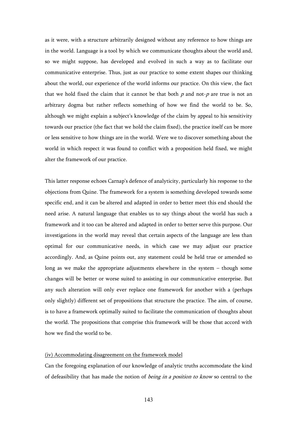as it were, with a structure arbitrarily designed without any reference to how things are in the world. Language is a tool by which we communicate thoughts about the world and, so we might suppose, has developed and evolved in such a way as to facilitate our communicative enterprise. Thus, just as our practice to some extent shapes our thinking about the world, our experience of the world informs our practice. On this view, the fact that we hold fixed the claim that it cannot be that both  $p$  and not- $p$  are true is not an arbitrary dogma but rather reflects something of how we find the world to be. So, although we might explain a subject's knowledge of the claim by appeal to his sensitivity towards our practice (the fact that we hold the claim fixed), the practice itself can be more or less sensitive to how things are in the world. Were we to discover something about the world in which respect it was found to conflict with a proposition held fixed, we might alter the framework of our practice.

This latter response echoes Carnap's defence of analyticity, particularly his response to the objections from Quine. The framework for a system is something developed towards some specific end, and it can be altered and adapted in order to better meet this end should the need arise. A natural language that enables us to say things about the world has such a framework and it too can be altered and adapted in order to better serve this purpose. Our investigations in the world may reveal that certain aspects of the language are less than optimal for our communicative needs, in which case we may adjust our practice accordingly. And, as Quine points out, any statement could be held true or amended so long as we make the appropriate adjustments elsewhere in the system – though some changes will be better or worse suited to assisting in our communicative enterprise. But any such alteration will only ever replace one framework for another with a (perhaps only slightly) different set of propositions that structure the practice. The aim, of course, is to have a framework optimally suited to facilitate the communication of thoughts about the world. The propositions that comprise this framework will be those that accord with how we find the world to be.

### (iv) Accommodating disagreement on the framework model

Can the foregoing explanation of our knowledge of analytic truths accommodate the kind of defeasibility that has made the notion of *being in a position to know* so central to the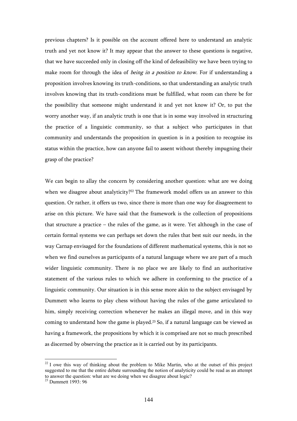previous chapters? Is it possible on the account offered here to understand an analytic truth and yet not know it? It may appear that the answer to these questions is negative, that we have succeeded only in closing off the kind of defeasibility we have been trying to make room for through the idea of *being in a position to know*. For if understanding a proposition involves knowing its truth-conditions, so that understanding an analytic truth involves knowing that its truth-conditions must be fulfilled, what room can there be for the possibility that someone might understand it and yet not know it? Or, to put the worry another way, if an analytic truth is one that is in some way involved in structuring the practice of a linguistic community, so that a subject who participates in that community and understands the proposition in question is in a position to recognise its status within the practice, how can anyone fail to assent without thereby impugning their grasp of the practice?

We can begin to allay the concern by considering another question: what are we doing when we disagree about analyticity?<sup>22</sup> The framework model offers us an answer to this question. Or rather, it offers us two, since there is more than one way for disagreement to arise on this picture. We have said that the framework is the collection of propositions that structure a practice – the rules of the game, as it were. Yet although in the case of certain formal systems we can perhaps set down the rules that best suit our needs, in the way Carnap envisaged for the foundations of different mathematical systems, this is not so when we find ourselves as participants of a natural language where we are part of a much wider linguistic community. There is no place we are likely to find an authoritative statement of the various rules to which we adhere in conforming to the practice of a linguistic community. Our situation is in this sense more akin to the subject envisaged by Dummett who learns to play chess without having the rules of the game articulated to him, simply receiving correction whenever he makes an illegal move, and in this way coming to understand how the game is played.23 So, if a natural language can be viewed as having a framework, the propositions by which it is comprised are not so much prescribed as discerned by observing the practice as it is carried out by its participants.

 $22$  I owe this way of thinking about the problem to Mike Martin, who at the outset of this project suggested to me that the entire debate surrounding the notion of analyticity could be read as an attempt to answer the question: what are we doing when we disagree about logic?

<sup>23</sup> Dummett 1993: 96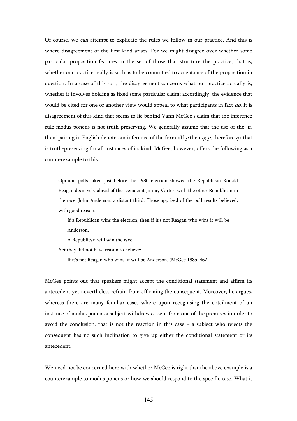Of course, we *can* attempt to explicate the rules we follow in our practice. And this is where disagreement of the first kind arises. For we might disagree over whether some particular proposition features in the set of those that structure the practice, that is, whether our practice really is such as to be committed to acceptance of the proposition in question. In a case of this sort, the disagreement concerns what our practice actually is, whether it involves holding as fixed some particular claim; accordingly, the evidence that would be cited for one or another view would appeal to what participants in fact do. It is disagreement of this kind that seems to lie behind Vann McGee's claim that the inference rule modus ponens is not truth-preserving. We generally assume that the use of the 'if, then' pairing in English denotes an inference of the form  $\langle f \rangle$  then q; p, therefore  $q$  that is truth-preserving for all instances of its kind. McGee, however, offers the following as a counterexample to this:

Opinion polls taken just before the 1980 election showed the Republican Ronald Reagan decisively ahead of the Democrat Jimmy Carter, with the other Republican in the race, John Anderson, a distant third. Those apprised of the poll results believed, with good reason:

If a Republican wins the election, then if it's not Reagan who wins it will be Anderson.

A Republican will win the race.

Yet they did not have reason to believe:

If it's not Reagan who wins, it will be Anderson. (McGee 1985: 462)

McGee points out that speakers might accept the conditional statement and affirm its antecedent yet nevertheless refrain from affirming the consequent. Moreover, he argues, whereas there are many familiar cases where upon recognising the entailment of an instance of modus ponens a subject withdraws assent from one of the premises in order to avoid the conclusion, that is not the reaction in this case  $-$  a subject who rejects the consequent has no such inclination to give up either the conditional statement or its antecedent.

We need not be concerned here with whether McGee is right that the above example is a counterexample to modus ponens or how we should respond to the specific case. What it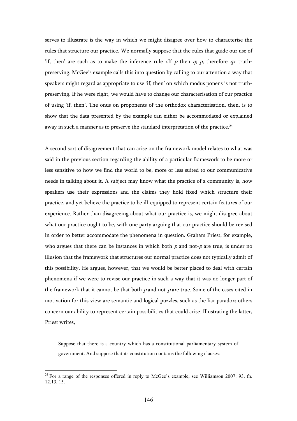serves to illustrate is the way in which we might disagree over how to characterise the rules that structure our practice. We normally suppose that the rules that guide our use of 'if, then' are such as to make the inference rule  $\langle f \rangle$  then q; p, therefore  $q$  truthpreserving. McGee's example calls this into question by calling to our attention a way that speakers might regard as appropriate to use 'if, then' on which modus ponens is not truthpreserving. If he were right, we would have to change our characterisation of our practice of using 'if, then'. The onus on proponents of the orthodox characterisation, then, is to show that the data presented by the example can either be accommodated or explained away in such a manner as to preserve the standard interpretation of the practice.<sup>24</sup>

A second sort of disagreement that can arise on the framework model relates to what was said in the previous section regarding the ability of a particular framework to be more or less sensitive to how we find the world to be, more or less suited to our communicative needs in talking about it. A subject may know what the practice of a community is, how speakers use their expressions and the claims they hold fixed which structure their practice, and yet believe the practice to be ill-equipped to represent certain features of our experience. Rather than disagreeing about what our practice is, we might disagree about what our practice ought to be, with one party arguing that our practice should be revised in order to better accommodate the phenomena in question. Graham Priest, for example, who argues that there can be instances in which both  $p$  and not- $p$  are true, is under no illusion that the framework that structures our normal practice does not typically admit of this possibility. He argues, however, that we would be better placed to deal with certain phenomena if we were to revise our practice in such a way that it was no longer part of the framework that it cannot be that both  $p$  and not- $p$  are true. Some of the cases cited in motivation for this view are semantic and logical puzzles, such as the liar paradox; others concern our ability to represent certain possibilities that could arise. Illustrating the latter, Priest writes,

Suppose that there is a country which has a constitutional parliamentary system of government. And suppose that its constitution contains the following clauses:

 $2<sup>24</sup>$  For a range of the responses offered in reply to McGee's example, see Williamson 2007: 93, fn. 12,13, 15.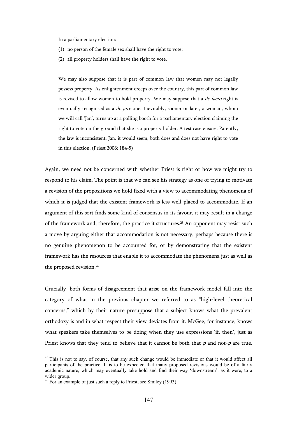In a parliamentary election:

- (1) no person of the female sex shall have the right to vote;
- (2) all property holders shall have the right to vote.

We may also suppose that it is part of common law that women may not legally possess property. As enlightenment creeps over the country, this part of common law is revised to allow women to hold property. We may suppose that a *de facto* right is eventually recognised as a *de jure* one. Inevitably, sooner or later, a woman, whom we will call 'Jan', turns up at a polling booth for a parliamentary election claiming the right to vote on the ground that she is a property holder. A test case ensues. Patently, the law is inconsistent. Jan, it would seem, both does and does not have right to vote in this election. (Priest 2006: 184-5)

Again, we need not be concerned with whether Priest is right or how we might try to respond to his claim. The point is that we can see his strategy as one of trying to motivate a revision of the propositions we hold fixed with a view to accommodating phenomena of which it is judged that the existent framework is less well-placed to accommodate. If an argument of this sort finds some kind of consensus in its favour, it may result in a change of the framework and, therefore, the practice it structures.<sup>25</sup> An opponent may resist such a move by arguing either that accommodation is not necessary, perhaps because there is no genuine phenomenon to be accounted for, or by demonstrating that the existent framework has the resources that enable it to accommodate the phenomena just as well as the proposed revision.<sup>26</sup>

Crucially, both forms of disagreement that arise on the framework model fall into the category of what in the previous chapter we referred to as "high-level theoretical concerns," which by their nature presuppose that a subject knows what the prevalent orthodoxy is and in what respect their view deviates from it. McGee, for instance, knows what speakers take themselves to be doing when they use expressions 'if, then', just as Priest knows that they tend to believe that it cannot be both that  $p$  and not- $p$  are true.

<sup>&</sup>lt;sup>25</sup> This is not to say, of course, that any such change would be immediate or that it would affect all participants of the practice. It is to be expected that many proposed revisions would be of a fairly academic nature, which may eventually take hold and find their way 'downstream', as it were, to a wider group.

<sup>&</sup>lt;sup>26</sup> For an example of just such a reply to Priest, see Smiley (1993).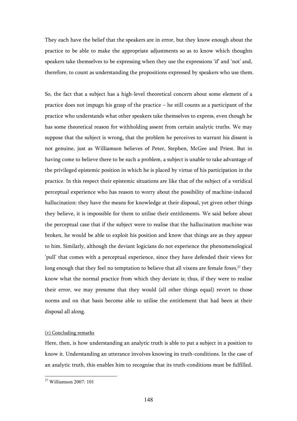They each have the belief that the speakers are in error, but they know enough about the practice to be able to make the appropriate adjustments so as to know which thoughts speakers take themselves to be expressing when they use the expressions 'if' and 'not' and, therefore, to count as understanding the propositions expressed by speakers who use them.

So, the fact that a subject has a high-level theoretical concern about some element of a practice does not impugn his grasp of the practice – he still counts as a participant of the practice who understands what other speakers take themselves to express, even though he has some theoretical reason for withholding assent from certain analytic truths. We may suppose that the subject is wrong, that the problem he perceives to warrant his dissent is not genuine, just as Williamson believes of Peter, Stephen, McGee and Priest. But in having come to believe there to be such a problem, a subject is unable to take advantage of the privileged epistemic position in which he is placed by virtue of his participation in the practice. In this respect their epistemic situations are like that of the subject of a veridical perceptual experience who has reason to worry about the possibility of machine-induced hallucination: they have the means for knowledge at their disposal, yet given other things they believe, it is impossible for them to utilise their entitlements. We said before about the perceptual case that if the subject were to realise that the hallucination machine was broken, he would be able to exploit his position and know that things are as they appear to him. Similarly, although the deviant logicians do not experience the phenomenological 'pull' that comes with a perceptual experience, since they have defended their views for long enough that they feel no temptation to believe that all vixens are female foxes,<sup>27</sup> they know what the normal practice from which they deviate is; thus, if they were to realise their error, we may presume that they would (all other things equal) revert to those norms and on that basis become able to utilise the entitlement that had been at their disposal all along.

## (v) Concluding remarks

Here, then, is how understanding an analytic truth is able to put a subject in a position to know it. Understanding an utterance involves knowing its truth-conditions. In the case of an analytic truth, this enables him to recognise that its truth-conditions must be fulfilled.

<sup>27</sup> Williamson 2007: 101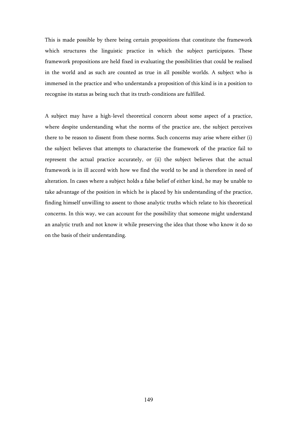This is made possible by there being certain propositions that constitute the framework which structures the linguistic practice in which the subject participates. These framework propositions are held fixed in evaluating the possibilities that could be realised in the world and as such are counted as true in all possible worlds. A subject who is immersed in the practice and who understands a proposition of this kind is in a position to recognise its status as being such that its truth-conditions are fulfilled.

A subject may have a high-level theoretical concern about some aspect of a practice, where despite understanding what the norms of the practice are, the subject perceives there to be reason to dissent from these norms. Such concerns may arise where either (i) the subject believes that attempts to characterise the framework of the practice fail to represent the actual practice accurately, or (ii) the subject believes that the actual framework is in ill accord with how we find the world to be and is therefore in need of alteration. In cases where a subject holds a false belief of either kind, he may be unable to take advantage of the position in which he is placed by his understanding of the practice, finding himself unwilling to assent to those analytic truths which relate to his theoretical concerns. In this way, we can account for the possibility that someone might understand an analytic truth and not know it while preserving the idea that those who know it do so on the basis of their understanding.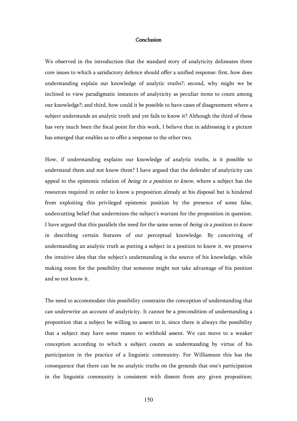## Conclusion

We observed in the introduction that the standard story of analyticity delineates three core issues to which a satisfactory defence should offer a unified response: first, how does understanding explain out knowledge of analytic truths?; second, why might we be inclined to view paradigmatic instances of analyticity as peculiar items to count among our knowledge?; and third, how could it be possible to have cases of disagreement where a subject understands an analytic truth and yet fails to know it? Although the third of these has very much been the focal point for this work, I believe that in addressing it a picture has emerged that enables us to offer a response to the other two.

How, if understanding explains our knowledge of analytic truths, is it possible to understand them and not know them? I have argued that the defender of analyticity can appeal to the epistemic relation of *being in a position to know*, where a subject has the resources required in order to know a proposition already at his disposal but is hindered from exploiting this privileged epistemic position by the presence of some false, undercutting belief that undermines the subject's warrant for the proposition in question. I have argued that this parallels the need for the same sense of *being in a position to know* in describing certain features of our perceptual knowledge. By conceiving of understanding an analytic truth as putting a subject in a position to know it, we preserve the intuitive idea that the subject's understanding is the source of his knowledge, while making room for the possibility that someone might not take advantage of his position and so not know it.

The need to accommodate this possibility constrains the conception of understanding that can underwrite an account of analyticity. It cannot be a precondition of understanding a proposition that a subject be willing to assent to it, since there is always the possibility that a subject may have some reason to withhold assent. We can move to a weaker conception according to which a subject counts as understanding by virtue of his participation in the practice of a linguistic community. For Williamson this has the consequence that there can be no analytic truths on the grounds that one's participation in the linguistic community is consistent with dissent from any given proposition;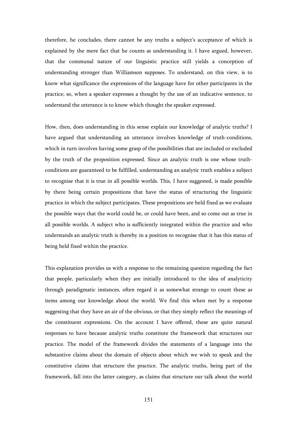therefore, he concludes, there cannot be any truths a subject's acceptance of which is explained by the mere fact that he counts as understanding it. I have argued, however, that the communal nature of our linguistic practice still yields a conception of understanding stronger than Williamson supposes. To understand, on this view, is to know what significance the expressions of the language have for other participants in the practice; so, when a speaker expresses a thought by the use of an indicative sentence, to understand the utterance is to know which thought the speaker expressed.

How, then, does understanding in this sense explain our knowledge of analytic truths? I have argued that understanding an utterance involves knowledge of truth-conditions, which in turn involves having some grasp of the possibilities that are included or excluded by the truth of the proposition expressed. Since an analytic truth is one whose truthconditions are guaranteed to be fulfilled, understanding an analytic truth enables a subject to recognise that it is true in all possible worlds. This, I have suggested, is made possible by there being certain propositions that have the status of structuring the linguistic practice in which the subject participates. These propositions are held fixed as we evaluate the possible ways that the world could be, or could have been, and so come out as true in all possible worlds. A subject who is sufficiently integrated within the practice and who understands an analytic truth is thereby in a position to recognise that it has this status of being held fixed within the practice.

This explanation provides us with a response to the remaining question regarding the fact that people, particularly when they are initially introduced to the idea of analyticity through paradigmatic instances, often regard it as somewhat strange to count these as items among our knowledge about the world. We find this when met by a response suggesting that they have an air of the obvious, or that they simply reflect the meanings of the constituent expressions. On the account I have offered, these are quite natural responses to have because analytic truths constitute the framework that structures our practice. The model of the framework divides the statements of a language into the substantive claims about the domain of objects about which we wish to speak and the constitutive claims that structure the practice. The analytic truths, being part of the framework, fall into the latter category, as claims that structure our talk about the world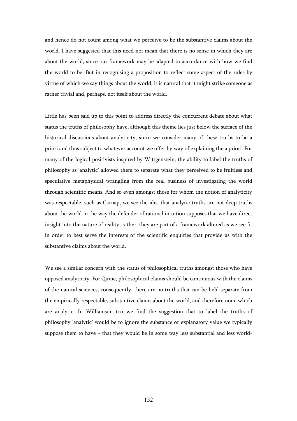and hence do not count among what we perceive to be the substantive claims about the world. I have suggested that this need not mean that there is no sense in which they are about the world, since our framework may be adapted in accordance with how we find the world to be. But in recognising a proposition to reflect some aspect of the rules by virtue of which we say things about the world, it is natural that it might strike someone as rather trivial and, perhaps, not itself about the world.

Little has been said up to this point to address directly the concurrent debate about what status the truths of philosophy have, although this theme lies just below the surface of the historical discussions about analyticity, since we consider many of these truths to be a priori and thus subject to whatever account we offer by way of explaining the a priori. For many of the logical positivists inspired by Wittgenstein, the ability to label the truths of philosophy as 'analytic' allowed them to separate what they perceived to be fruitless and speculative metaphysical wrangling from the real business of investigating the world through scientific means. And so even amongst those for whom the notion of analyticity was respectable, such as Carnap, we see the idea that analytic truths are not deep truths about the world in the way the defender of rational intuition supposes that we have direct insight into the nature of reality; rather, they are part of a framework altered as we see fit in order to best serve the interests of the scientific enquiries that provide us with the substantive claims about the world.

We see a similar concern with the status of philosophical truths amongst those who have opposed analyticity. For Quine, philosophical claims should be continuous with the claims of the natural sciences; consequently, there are no truths that can be held separate from the empirically respectable, substantive claims about the world, and therefore none which are analytic. In Williamson too we find the suggestion that to label the truths of philosophy 'analytic' would be to ignore the substance or explanatory value we typically suppose them to have – that they would be in some way less substantial and less world-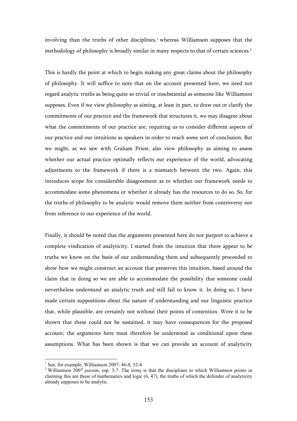involving than the truths of other disciplines, $1$  whereas Williamson supposes that the methodology of philosophy is broadly similar in many respects to that of certain sciences.<sup>2</sup>

This is hardly the point at which to begin making any great claims about the philosophy of philosophy. It will suffice to note that on the account presented here, we need not regard analytic truths as being quite so trivial or insubstantial as someone like Williamson supposes. Even if we view philosophy as aiming, at least in part, to draw out or clarify the commitments of our practice and the framework that structures it, we may disagree about what the commitments of our practice are, requiring us to consider different aspects of our practice and our intuitions as speakers in order to reach some sort of conclusion. But we might, as we saw with Graham Priest, also view philosophy as aiming to assess whether our actual practice optimally reflects our experience of the world, advocating adjustments to the framework if there is a mismatch between the two. Again, this introduces scope for considerable disagreement as to whether our framework needs to accommodate some phenomena or whether it already has the resources to do so. So, for the truths of philosophy to be analytic would remove them neither from controversy nor from reference to our experience of the world.

Finally, it should be noted that the arguments presented here do not purport to achieve a complete vindication of analyticity. I started from the intuition that there appear to be truths we know on the basis of our understanding them and subsequently proceeded to show how we might construct an account that preserves this intuition, based around the claim that in doing so we are able to accommodate the possibility that someone could nevertheless understand an analytic truth and still fail to know it. In doing so, I have made certain suppositions about the nature of understanding and our linguistic practice that, while plausible, are certainly not without their points of contention. Were it to be shown that these could not be sustained, it may have consequences for the proposed account; the arguments here must therefore be understood as conditional upon these assumptions. What has been shown is that we can provide an account of analyticity

<sup>&</sup>lt;sup>1</sup> See, for example, Williamson 2007: 46-8, 52-4

<sup>&</sup>lt;sup>2</sup> Williamson 2007 *passim*, esp. 3-7. The irony is that the disciplines to which Williamson points in claiming this are those of mathematics and logic  $(6, 47)$ , the truths of which the defender of analyticity already supposes to be analytic.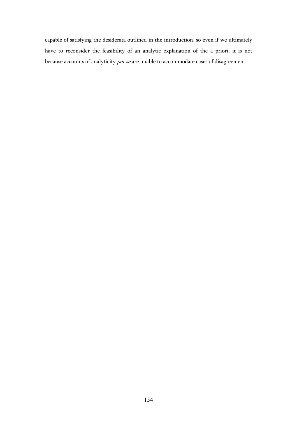capable of satisfying the desiderata outlined in the introduction, so even if we ultimately have to reconsider the feasibility of an analytic explanation of the a priori, it is not because accounts of analyticity per se are unable to accommodate cases of disagreement.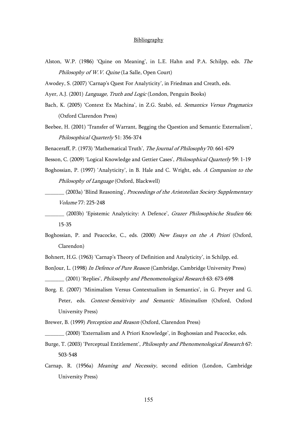## **Bibliography**

- Alston, W.P. (1986) 'Quine on Meaning', in L.E. Hahn and P.A. Schilpp, eds. The Philosophy of W.V. Quine (La Salle, Open Court)
- Awodey, S. (2007) 'Carnap's Quest For Analyticity', in Friedman and Creath, eds.
- Ayer, A.J. (2001) *Language, Truth and Logic* (London, Penguin Books)
- Bach, K. (2005) 'Context Ex Machina', in Z.G. Szabó, ed. Semantics Versus Pragmatics (Oxford Clarendon Press)
- Beebee, H. (2001) 'Transfer of Warrant, Begging the Question and Semantic Externalism', Philosophical Quarterly 51: 356-374
- Benaceraff, P. (1973) 'Mathematical Truth', The Journal of Philosophy 70: 661-679
- Besson, C. (2009) 'Logical Knowledge and Gettier Cases', Philosophical Quarterly 59: 1-19
- Boghossian, P. (1997) 'Analyticity', in B. Hale and C. Wright, eds. A Companion to the Philosophy of Language (Oxford, Blackwell)
- \_\_\_\_\_\_\_ (2003a) 'Blind Reasoning', Proceedings of the Aristotelian Society Supplementary Volume 77: 225-248
- \_\_\_\_\_\_\_ (2003b) 'Epistemic Analyticity: A Defence', Grazer Philosophische Studien 66: 15-35
- Boghossian, P. and Peacocke, C., eds. (2000) New Essays on the A Priori (Oxford, Clarendon)
- Bohnert, H.G. (1963) 'Carnap's Theory of Definition and Analyticity', in Schilpp, ed.
- BonJour, L. (1998) In Defence of Pure Reason (Cambridge, Cambridge University Press) \_\_\_\_\_\_\_ (2001) 'Replies', Philosophy and Phenomenological Research 63: 673-698
- Borg. E. (2007) 'Minimalism Versus Contextualism in Semantics', in G. Preyer and G. Peter, eds. Context-Sensitivity and Semantic Minimalism (Oxford, Oxford University Press)
- Brewer, B. (1999) Perception and Reason (Oxford, Clarendon Press)
- \_\_\_\_\_\_\_ (2000) 'Externalism and A Priori Knowledge', in Boghossian and Peacocke, eds.
- Burge, T. (2003) 'Perceptual Entitlement', Philosophy and Phenomenological Research 67: 503-548
- Carnap, R. (1956a) Meaning and Necessity, second edition (London, Cambridge University Press)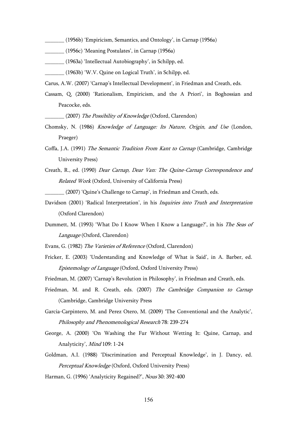- \_\_\_\_\_\_\_ (1956b) 'Empiricism, Semantics, and Ontology', in Carnap (1956a)
- \_\_\_\_\_\_\_ (1956c) 'Meaning Postulates', in Carnap (1956a)
- \_\_\_\_\_\_\_ (1963a) 'Intellectual Autobiography', in Schilpp, ed.
- \_\_\_\_\_\_\_ (1963b) 'W.V. Quine on Logical Truth', in Schilpp, ed.
- Carus, A.W. (2007) 'Carnap's Intellectual Development', in Friedman and Creath, eds.
- Cassam, Q. (2000) 'Rationalism, Empiricism, and the A Priori', in Boghossian and Peacocke, eds.
	- (2007) The Possibility of Knowledge (Oxford, Clarendon)
- Chomsky, N. (1986) Knowledge of Language: Its Nature, Origin, and Use (London, Praeger)
- Coffa, J.A. (1991) The Semantic Tradition From Kant to Carnap (Cambridge, Cambridge University Press)
- Creath, R., ed. (1990) Dear Carnap, Dear Van: The Quine-Carnap Correspondence and Related Work (Oxford, University of California Press)

\_\_\_\_\_\_\_ (2007) 'Quine's Challenge to Carnap', in Friedman and Creath, eds.

- Davidson (2001) 'Radical Interpretation', in his *Inquiries into Truth and Interpretation* (Oxford Clarendon)
- Dummett, M. (1993) 'What Do I Know When I Know a Language?', in his The Seas of Language (Oxford, Clarendon)
- Evans, G. (1982) The Varieties of Reference (Oxford, Clarendon)
- Fricker, E. (2003) 'Understanding and Knowledge of What is Said', in A. Barber, ed. Epistemology of Language (Oxford, Oxford University Press)
- Friedman, M. (2007) 'Carnap's Revolution in Philosophy', in Friedman and Creath, eds.
- Friedman, M. and R. Creath, eds. (2007) The Cambridge Companion to Carnap (Cambridge, Cambridge University Press
- Garcia-Carpintero, M. and Perez Otero, M. (2009) 'The Conventional and the Analytic', Philosophy and Phenomenological Research 78: 239-274
- George, A. (2000) 'On Washing the Fur Without Wetting It: Quine, Carnap, and Analyticity', Mind 109: 1-24
- Goldman, A.I. (1988) 'Discrimination and Perceptual Knowledge', in J. Dancy, ed. Perceptual Knowledge (Oxford, Oxford University Press)
- Harman, G. (1996) 'Analyticity Regained?', Nous 30: 392-400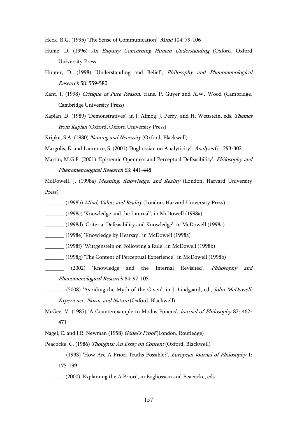- Heck, R.G. (1995) 'The Sense of Communication', Mind 104: 79-106
- Hume, D. (1996) An Enquiry Concerning Human Understanding (Oxford, Oxford University Press
- Hunter, D. (1998) 'Understanding and Belief', Philosophy and Phenomenological Research 58: 559-580
- Kant, I. (1998) Critique of Pure Reason, trans. P. Guyer and A.W. Wood (Cambridge, Cambridge University Press)
- Kaplan, D. (1989) 'Demonstratives', in J. Almog, J. Perry, and H. Wettstein, eds. Themes from Kaplan (Oxford, Oxford University Press)

Kripke, S.A. (1980) Naming and Necessity (Oxford, Blackwell)

Margolis, E. and Laurence, S. (2001) 'Boghossian on Analyticity', Analysis 61: 293-302

Martin, M.G.F. (2001) 'Epistemic Openness and Perceptual Defeasibility', *Philosophy and* Phenomenological Research 63: 441-448

McDowell, J. (1998a) Meaning, Knowledge, and Reality (London, Harvard University Press)

- \_\_\_\_\_\_\_ (1998b) Mind, Value, and Reality (London, Harvard University Press)
- \_\_\_\_\_\_\_ (1998c) 'Knowledge and the Internal', in McDowell (1998a)
- \_\_\_\_\_\_\_ (1998d) 'Criteria, Defeasibility and Knowledge', in McDowell (1998a)
- \_\_\_\_\_\_\_ (1998e) 'Knowledge by Hearsay', in McDowell (1998a)
- \_\_\_\_\_\_\_ (1998f) 'Wittgenstein on Following a Rule', in McDowell (1998b)
- \_\_\_\_\_\_\_ (1998g) 'The Content of Perceptual Experience', in McDowell (1998b)
- \_\_\_\_\_\_ (2002) 'Knowledge and the Internal Revisited', Philosophy and Phenomenological Research 64: 97-105
- (2008) 'Avoiding the Myth of the Given', in J. Lindgaard, ed., *John McDowell:* Experience, Norm, and Nature (Oxford, Blackwell)
- McGee, V. (1985) 'A Counterexample to Modus Ponens', Journal of Philosophy 82: 462- 471
- Nagel, E. and J.R. Newman (1958) Gödel's Proof (London, Routledge)
- Peacocke, C. (1986) Thoughts: An Essay on Content (Oxford, Blackwell)
- (1993) 'How Are A Priori Truths Possible?', *European Journal of Philosophy* 1: 175-199
	- \_\_\_\_\_\_\_ (2000) 'Explaining the A Priori', in Boghossian and Peacocke, eds.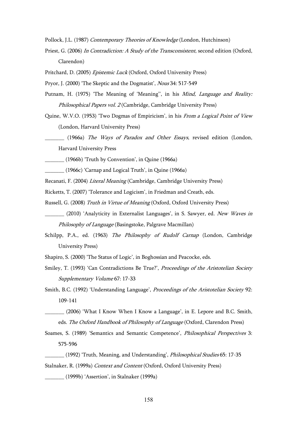Pollock, J.L. (1987) Contemporary Theories of Knowledge (London, Hutchinson)

Priest, G. (2006) In Contradiction: A Study of the Transconsistent, second edition (Oxford, Clarendon)

Pritchard, D. (2005) Epistemic Luck (Oxford, Oxford University Press)

Pryor, J. (2000) 'The Skeptic and the Dogmatist', Nous 34: 517-549

- Putnam, H. (1975) 'The Meaning of 'Meaning'', in his *Mind, Language and Reality:* Philosophical Papers vol. 2 (Cambridge, Cambridge University Press)
- Quine, W.V.O. (1953) 'Two Dogmas of Empiricism', in his From a Logical Point of View (London, Harvard University Press)
	- (1966a) The Ways of Paradox and Other Essays, revised edition (London, Harvard University Press

\_\_\_\_\_\_\_ (1966b) 'Truth by Convention', in Quine (1966a)

\_\_\_\_\_\_\_ (1966c) 'Carnap and Logical Truth', in Quine (1966a)

Recanati, F. (2004) Literal Meaning (Cambridge, Cambridge University Press)

Ricketts, T. (2007) 'Tolerance and Logicism', in Friedman and Creath, eds.

Russell, G. (2008) Truth in Virtue of Meaning (Oxford, Oxford University Press)

- (2010) 'Analyticity in Externalist Languages', in S. Sawyer, ed. *New Waves in* Philosophy of Language (Basingstoke, Palgrave Macmillan)
- Schilpp, P.A., ed. (1963) The Philosophy of Rudolf Carnap (London, Cambridge University Press)

Shapiro, S. (2000) 'The Status of Logic', in Boghossian and Peacocke, eds.

Smiley, T. (1993) 'Can Contradictions Be True?', Proceedings of the Aristotelian Society Supplementary Volume 67: 17-33

Smith, B.C. (1992) 'Understanding Language', Proceedings of the Aristotelian Society 92: 109-141

- \_\_\_\_\_\_\_ (2006) 'What I Know When I Know a Language', in E. Lepore and B.C. Smith, eds. The Oxford Handbook of Philosophy of Language (Oxford, Clarendon Press)
- Soames, S. (1989) 'Semantics and Semantic Competence', Philosophical Perspectives 3: 575-596

(1992) 'Truth, Meaning, and Understanding', *Philosophical Studies* 65: 17-35 Stalnaker, R. (1999a) Context and Content (Oxford, Oxford University Press)

\_\_\_\_\_\_\_ (1999b) 'Assertion', in Stalnaker (1999a)